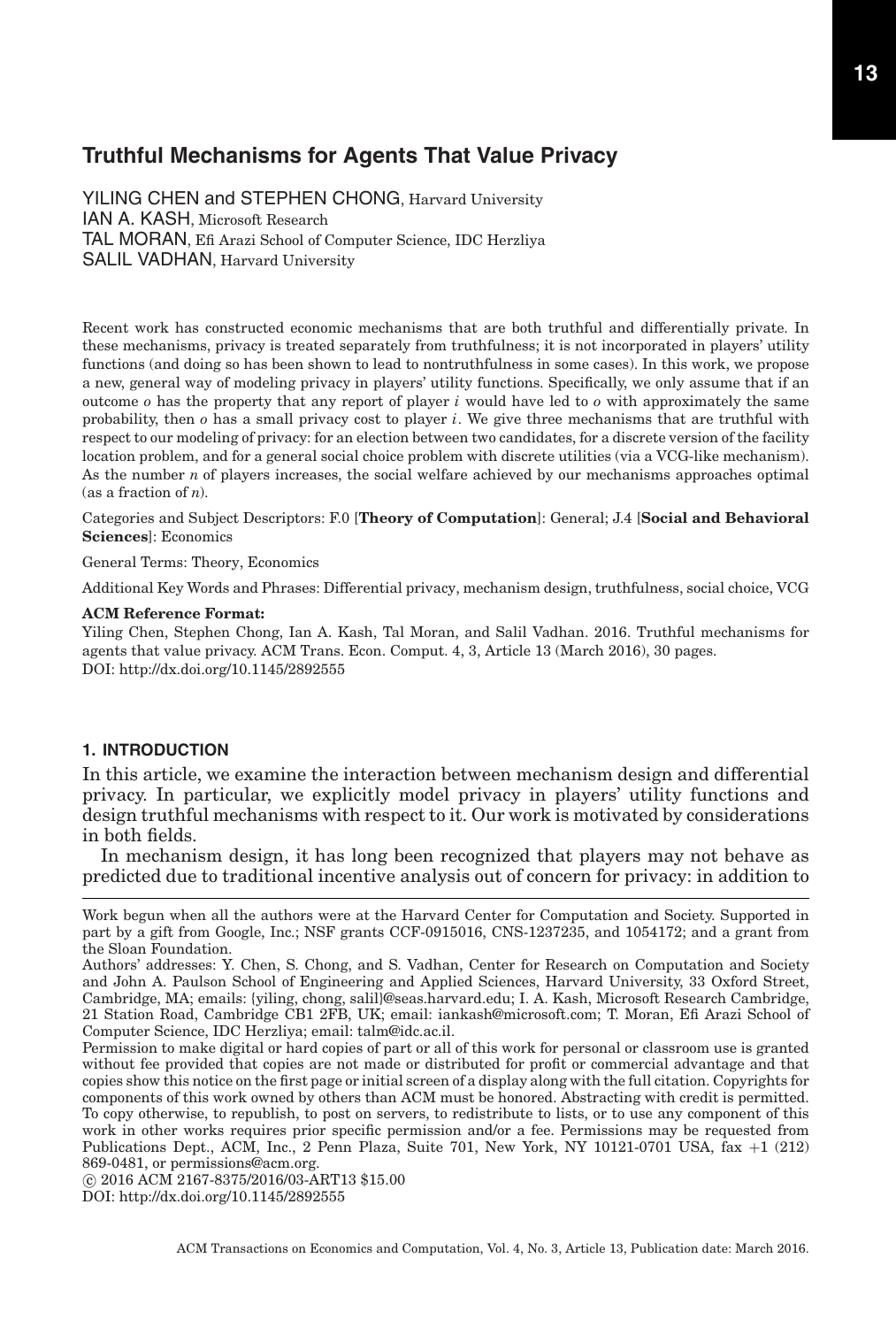YILING CHEN and STEPHEN CHONG, Harvard University IAN A. KASH, Microsoft Research TAL MORAN, Efi Arazi School of Computer Science, IDC Herzliya SALIL VADHAN, Harvard University

Recent work has constructed economic mechanisms that are both truthful and differentially private. In these mechanisms, privacy is treated separately from truthfulness; it is not incorporated in players' utility functions (and doing so has been shown to lead to nontruthfulness in some cases). In this work, we propose a new, general way of modeling privacy in players' utility functions. Specifically, we only assume that if an outcome *o* has the property that any report of player *i* would have led to *o* with approximately the same probability, then *o* has a small privacy cost to player *i*. We give three mechanisms that are truthful with respect to our modeling of privacy: for an election between two candidates, for a discrete version of the facility location problem, and for a general social choice problem with discrete utilities (via a VCG-like mechanism). As the number *n* of players increases, the social welfare achieved by our mechanisms approaches optimal (as a fraction of *n*).

Categories and Subject Descriptors: F.0 [**Theory of Computation**]: General; J.4 [**Social and Behavioral Sciences**]: Economics

General Terms: Theory, Economics

Additional Key Words and Phrases: Differential privacy, mechanism design, truthfulness, social choice, VCG

#### **ACM Reference Format:**

Yiling Chen, Stephen Chong, Ian A. Kash, Tal Moran, and Salil Vadhan. 2016. Truthful mechanisms for agents that value privacy. ACM Trans. Econ. Comput. 4, 3, Article 13 (March 2016), 30 pages. DOI:<http://dx.doi.org/10.1145/2892555>

# **1. INTRODUCTION**

In this article, we examine the interaction between mechanism design and differential privacy. In particular, we explicitly model privacy in players' utility functions and design truthful mechanisms with respect to it. Our work is motivated by considerations in both fields.

In mechanism design, it has long been recognized that players may not behave as predicted due to traditional incentive analysis out of concern for privacy: in addition to

DOI:<http://dx.doi.org/10.1145/2892555>

Work begun when all the authors were at the Harvard Center for Computation and Society. Supported in part by a gift from Google, Inc.; NSF grants CCF-0915016, CNS-1237235, and 1054172; and a grant from the Sloan Foundation.

Authors' addresses: Y. Chen, S. Chong, and S. Vadhan, Center for Research on Computation and Society and John A. Paulson School of Engineering and Applied Sciences, Harvard University, 33 Oxford Street, Cambridge, MA; emails: {yiling, chong, salil}@seas.harvard.edu; I. A. Kash, Microsoft Research Cambridge, 21 Station Road, Cambridge CB1 2FB, UK; email: iankash@microsoft.com; T. Moran, Efi Arazi School of Computer Science, IDC Herzliya; email: talm@idc.ac.il.

Permission to make digital or hard copies of part or all of this work for personal or classroom use is granted without fee provided that copies are not made or distributed for profit or commercial advantage and that copies show this notice on the first page or initial screen of a display along with the full citation. Copyrights for components of this work owned by others than ACM must be honored. Abstracting with credit is permitted. To copy otherwise, to republish, to post on servers, to redistribute to lists, or to use any component of this work in other works requires prior specific permission and/or a fee. Permissions may be requested from Publications Dept., ACM, Inc., 2 Penn Plaza, Suite 701, New York, NY 10121-0701 USA, fax +1 (212) 869-0481, or permissions@acm.org.

<sup>-</sup>c 2016 ACM 2167-8375/2016/03-ART13 \$15.00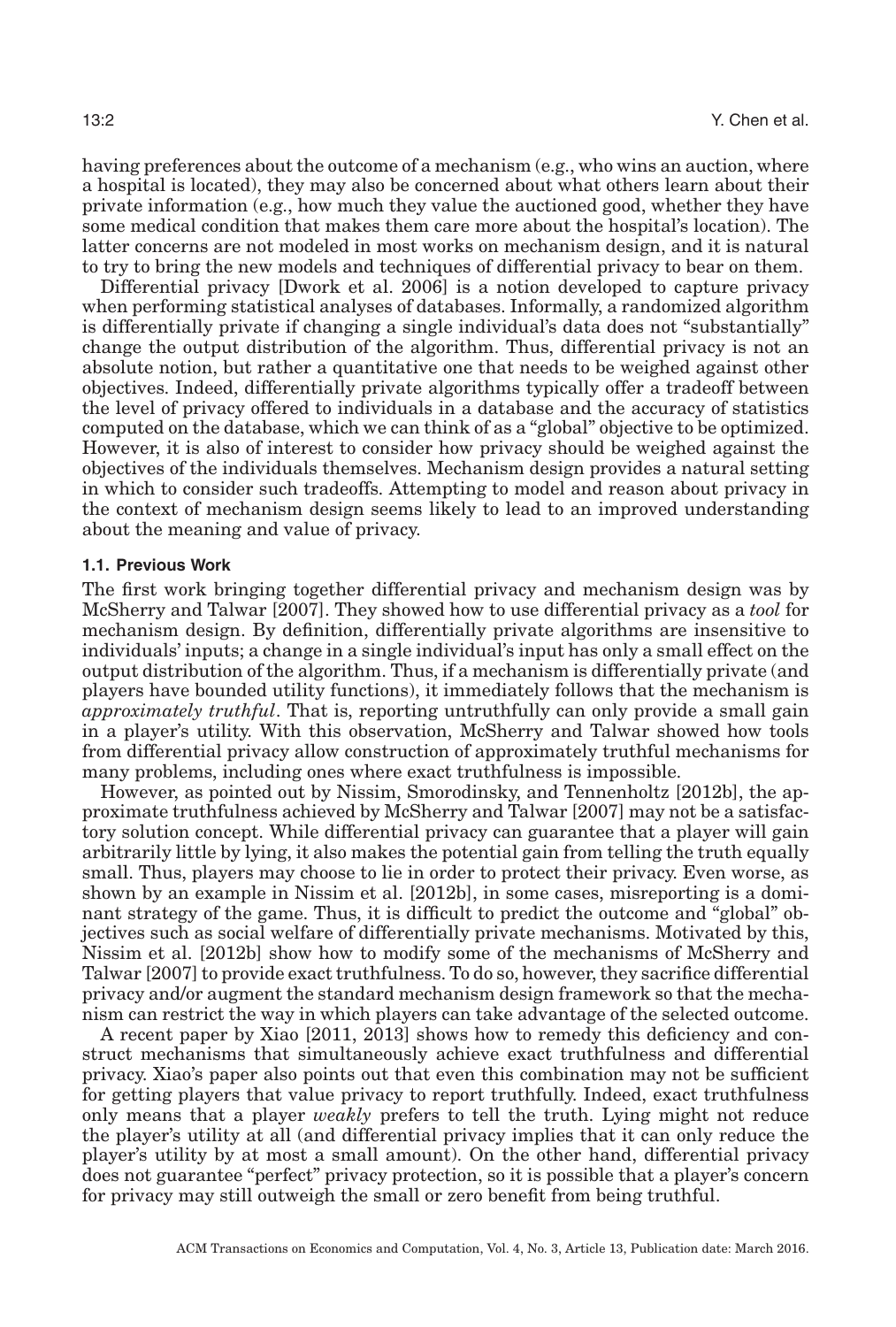having preferences about the outcome of a mechanism (e.g., who wins an auction, where a hospital is located), they may also be concerned about what others learn about their private information (e.g., how much they value the auctioned good, whether they have some medical condition that makes them care more about the hospital's location). The latter concerns are not modeled in most works on mechanism design, and it is natural to try to bring the new models and techniques of differential privacy to bear on them.

Differential privacy [Dwork et al. [2006\]](#page-28-0) is a notion developed to capture privacy when performing statistical analyses of databases. Informally, a randomized algorithm is differentially private if changing a single individual's data does not "substantially" change the output distribution of the algorithm. Thus, differential privacy is not an absolute notion, but rather a quantitative one that needs to be weighed against other objectives. Indeed, differentially private algorithms typically offer a tradeoff between the level of privacy offered to individuals in a database and the accuracy of statistics computed on the database, which we can think of as a "global" objective to be optimized. However, it is also of interest to consider how privacy should be weighed against the objectives of the individuals themselves. Mechanism design provides a natural setting in which to consider such tradeoffs. Attempting to model and reason about privacy in the context of mechanism design seems likely to lead to an improved understanding about the meaning and value of privacy.

#### **1.1. Previous Work**

The first work bringing together differential privacy and mechanism design was by McSherry and Talwar [\[2007\]](#page-29-0). They showed how to use differential privacy as a *tool* for mechanism design. By definition, differentially private algorithms are insensitive to individuals' inputs; a change in a single individual's input has only a small effect on the output distribution of the algorithm. Thus, if a mechanism is differentially private (and players have bounded utility functions), it immediately follows that the mechanism is *approximately truthful*. That is, reporting untruthfully can only provide a small gain in a player's utility. With this observation, McSherry and Talwar showed how tools from differential privacy allow construction of approximately truthful mechanisms for many problems, including ones where exact truthfulness is impossible.

However, as pointed out by Nissim, Smorodinsky, and Tennenholtz [\[2012b\]](#page-29-1), the approximate truthfulness achieved by McSherry and Talwar [\[2007\]](#page-29-0) may not be a satisfactory solution concept. While differential privacy can guarantee that a player will gain arbitrarily little by lying, it also makes the potential gain from telling the truth equally small. Thus, players may choose to lie in order to protect their privacy. Even worse, as shown by an example in Nissim et al. [\[2012b\]](#page-29-1), in some cases, misreporting is a dominant strategy of the game. Thus, it is difficult to predict the outcome and "global" objectives such as social welfare of differentially private mechanisms. Motivated by this, Nissim et al. [\[2012b\]](#page-29-1) show how to modify some of the mechanisms of McSherry and Talwar [\[2007\]](#page-29-0) to provide exact truthfulness. To do so, however, they sacrifice differential privacy and/or augment the standard mechanism design framework so that the mechanism can restrict the way in which players can take advantage of the selected outcome.

A recent paper by Xiao [\[2011,](#page-29-2) [2013\]](#page-29-3) shows how to remedy this deficiency and construct mechanisms that simultaneously achieve exact truthfulness and differential privacy. Xiao's paper also points out that even this combination may not be sufficient for getting players that value privacy to report truthfully. Indeed, exact truthfulness only means that a player *weakly* prefers to tell the truth. Lying might not reduce the player's utility at all (and differential privacy implies that it can only reduce the player's utility by at most a small amount). On the other hand, differential privacy does not guarantee "perfect" privacy protection, so it is possible that a player's concern for privacy may still outweigh the small or zero benefit from being truthful.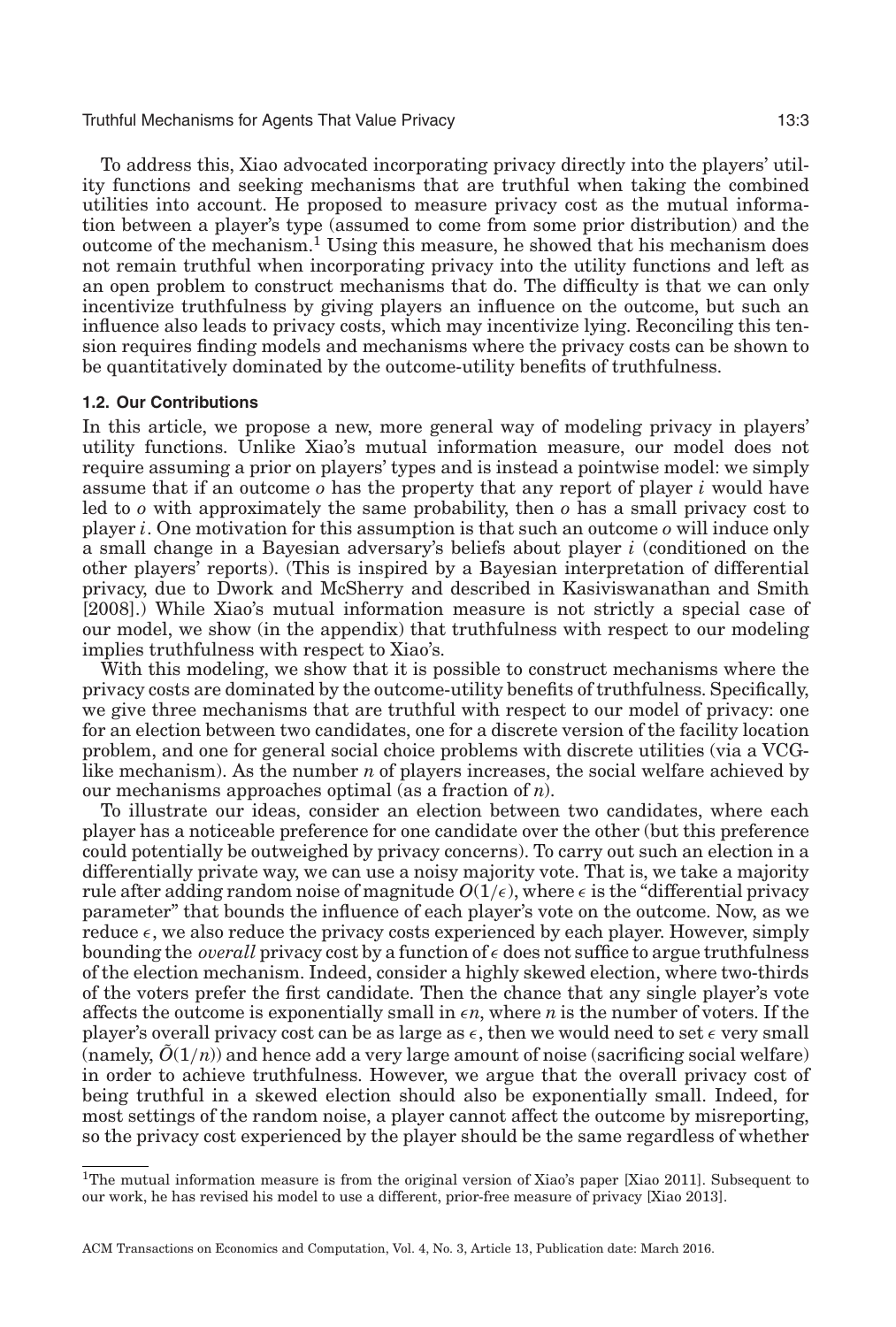To address this, Xiao advocated incorporating privacy directly into the players' utility functions and seeking mechanisms that are truthful when taking the combined utilities into account. He proposed to measure privacy cost as the mutual information between a player's type (assumed to come from some prior distribution) and the outcome of the mechanism.[1](#page-2-0) Using this measure, he showed that his mechanism does not remain truthful when incorporating privacy into the utility functions and left as an open problem to construct mechanisms that do. The difficulty is that we can only incentivize truthfulness by giving players an influence on the outcome, but such an influence also leads to privacy costs, which may incentivize lying. Reconciling this tension requires finding models and mechanisms where the privacy costs can be shown to be quantitatively dominated by the outcome-utility benefits of truthfulness.

# **1.2. Our Contributions**

In this article, we propose a new, more general way of modeling privacy in players' utility functions. Unlike Xiao's mutual information measure, our model does not require assuming a prior on players' types and is instead a pointwise model: we simply assume that if an outcome *o* has the property that any report of player *i* would have led to *o* with approximately the same probability, then *o* has a small privacy cost to player *i*. One motivation for this assumption is that such an outcome *o* will induce only a small change in a Bayesian adversary's beliefs about player *i* (conditioned on the other players' reports). (This is inspired by a Bayesian interpretation of differential privacy, due to Dwork and McSherry and described in Kasiviswanathan and Smith [\[2008\]](#page-29-4).) While Xiao's mutual information measure is not strictly a special case of our model, we show (in the appendix) that truthfulness with respect to our modeling implies truthfulness with respect to Xiao's.

With this modeling, we show that it is possible to construct mechanisms where the privacy costs are dominated by the outcome-utility benefits of truthfulness. Specifically, we give three mechanisms that are truthful with respect to our model of privacy: one for an election between two candidates, one for a discrete version of the facility location problem, and one for general social choice problems with discrete utilities (via a VCGlike mechanism). As the number *n* of players increases, the social welfare achieved by our mechanisms approaches optimal (as a fraction of *n*).

To illustrate our ideas, consider an election between two candidates, where each player has a noticeable preference for one candidate over the other (but this preference could potentially be outweighed by privacy concerns). To carry out such an election in a differentially private way, we can use a noisy majority vote. That is, we take a majority rule after adding random noise of magnitude  $O(1/\epsilon)$ , where  $\epsilon$  is the "differential privacy parameter" that bounds the influence of each player's vote on the outcome. Now, as we reduce  $\epsilon$ , we also reduce the privacy costs experienced by each player. However, simply bounding the *overall* privacy cost by a function of  $\epsilon$  does not suffice to argue truthfulness of the election mechanism. Indeed, consider a highly skewed election, where two-thirds of the voters prefer the first candidate. Then the chance that any single player's vote affects the outcome is exponentially small in  $\epsilon n$ , where *n* is the number of voters. If the player's overall privacy cost can be as large as  $\epsilon$ , then we would need to set  $\epsilon$  very small (namely,  $\tilde{O}(1/n)$ ) and hence add a very large amount of noise (sacrificing social welfare) in order to achieve truthfulness. However, we argue that the overall privacy cost of being truthful in a skewed election should also be exponentially small. Indeed, for most settings of the random noise, a player cannot affect the outcome by misreporting, so the privacy cost experienced by the player should be the same regardless of whether

<span id="page-2-0"></span><sup>&</sup>lt;sup>1</sup>The mutual information measure is from the original version of Xiao's paper [Xiao [2011\]](#page-29-2). Subsequent to our work, he has revised his model to use a different, prior-free measure of privacy [Xiao [2013\]](#page-29-3).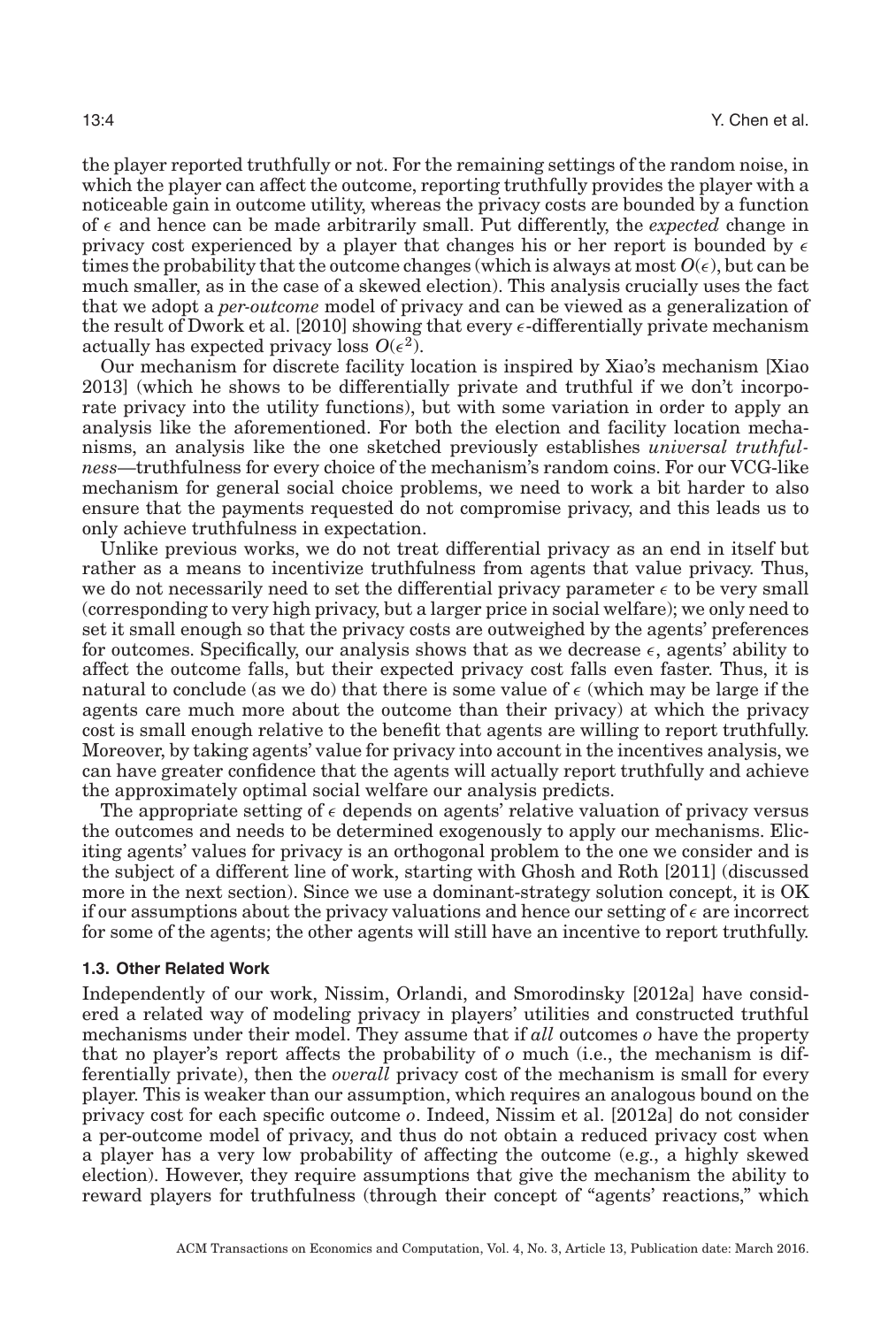the player reported truthfully or not. For the remaining settings of the random noise, in which the player can affect the outcome, reporting truthfully provides the player with a noticeable gain in outcome utility, whereas the privacy costs are bounded by a function of  $\epsilon$  and hence can be made arbitrarily small. Put differently, the *expected* change in privacy cost experienced by a player that changes his or her report is bounded by  $\epsilon$ times the probability that the outcome changes (which is always at most  $O(\epsilon)$ , but can be much smaller, as in the case of a skewed election). This analysis crucially uses the fact that we adopt a *per-outcome* model of privacy and can be viewed as a generalization of the result of Dwork et al. [\[2010\]](#page-28-1) showing that every  $\epsilon$ -differentially private mechanism actually has expected privacy loss  $O(\epsilon^2)$ .

Our mechanism for discrete facility location is inspired by Xiao's mechanism [Xiao [2013\]](#page-29-3) (which he shows to be differentially private and truthful if we don't incorporate privacy into the utility functions), but with some variation in order to apply an analysis like the aforementioned. For both the election and facility location mechanisms, an analysis like the one sketched previously establishes *universal truthfulness*—truthfulness for every choice of the mechanism's random coins. For our VCG-like mechanism for general social choice problems, we need to work a bit harder to also ensure that the payments requested do not compromise privacy, and this leads us to only achieve truthfulness in expectation.

Unlike previous works, we do not treat differential privacy as an end in itself but rather as a means to incentivize truthfulness from agents that value privacy. Thus, we do not necessarily need to set the differential privacy parameter  $\epsilon$  to be very small (corresponding to very high privacy, but a larger price in social welfare); we only need to set it small enough so that the privacy costs are outweighed by the agents' preferences for outcomes. Specifically, our analysis shows that as we decrease  $\epsilon$ , agents' ability to affect the outcome falls, but their expected privacy cost falls even faster. Thus, it is natural to conclude (as we do) that there is some value of  $\epsilon$  (which may be large if the agents care much more about the outcome than their privacy) at which the privacy cost is small enough relative to the benefit that agents are willing to report truthfully. Moreover, by taking agents' value for privacy into account in the incentives analysis, we can have greater confidence that the agents will actually report truthfully and achieve the approximately optimal social welfare our analysis predicts.

The appropriate setting of  $\epsilon$  depends on agents' relative valuation of privacy versus the outcomes and needs to be determined exogenously to apply our mechanisms. Eliciting agents' values for privacy is an orthogonal problem to the one we consider and is the subject of a different line of work, starting with Ghosh and Roth [\[2011\]](#page-28-2) (discussed more in the next section). Since we use a dominant-strategy solution concept, it is OK if our assumptions about the privacy valuations and hence our setting of  $\epsilon$  are incorrect for some of the agents; the other agents will still have an incentive to report truthfully.

#### **1.3. Other Related Work**

Independently of our work, Nissim, Orlandi, and Smorodinsky [\[2012a\]](#page-29-5) have considered a related way of modeling privacy in players' utilities and constructed truthful mechanisms under their model. They assume that if *all* outcomes *o* have the property that no player's report affects the probability of *o* much (i.e., the mechanism is differentially private), then the *overall* privacy cost of the mechanism is small for every player. This is weaker than our assumption, which requires an analogous bound on the privacy cost for each specific outcome *o*. Indeed, Nissim et al. [\[2012a\]](#page-29-5) do not consider a per-outcome model of privacy, and thus do not obtain a reduced privacy cost when a player has a very low probability of affecting the outcome (e.g., a highly skewed election). However, they require assumptions that give the mechanism the ability to reward players for truthfulness (through their concept of "agents' reactions," which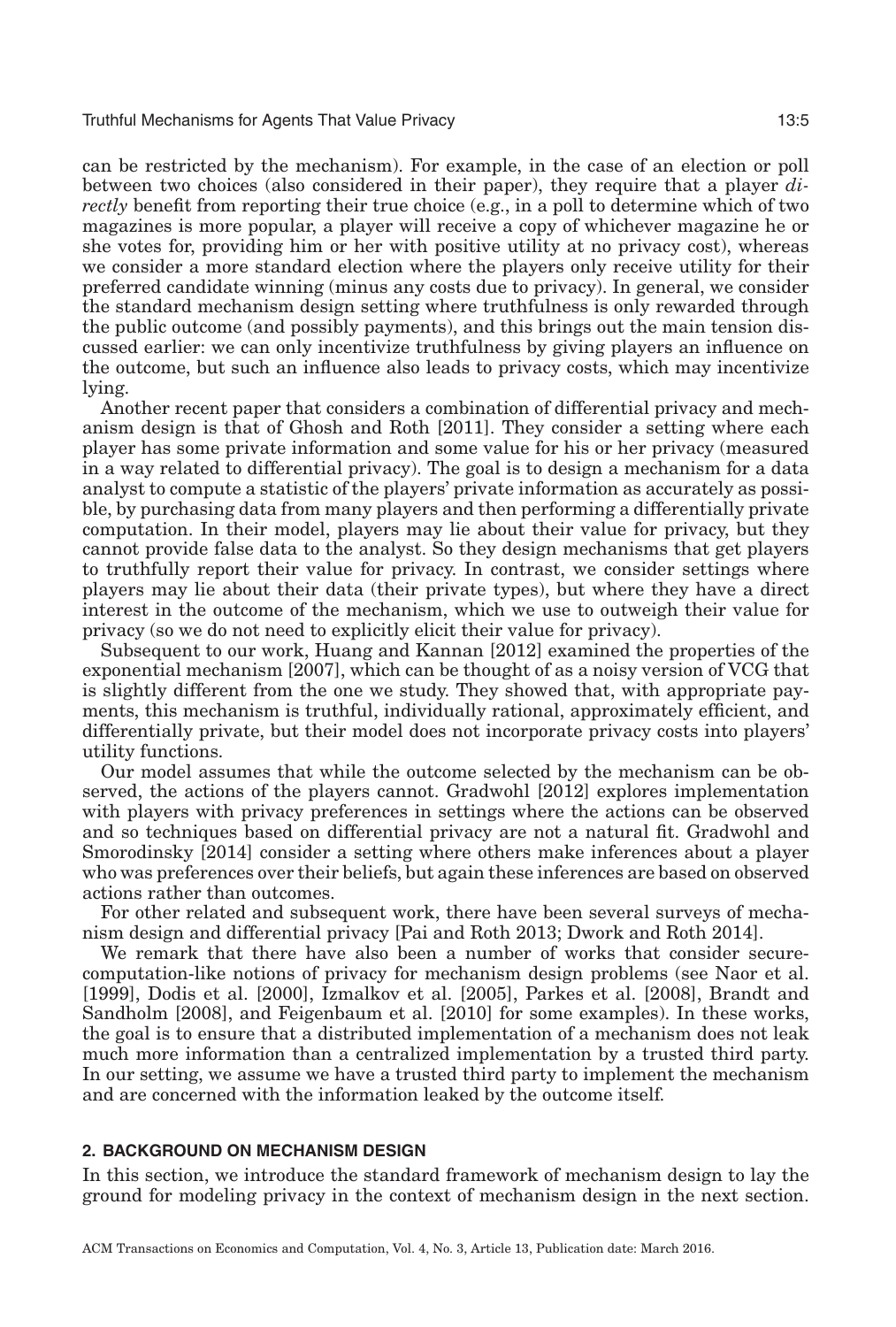can be restricted by the mechanism). For example, in the case of an election or poll between two choices (also considered in their paper), they require that a player *directly* benefit from reporting their true choice (e.g., in a poll to determine which of two magazines is more popular, a player will receive a copy of whichever magazine he or she votes for, providing him or her with positive utility at no privacy cost), whereas we consider a more standard election where the players only receive utility for their preferred candidate winning (minus any costs due to privacy). In general, we consider the standard mechanism design setting where truthfulness is only rewarded through the public outcome (and possibly payments), and this brings out the main tension discussed earlier: we can only incentivize truthfulness by giving players an influence on the outcome, but such an influence also leads to privacy costs, which may incentivize lying.

Another recent paper that considers a combination of differential privacy and mechanism design is that of Ghosh and Roth [\[2011\]](#page-28-2). They consider a setting where each player has some private information and some value for his or her privacy (measured in a way related to differential privacy). The goal is to design a mechanism for a data analyst to compute a statistic of the players' private information as accurately as possible, by purchasing data from many players and then performing a differentially private computation. In their model, players may lie about their value for privacy, but they cannot provide false data to the analyst. So they design mechanisms that get players to truthfully report their value for privacy. In contrast, we consider settings where players may lie about their data (their private types), but where they have a direct interest in the outcome of the mechanism, which we use to outweigh their value for privacy (so we do not need to explicitly elicit their value for privacy).

Subsequent to our work, Huang and Kannan [\[2012\]](#page-29-6) examined the properties of the exponential mechanism [\[2007\]](#page-29-0), which can be thought of as a noisy version of VCG that is slightly different from the one we study. They showed that, with appropriate payments, this mechanism is truthful, individually rational, approximately efficient, and differentially private, but their model does not incorporate privacy costs into players' utility functions.

Our model assumes that while the outcome selected by the mechanism can be observed, the actions of the players cannot. Gradwohl [\[2012\]](#page-28-3) explores implementation with players with privacy preferences in settings where the actions can be observed and so techniques based on differential privacy are not a natural fit. Gradwohl and Smorodinsky [\[2014\]](#page-28-4) consider a setting where others make inferences about a player who was preferences over their beliefs, but again these inferences are based on observed actions rather than outcomes.

For other related and subsequent work, there have been several surveys of mechanism design and differential privacy [Pai and Roth [2013;](#page-29-7) Dwork and Roth [2014\]](#page-28-5).

We remark that there have also been a number of works that consider securecomputation-like notions of privacy for mechanism design problems (see Naor et al. [\[1999\]](#page-29-8), Dodis et al. [\[2000\]](#page-28-6), Izmalkov et al. [\[2005\]](#page-29-9), Parkes et al. [\[2008\]](#page-29-10), Brandt and Sandholm [\[2008\]](#page-28-7), and Feigenbaum et al. [\[2010\]](#page-28-8) for some examples). In these works, the goal is to ensure that a distributed implementation of a mechanism does not leak much more information than a centralized implementation by a trusted third party. In our setting, we assume we have a trusted third party to implement the mechanism and are concerned with the information leaked by the outcome itself.

# **2. BACKGROUND ON MECHANISM DESIGN**

<span id="page-4-0"></span>In this section, we introduce the standard framework of mechanism design to lay the ground for modeling privacy in the context of mechanism design in the next section.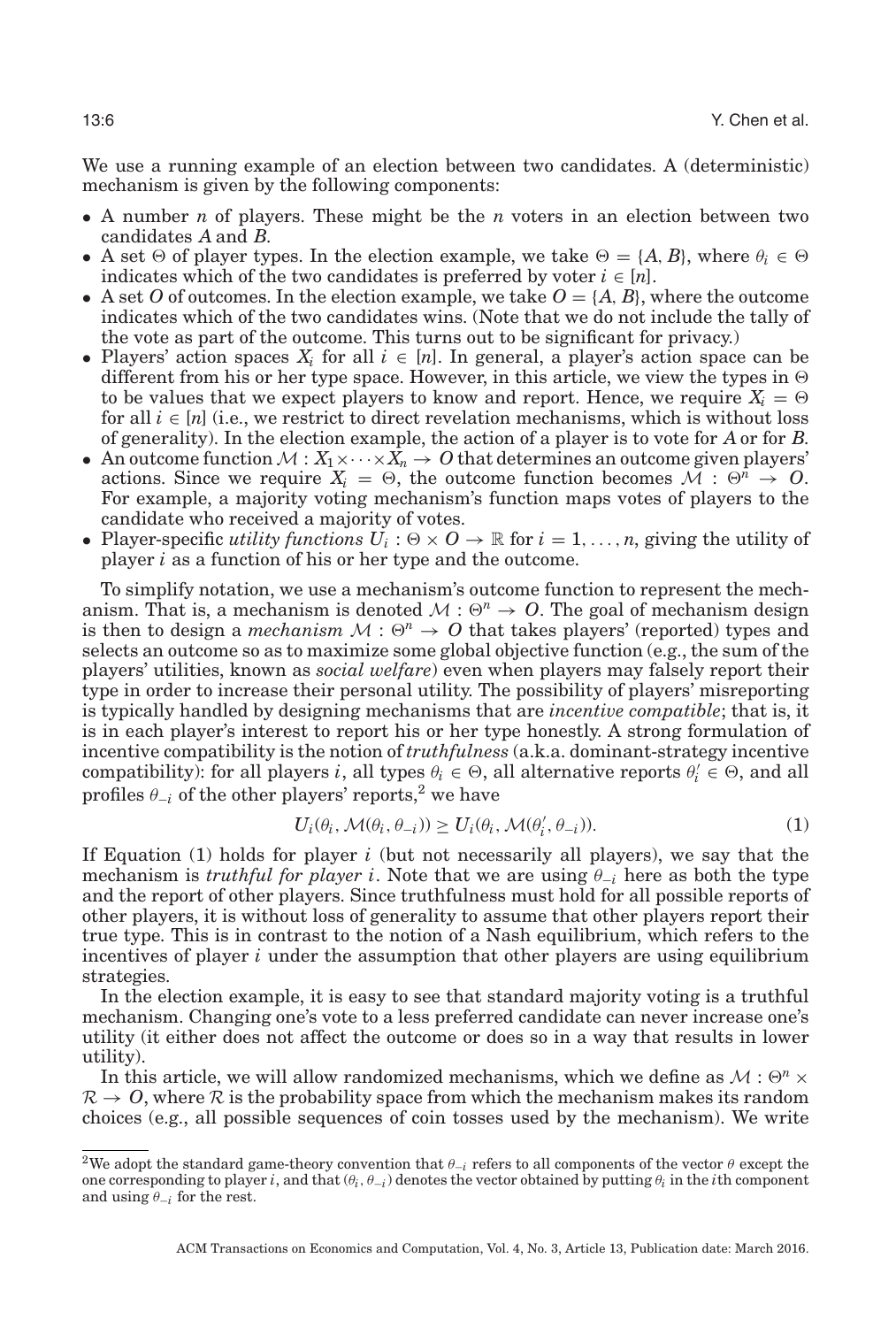We use a running example of an election between two candidates. A (deterministic) mechanism is given by the following components:

- A number *n* of players. These might be the *n* voters in an election between two candidates *A* and *B*.
- A set  $\Theta$  of player types. In the election example, we take  $\Theta = \{A, B\}$ , where  $\theta_i \in \Theta$ indicates which of the two candidates is preferred by voter  $i \in [n]$ .
- A set *O* of outcomes. In the election example, we take  $O = \{A, B\}$ , where the outcome indicates which of the two candidates wins. (Note that we do not include the tally of the vote as part of the outcome. This turns out to be significant for privacy.)
- Players' action spaces  $X_i$  for all  $i \in [n]$ . In general, a player's action space can be different from his or her type space. However, in this article, we view the types in  $\Theta$ to be values that we expect players to know and report. Hence, we require  $X_i = \Theta$ for all  $i \in [n]$  (i.e., we restrict to direct revelation mechanisms, which is without loss of generality). In the election example, the action of a player is to vote for *A* or for *B*.
- An outcome function  $M : X_1 \times \cdots \times X_n \to O$  that determines an outcome given players' actions. Since we require  $X_i = \Theta$ , the outcome function becomes  $\mathcal{M} : \Theta^n \to \mathcal{O}$ . For example, a majority voting mechanism's function maps votes of players to the candidate who received a majority of votes.
- Player-specific *utility functions*  $U_i : \Theta \times \mathcal{O} \to \mathbb{R}$  for  $i = 1, \ldots, n$ , giving the utility of player *i* as a function of his or her type and the outcome.

To simplify notation, we use a mechanism's outcome function to represent the mechanism. That is, a mechanism is denoted  $\mathcal{M}$  :  $\Theta^n \to \mathcal{O}$ . The goal of mechanism design is then to design a *mechanism*  $M : \Theta^n \to O$  that takes players' (reported) types and selects an outcome so as to maximize some global objective function (e.g., the sum of the players' utilities, known as *social welfare*) even when players may falsely report their type in order to increase their personal utility. The possibility of players' misreporting is typically handled by designing mechanisms that are *incentive compatible*; that is, it is in each player's interest to report his or her type honestly. A strong formulation of incentive compatibility is the notion of *truthfulness* (a.k.a. dominant-strategy incentive compatibility): for all players *i*, all types  $\theta_i \in \Theta$ , all alternative reports  $\theta'_i \in \Theta$ , and all profiles  $\theta_{-i}$  of the other players' reports,<sup>[2](#page-5-0)</sup> we have

$$
U_i(\theta_i, \mathcal{M}(\theta_i, \theta_{-i})) \ge U_i(\theta_i, \mathcal{M}(\theta_i', \theta_{-i})).
$$
\n(1)

If Equation  $(1)$  holds for player *i* (but not necessarily all players), we say that the mechanism is *truthful for player i*. Note that we are using  $\theta_{-i}$  here as both the type and the report of other players. Since truthfulness must hold for all possible reports of other players, it is without loss of generality to assume that other players report their true type. This is in contrast to the notion of a Nash equilibrium, which refers to the incentives of player *i* under the assumption that other players are using equilibrium strategies.

In the election example, it is easy to see that standard majority voting is a truthful mechanism. Changing one's vote to a less preferred candidate can never increase one's utility (it either does not affect the outcome or does so in a way that results in lower utility).

In this article, we will allow randomized mechanisms, which we define as  $\mathcal{M}: \Theta^n \times$  $\mathcal{R} \to \mathcal{O}$ , where  $\mathcal{R}$  is the probability space from which the mechanism makes its random choices (e.g., all possible sequences of coin tosses used by the mechanism). We write

<span id="page-5-0"></span><sup>&</sup>lt;sup>2</sup>We adopt the standard game-theory convention that  $\theta_{-i}$  refers to all components of the vector  $\theta$  except the one corresponding to player *i*, and that  $(\theta_i, \theta_{-i})$  denotes the vector obtained by putting  $\theta_i$  in the *i*th component and using  $\theta_{-i}$  for the rest.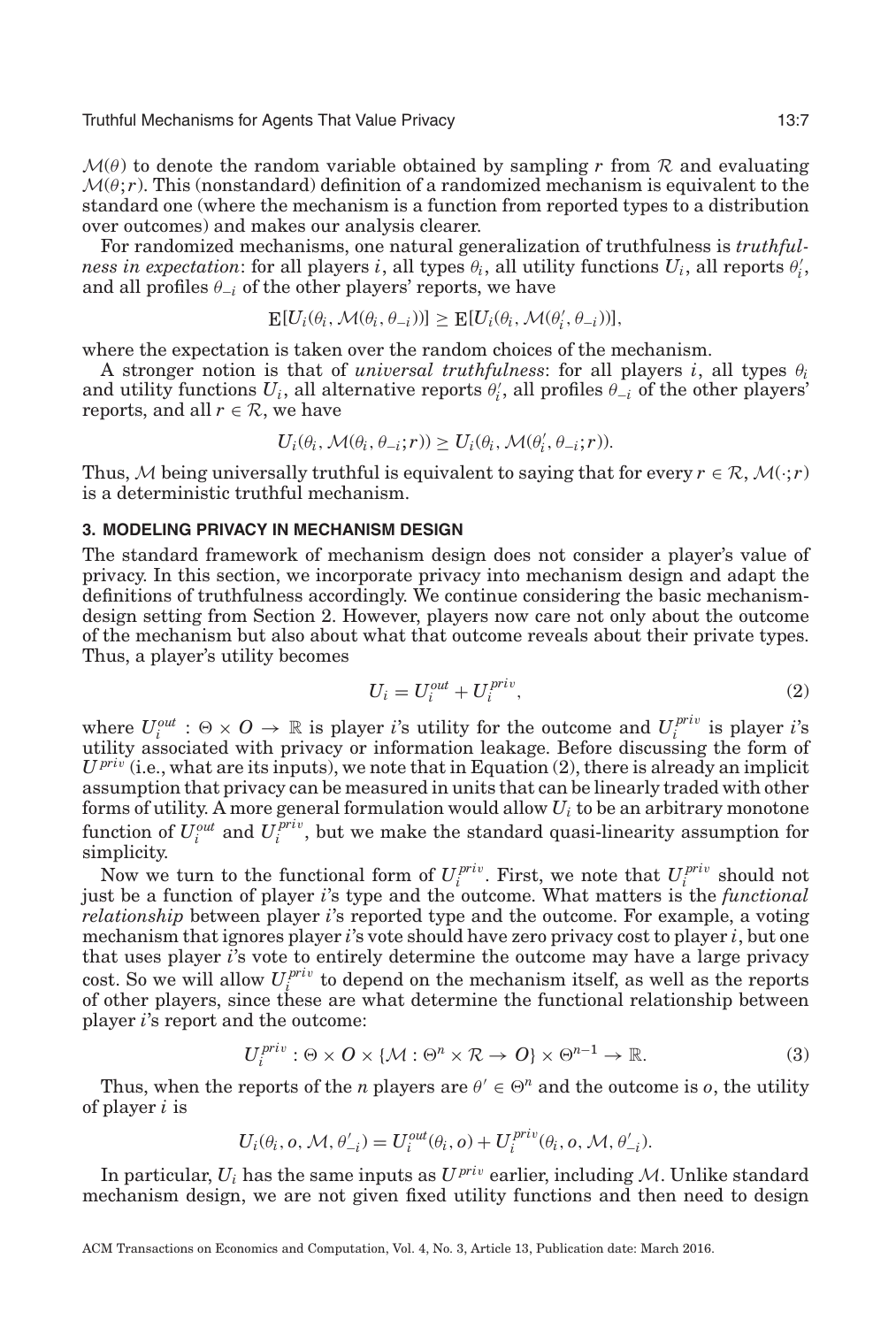$\mathcal{M}(\theta)$  to denote the random variable obtained by sampling r from R and evaluating  $\mathcal{M}(\theta; r)$ . This (nonstandard) definition of a randomized mechanism is equivalent to the standard one (where the mechanism is a function from reported types to a distribution over outcomes) and makes our analysis clearer.

For randomized mechanisms, one natural generalization of truthfulness is *truthful* $p$  *ness in expectation*: for all players *i*, all types  $\theta$ *i*, all utility functions  $U$ *i*, all reports  $\theta$ <sup>*i*</sup>, and all profiles  $\theta_{-i}$  of the other players' reports, we have

$$
\mathbb{E}[U_i(\theta_i, \mathcal{M}(\theta_i, \theta_{-i}))] \geq \mathbb{E}[U_i(\theta_i, \mathcal{M}(\theta'_i, \theta_{-i}))],
$$

where the expectation is taken over the random choices of the mechanism.

A stronger notion is that of *universal truthfulness*: for all players *i*, all types  $\theta_i$ and utility functions  $U_i$ , all alternative reports  $\theta'_i$ , all profiles  $\theta_{-i}$  of the other players' reports, and all  $r \in \mathcal{R}$ , we have

$$
U_i(\theta_i, \mathcal{M}(\theta_i, \theta_{-i}; r)) \ge U_i(\theta_i, \mathcal{M}(\theta_i', \theta_{-i}; r)).
$$

Thus, M being universally truthful is equivalent to saying that for every  $r \in \mathcal{R}$ ,  $\mathcal{M}(\cdot; r)$ is a deterministic truthful mechanism.

# **3. MODELING PRIVACY IN MECHANISM DESIGN**

The standard framework of mechanism design does not consider a player's value of privacy. In this section, we incorporate privacy into mechanism design and adapt the definitions of truthfulness accordingly. We continue considering the basic mechanismdesign setting from Section [2.](#page-4-0) However, players now care not only about the outcome of the mechanism but also about what that outcome reveals about their private types. Thus, a player's utility becomes

<span id="page-6-0"></span>
$$
U_i = U_i^{out} + U_i^{priv}, \t\t(2)
$$

where  $U_i^{out}$  :  $\Theta \times \mathcal{O} \to \mathbb{R}$  is player *i*'s utility for the outcome and  $U_i^{priv}$  is player *i*'s utility associated with privacy or information leakage. Before discussing the form of  $U^{priv}$  (i.e., what are its inputs), we note that in Equation (2), there is already an implicit assumption that privacy can be measured in units that can be linearly traded with other forms of utility. A more general formulation would allow *Ui* to be an arbitrary monotone function of  $U_i^{out}$  and  $U_i^{priv}$ , but we make the standard quasi-linearity assumption for simplicity.

Now we turn to the functional form of  $U_i^{priv}$ . First, we note that  $U_i^{priv}$  should not just be a function of player *i*'s type and the outcome. What matters is the *functional relationship* between player *i*'s reported type and the outcome. For example, a voting mechanism that ignores player *i*'s vote should have zero privacy cost to player *i*, but one that uses player *i*'s vote to entirely determine the outcome may have a large privacy cost. So we will allow  $U^{priv}_{i}$  to depend on the mechanism itself, as well as the reports of other players, since these are what determine the functional relationship between player *i*'s report and the outcome:

$$
U_i^{priv}: \Theta \times O \times \{ \mathcal{M}: \Theta^n \times \mathcal{R} \to O \} \times \Theta^{n-1} \to \mathbb{R}.
$$
 (3)

Thus, when the reports of the *n* players are  $\theta' \in \Theta^n$  and the outcome is *o*, the utility of player *i* is

$$
U_i(\theta_i, o, \mathcal{M}, \theta'_{-i}) = U_i^{out}(\theta_i, o) + U_i^{priv}(\theta_i, o, \mathcal{M}, \theta'_{-i}).
$$

In particular,  $U_i$  has the same inputs as  $U^{priv}$  earlier, including M. Unlike standard mechanism design, we are not given fixed utility functions and then need to design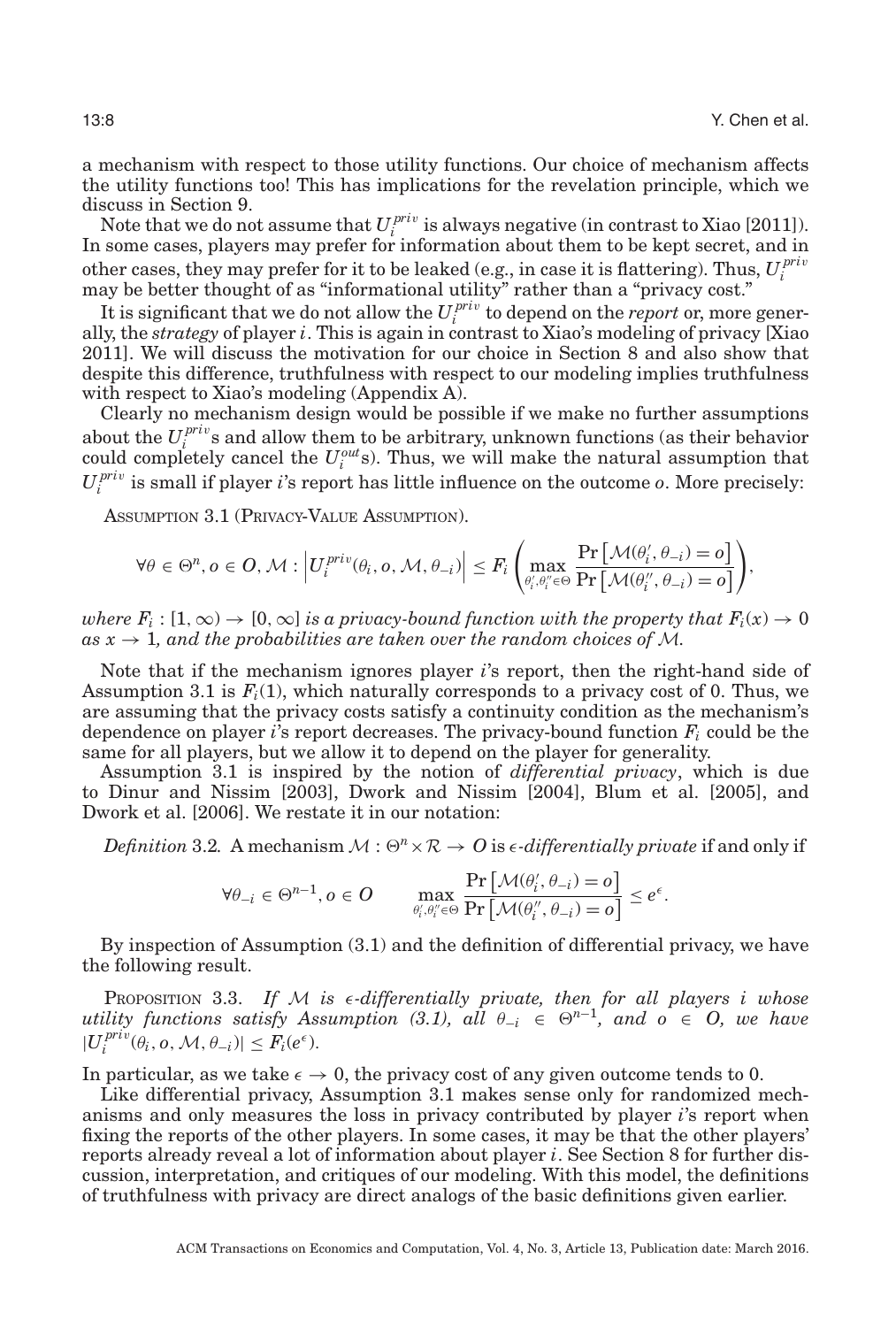a mechanism with respect to those utility functions. Our choice of mechanism affects the utility functions too! This has implications for the revelation principle, which we discuss in Section [9.](#page-21-0)

Note that we do not assume that  $U_i^{priv}$  is always negative (in contrast to Xiao [\[2011\]](#page-29-2)). In some cases, players may prefer for information about them to be kept secret, and in other cases, they may prefer for it to be leaked (e.g., in case it is flattering). Thus,  $U_i^{priv}$ may be better thought of as "informational utility" rather than a "privacy cost."

It is significant that we do not allow the  $U_i^{priv}$  to depend on the *report* or, more generally, the *strategy* of player *i*. This is again in contrast to Xiao's modeling of privacy [Xiao [2011\]](#page-29-2). We will discuss the motivation for our choice in Section [8](#page-19-0) and also show that despite this difference, truthfulness with respect to our modeling implies truthfulness with respect to Xiao's modeling (Appendix A).

Clearly no mechanism design would be possible if we make no further assumptions about the  $U_i^{priv}$  s and allow them to be arbitrary, unknown functions (as their behavior could completely cancel the  $U_i^{out}$ s). Thus, we will make the natural assumption that  $U_i^{priv}$  is small if player *i*'s report has little influence on the outcome *o*. More precisely:

<span id="page-7-0"></span>ASSUMPTION 3.1 (PRIVACY-VALUE ASSUMPTION).

$$
\forall \theta \in \Theta^n, o \in O, \mathcal{M}: \left| U_i^{priv}(\theta_i, o, \mathcal{M}, \theta_{-i}) \right| \leq F_i \left( \max_{\theta'_i, \theta''_i \in \Theta} \frac{\Pr\left[ \mathcal{M}(\theta'_i, \theta_{-i}) = o \right]}{\Pr\left[ \mathcal{M}(\theta''_i, \theta_{-i}) = o \right]} \right),
$$

*where*  $F_i$ :  $[1,\infty) \to [0,\infty]$  *is a privacy-bound function with the property that*  $F_i(x) \to 0$  $as x \rightarrow 1$ , and the probabilities are taken over the random choices of M.

Note that if the mechanism ignores player *i*'s report, then the right-hand side of Assumption [3.1](#page-7-0) is  $F_i(1)$ , which naturally corresponds to a privacy cost of 0. Thus, we are assuming that the privacy costs satisfy a continuity condition as the mechanism's dependence on player *i*'s report decreases. The privacy-bound function *Fi* could be the same for all players, but we allow it to depend on the player for generality.

Assumption [3.1](#page-7-0) is inspired by the notion of *differential privacy*, which is due to Dinur and Nissim [\[2003\]](#page-28-9), Dwork and Nissim [\[2004\]](#page-28-10), Blum et al. [\[2005\]](#page-28-11), and Dwork et al. [\[2006\]](#page-28-0). We restate it in our notation:

<span id="page-7-2"></span> $Definition 3.2. A mechanism  $\mathcal{M}: \Theta^n \times \mathcal{R} \to O$  is  $\epsilon$ -differentially private if and only if$ 

$$
\forall \theta_{-i} \in \Theta^{n-1}, o \in O \qquad \max_{\theta'_i, \theta''_i \in \Theta} \frac{\Pr\left[\mathcal{M}(\theta'_i, \theta_{-i}) = o\right]}{\Pr\left[\mathcal{M}(\theta''_i, \theta_{-i}) = o\right]} \le e^{\epsilon}.
$$

By inspection of Assumption [\(3.1\)](#page-7-0) and the definition of differential privacy, we have the following result.

<span id="page-7-1"></span>PROPOSITION 3.3. If  $M$  is  $\epsilon$ -differentially private, then for all players i whose *utility functions satisfy Assumption [\(3.1\)](#page-7-0), all*  $\theta_{-i} \in \Theta^{n-1}$ , and  $o \in O$ , we have  $|U_i^{priv}(\theta_i, o, M, \theta_{-i})| \leq F_i(e^{\epsilon}).$ 

In particular, as we take  $\epsilon \to 0$ , the privacy cost of any given outcome tends to 0.

Like differential privacy, Assumption [3.1](#page-7-0) makes sense only for randomized mechanisms and only measures the loss in privacy contributed by player *i*'s report when fixing the reports of the other players. In some cases, it may be that the other players' reports already reveal a lot of information about player *i*. See Section [8](#page-19-0) for further discussion, interpretation, and critiques of our modeling. With this model, the definitions of truthfulness with privacy are direct analogs of the basic definitions given earlier.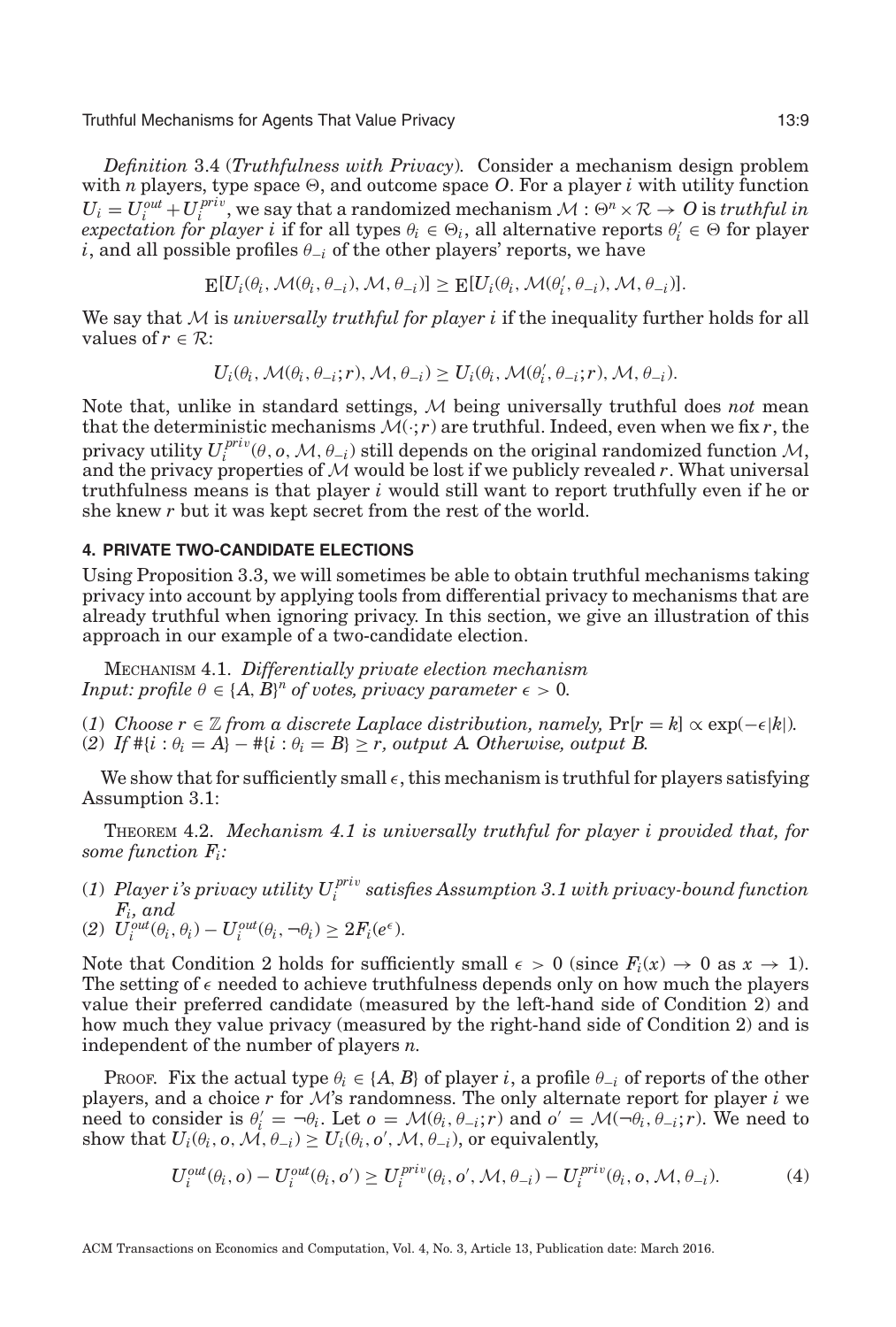<span id="page-8-2"></span>*Definition* 3.4 (*Truthfulness with Privacy*)*.* Consider a mechanism design problem with *n* players, type space  $\Theta$ , and outcome space *O*. For a player *i* with utility function  $U_i = U_i^{out} + U_i^{priv}$ , we say that a randomized mechanism  $\mathcal{M}: \Theta^n \times \mathcal{R} \to \mathcal{O}$  is *truthful in*  $e$ *xpectation for player i* if for all types  $\theta_i \in \Theta_i$ , all alternative reports  $\theta'_i \in \Theta$  for player *i*, and all possible profiles  $\theta_{-i}$  of the other players' reports, we have

$$
\mathop{\mathbf{E}}[U_i(\theta_i,\mathcal{M}(\theta_i,\theta_{-i}),\mathcal{M},\theta_{-i})] \geq \mathop{\mathbf{E}}[U_i(\theta_i,\mathcal{M}(\theta'_i,\theta_{-i}),\mathcal{M},\theta_{-i})].
$$

We say that M is *universally truthful for player i* if the inequality further holds for all values of  $r \in \mathcal{R}$ :

$$
U_i(\theta_i, \mathcal{M}(\theta_i, \theta_{-i}; r), \mathcal{M}, \theta_{-i}) \ge U_i(\theta_i, \mathcal{M}(\theta_i', \theta_{-i}; r), \mathcal{M}, \theta_{-i}).
$$

Note that, unlike in standard settings, M being universally truthful does *not* mean that the deterministic mechanisms  $\mathcal{M}(\cdot; r)$  are truthful. Indeed, even when we fix *r*, the privacy utility  $U_i^{priv}(\theta, o, M, \theta_{-i})$  still depends on the original randomized function  $M$ , and the privacy properties of  $M$  would be lost if we publicly revealed  $r$ . What universal truthfulness means is that player *i* would still want to report truthfully even if he or she knew *r* but it was kept secret from the rest of the world.

# **4. PRIVATE TWO-CANDIDATE ELECTIONS**

Using Proposition [3.3,](#page-7-1) we will sometimes be able to obtain truthful mechanisms taking privacy into account by applying tools from differential privacy to mechanisms that are already truthful when ignoring privacy. In this section, we give an illustration of this approach in our example of a two-candidate election.

<span id="page-8-0"></span>MECHANISM 4.1. *Differentially private election mechanism Input: profile*  $\theta \in \{A, B\}^n$  *of votes, privacy parameter*  $\epsilon > 0$ *.* 

(*1*) *Choose*  $r \in \mathbb{Z}$  *from a discrete Laplace distribution, namely,*  $Pr[r = k] \propto exp(-\epsilon |k|)$ *.* (2) If  $\#\{i : \theta_i = A\} - \#\{i : \theta_i = B\} \ge r$ , output A. Otherwise, output B.

We show that for sufficiently small  $\epsilon$  , this mechanism is truthful for players satisfying Assumption [3.1:](#page-7-0)

<span id="page-8-1"></span>THEOREM 4.2. *Mechanism [4.1](#page-8-0) is universally truthful for player i provided that, for some function Fi:*

- (*1*) *Player i's privacy utility U pri*<sup>v</sup> *<sup>i</sup> satisfies Assumption [3.1](#page-7-0) with privacy-bound function Fi, and*
- (2)  $U_i^{out}(\theta_i, \theta_i) U_i^{out}(\theta_i, \neg \theta_i) \geq 2F_i(e^{\epsilon}).$

Note that Condition 2 holds for sufficiently small  $\epsilon > 0$  (since  $F_i(x) \to 0$  as  $x \to 1$ ). The setting of  $\epsilon$  needed to achieve truthfulness depends only on how much the players value their preferred candidate (measured by the left-hand side of Condition 2) and how much they value privacy (measured by the right-hand side of Condition 2) and is independent of the number of players *n*.

PROOF. Fix the actual type  $\theta_i \in \{A, B\}$  of player *i*, a profile  $\theta_{-i}$  of reports of the other players, and a choice  $r$  for  $\mathcal{M}$ 's randomness. The only alternate report for player  $i$  we need to consider is  $\theta_i' = -\theta_i$ . Let  $o = \mathcal{M}(\theta_i, \theta_{-i}; r)$  and  $o' = \mathcal{M}(\theta_i, \theta_{-i}; r)$ . We need to show that  $U_i(\theta_i, o, \mathcal{M}, \theta_{-i}) \ge U_i(\theta_i, o', \mathcal{M}, \theta_{-i})$ , or equivalently,

$$
U_i^{out}(\theta_i, o) - U_i^{out}(\theta_i, o') \ge U_i^{priv}(\theta_i, o', \mathcal{M}, \theta_{-i}) - U_i^{priv}(\theta_i, o, \mathcal{M}, \theta_{-i}).
$$
\n(4)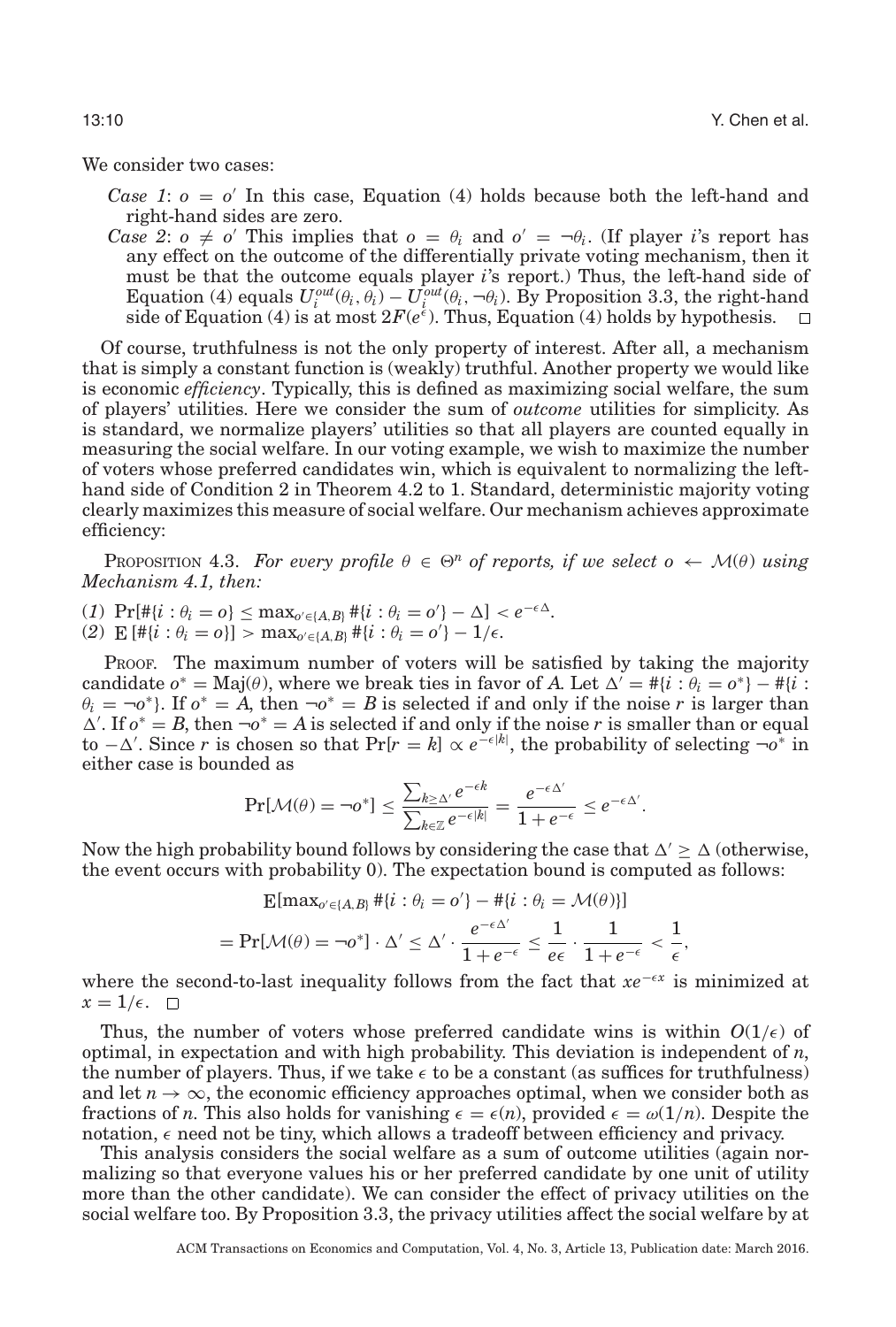We consider two cases:

*Case 1*:  $o = o'$  In this case, Equation (4) holds because both the left-hand and right-hand sides are zero.

*Case 2*:  $o \neq o'$  This implies that  $o = \theta_i$  and  $o' = \theta_i$ . (If player *i*'s report has any effect on the outcome of the differentially private voting mechanism, then it must be that the outcome equals player *i*'s report.) Thus, the left-hand side of Equation (4) equals  $U_i^{out}(\theta_i, \theta_i) - U_i^{out}(\theta_i, -\theta_i)$ . By Proposition [3.3,](#page-7-1) the right-hand side of Equation (4) is at most  $2F(e^{\epsilon})$ . Thus, Equation (4) holds by hypothesis.

Of course, truthfulness is not the only property of interest. After all, a mechanism that is simply a constant function is (weakly) truthful. Another property we would like is economic *efficiency*. Typically, this is defined as maximizing social welfare, the sum of players' utilities. Here we consider the sum of *outcome* utilities for simplicity. As is standard, we normalize players' utilities so that all players are counted equally in measuring the social welfare. In our voting example, we wish to maximize the number of voters whose preferred candidates win, which is equivalent to normalizing the lefthand side of Condition 2 in Theorem [4.2](#page-8-1) to 1. Standard, deterministic majority voting clearly maximizes this measure of social welfare. Our mechanism achieves approximate efficiency:

<span id="page-9-0"></span>**PROPOSITION 4.3.** For every profile  $\theta \in \Theta^n$  of reports, if we select  $o \leftarrow \mathcal{M}(\theta)$  using *Mechanism [4.1,](#page-8-0) then:*

- (*1*)  $\Pr[\#\{i : \theta_i = o\} \le \max_{o' \in \{A, B\}} \#\{i : \theta_i = o'\} \Delta] < e^{-\epsilon \Delta}$ .
- (2)  $\mathbb{E} [\# \{i : \theta_i = 0\}] > \max_{o' \in \{A, B\}} \# \{i : \theta_i = o'\} 1/\epsilon.$

PROOF. The maximum number of voters will be satisfied by taking the majority candidate  $o^* = \text{Maj}(\theta)$ , where we break ties in favor of *A*. Let  $\Delta' = #{i : \theta_i = o^*} - #{i : \theta_i = o^*}$  $\theta_i = \neg \sigma^*$ . If  $\sigma^* = A$ , then  $\neg \sigma^* = B$  is selected if and only if the noise *r* is larger than  $\Delta'$ . If  $o^* = B$ , then  $\neg o^* = A$  is selected if and only if the noise *r* is smaller than or equal to  $-\Delta'$ . Since *r* is chosen so that Pr[*r* = *k*]  $\propto e^{-\epsilon |k|}$ , the probability of selecting  $\neg$ <sup>\*</sup> in either case is bounded as

$$
\Pr[\mathcal{M}(\theta) = \neg o^*] \le \frac{\sum_{k \ge \Delta'} e^{-\epsilon k}}{\sum_{k \in \mathbb{Z}} e^{-\epsilon |k|}} = \frac{e^{-\epsilon \Delta'}}{1 + e^{-\epsilon}} \le e^{-\epsilon \Delta'}.
$$

Now the high probability bound follows by considering the case that  $\Delta' > \Delta$  (otherwise, the event occurs with probability 0). The expectation bound is computed as follows:

$$
\mathbb{E}[\max_{o' \in \{A,B\}} \# \{i : \theta_i = o'\} - \# \{i : \theta_i = \mathcal{M}(\theta)\}]
$$
\n
$$
= \Pr[\mathcal{M}(\theta) = \neg o^*] \cdot \Delta' \leq \Delta' \cdot \frac{e^{-\epsilon \Delta'}}{1 + e^{-\epsilon}} \leq \frac{1}{e\epsilon} \cdot \frac{1}{1 + e^{-\epsilon}} < \frac{1}{\epsilon},
$$

*where the second-to-last inequality follows from the fact that*  $xe^{-\epsilon x}$  *is minimized at*  $x = 1/\epsilon$ .

Thus, the number of voters whose preferred candidate wins is within  $O(1/\epsilon)$  of optimal, in expectation and with high probability. This deviation is independent of *n*, the number of players. Thus, if we take  $\epsilon$  to be a constant (as suffices for truthfulness) and let  $n \to \infty$ , the economic efficiency approaches optimal, when we consider both as fractions of *n*. This also holds for vanishing  $\epsilon = \epsilon(n)$ , provided  $\epsilon = \omega(1/n)$ . Despite the notation,  $\epsilon$  need not be tiny, which allows a tradeoff between efficiency and privacy.

This analysis considers the social welfare as a sum of outcome utilities (again normalizing so that everyone values his or her preferred candidate by one unit of utility more than the other candidate). We can consider the effect of privacy utilities on the social welfare too. By Proposition [3.3,](#page-7-1) the privacy utilities affect the social welfare by at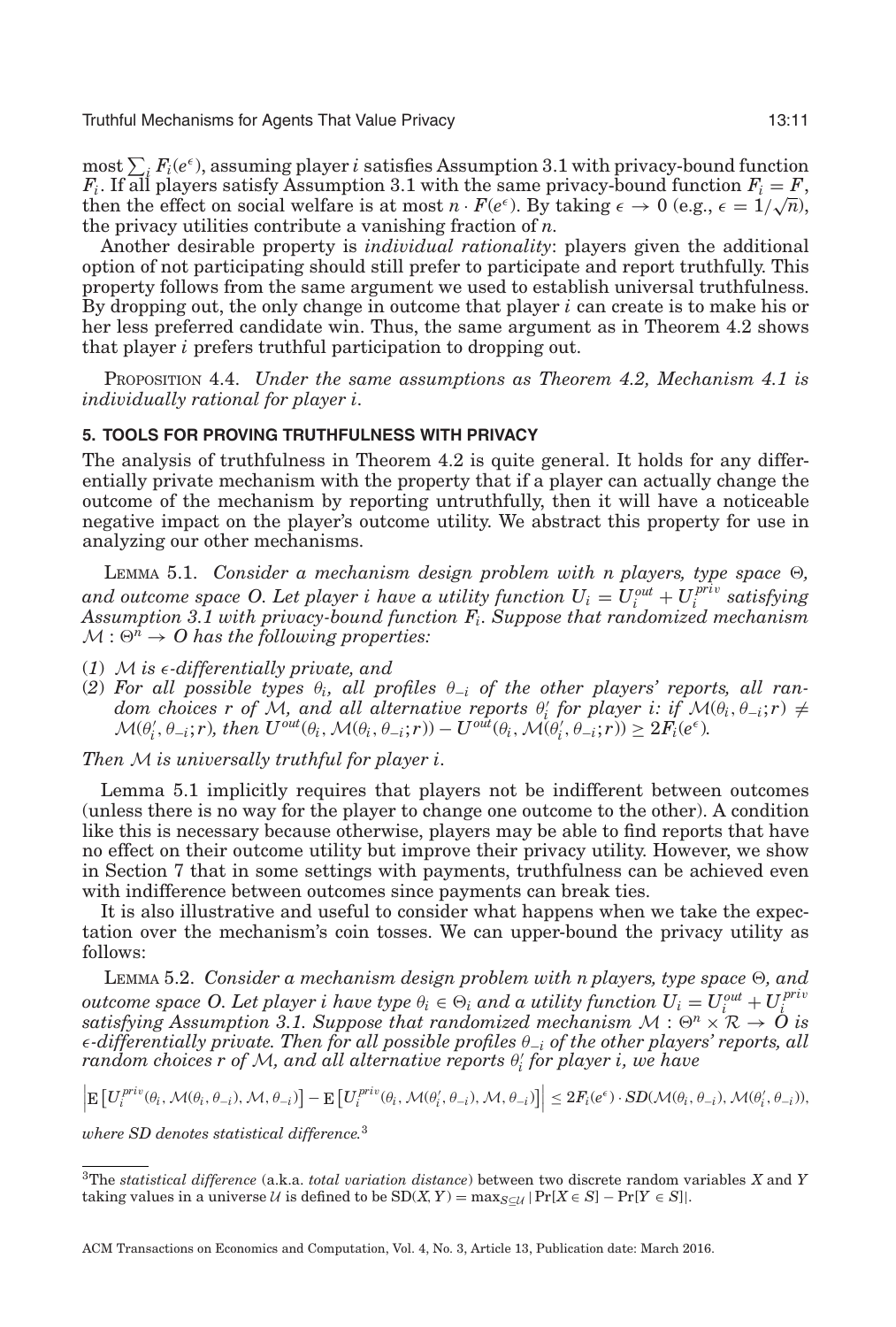$\max_{i} \sum_{i} F_i(e^{\epsilon})$ , assuming player *i* satisfies Assumption [3.1](#page-7-0) with privacy-bound function  $F_i$ . If all players satisfy Assumption [3.1](#page-7-0) with the same privacy-bound function  $F_i = F$ ,  $F_i$ . If all players satisfy Assumption 3.1 with the same privacy-bound function  $F_i = F$ , then the effect on social welfare is at most  $n \cdot F(e^{\epsilon})$ . By taking  $\epsilon \to 0$  (e.g.,  $\epsilon = 1/\sqrt{n}$ ), the privacy utilities contribute a vanishing fraction of *n*.

Another desirable property is *individual rationality*: players given the additional option of not participating should still prefer to participate and report truthfully. This property follows from the same argument we used to establish universal truthfulness. By dropping out, the only change in outcome that player *i* can create is to make his or her less preferred candidate win. Thus, the same argument as in Theorem [4.2](#page-8-1) shows that player *i* prefers truthful participation to dropping out.

PROPOSITION 4.4. *Under the same assumptions as Theorem [4.2,](#page-8-1) Mechanism [4.1](#page-8-0) is individually rational for player i.*

# **5. TOOLS FOR PROVING TRUTHFULNESS WITH PRIVACY**

The analysis of truthfulness in Theorem [4.2](#page-8-1) is quite general. It holds for any differentially private mechanism with the property that if a player can actually change the outcome of the mechanism by reporting untruthfully, then it will have a noticeable negative impact on the player's outcome utility. We abstract this property for use in analyzing our other mechanisms.

<span id="page-10-0"></span>LEMMA 5.1. *Consider a mechanism design problem with n players, type space*  $\Theta$ , *and outcome space O. Let player i have a utility function*  $U_i = U_i^{out} + U_i^{priv}$  *satisfying Assumption [3.1](#page-7-0) with privacy-bound function Fi. Suppose that randomized mechanism*  $M: \Theta^n \to O$  has the following properties:

- (*1*) M *is* -*-differentially private, and*
- (2) For all possible types  $\theta_i$ , all profiles  $\theta_{-i}$  of the other players' reports, all ran $dom \; choices \; r \; of \; \mathcal{M}, \; and \; all \; alternative \; reports \; \theta_i' \; for \; player \; i: \; if \; \mathcal{M}(\theta_i, \theta_{-i}; r) \neq 0$  $\mathcal{M}(\theta_i', \theta_{-i}; r)$ , then  $U^{out}(\theta_i, \mathcal{M}(\theta_i, \theta_{-i}; r)) - U^{out}(\theta_i, \mathcal{M}(\theta_i', \theta_{-i}; r)) \geq 2F_i(e^{\epsilon}).$

*Then* M *is universally truthful for player i.*

Lemma [5.1](#page-10-0) implicitly requires that players not be indifferent between outcomes (unless there is no way for the player to change one outcome to the other). A condition like this is necessary because otherwise, players may be able to find reports that have no effect on their outcome utility but improve their privacy utility. However, we show in Section [7](#page-14-0) that in some settings with payments, truthfulness can be achieved even with indifference between outcomes since payments can break ties.

It is also illustrative and useful to consider what happens when we take the expectation over the mechanism's coin tosses. We can upper-bound the privacy utility as follows:

<span id="page-10-2"></span>LEMMA 5.2. *Consider a mechanism design problem with n players, type space*  $\Theta$ , and  $o$ utcome space  $O.$  Let player  $i$  have type  $\theta_i \in \Theta_i$  and a utility function  $U_i = U_i^{out} + U_i^{priv}$ *satisfying Assumption [3.1.](#page-7-0)* Suppose that randomized mechanism  $M : \Theta^n \times \mathbb{R} \to \mathbb{Q}$  is -*-differentially private. Then for all possible profiles* θ<sup>−</sup>*<sup>i</sup> of the other players' reports, all random choices r of* <sup>M</sup>*, and all alternative reports* <sup>θ</sup> *<sup>i</sup> for player i, we have*

$$
\left| \mathbb{E}\left[ U_i^{priv}(\theta_i, \mathcal{M}(\theta_i, \theta_{-i}), \mathcal{M}, \theta_{-i}) \right] - \mathbb{E}\left[ U_i^{priv}(\theta_i, \mathcal{M}(\theta'_i, \theta_{-i}), \mathcal{M}, \theta_{-i}) \right] \right| \leq 2F_i(e^{\epsilon}) \cdot SD(\mathcal{M}(\theta_i, \theta_{-i}), \mathcal{M}(\theta'_i, \theta_{-i})),
$$

*where SD denotes statistical difference.*[3](#page-10-1)

<span id="page-10-1"></span><sup>3</sup>The *statistical difference* (a.k.a. *total variation distance*) between two discrete random variables *X* and *Y* taking values in a universe U is defined to be  $SD(X, Y) = \max_{S \subset U} |Pr[X \in S] - Pr[Y \in S]|$ .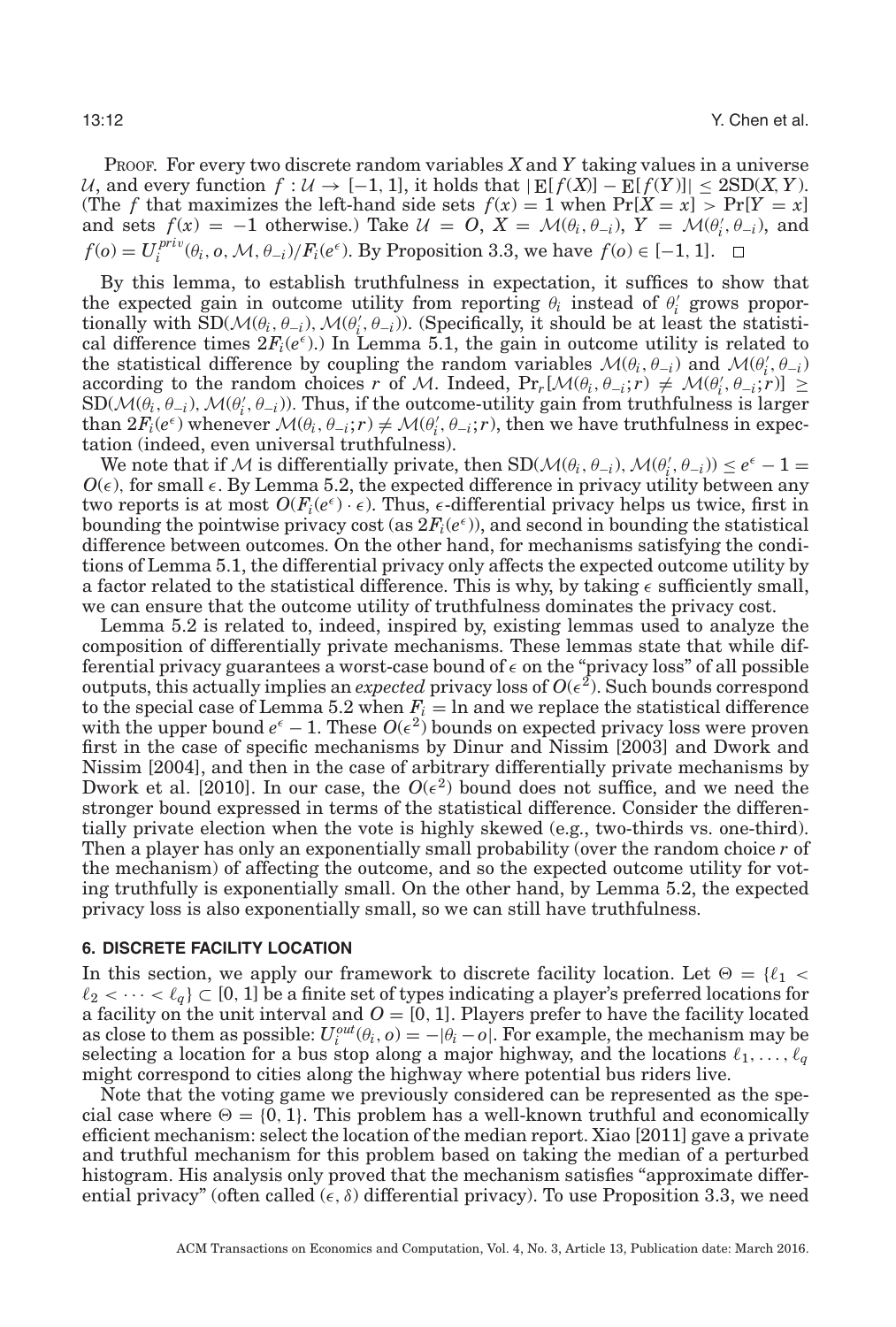PROOF. For every two discrete random variables *X* and *Y* taking values in a universe U, and every function  $f: U \to [-1, 1]$ , it holds that  $|E[f(X)] - E[f(Y)]|$  ≤ 2SD(*X,Y*). (The *f* that maximizes the left-hand side sets  $f(x) = 1$  when  $Pr[X = x] > Pr[Y = x]$ and sets  $f(x) = -1$  otherwise.) Take  $\mathcal{U} = O$ ,  $X = \mathcal{M}(\theta_i, \theta_{-i})$ ,  $Y = \mathcal{M}(\theta_i', \theta_{-i})$ , and  $f(o) = U_i^{priv}(\theta_i, o, \mathcal{M}, \theta_{-i})/F_i(e^{\epsilon}).$  By Proposition [3.3,](#page-7-1) we have  $f(o) \in [-1, 1].$ 

By this lemma, to establish truthfulness in expectation, it suffices to show that the expected gain in outcome utility from reporting  $\theta_i$  instead of  $\theta'_i$  grows proportionally with  $\text{SD}(\mathcal{M}(\theta_i, \theta_{-i}), \mathcal{M}(\theta_i', \theta_{-i}))$ . (Specifically, it should be at least the statistical difference times  $2F_i(e^{\epsilon})$ . In Lemma [5.1,](#page-10-0) the gain in outcome utility is related to the statistical difference by coupling the random variables  $\mathcal{M}(\theta_i, \theta_{-i})$  and  $\mathcal{M}(\theta'_i, \theta_{-i})$  $\text{according to the random choices } r \text{ of } \mathcal{M}. \text{ Indeed, } \text{Pr}_r[\mathcal{M}(\theta_i, \theta_{-i}; r) \neq \mathcal{M}(\theta'_i, \theta_{-i}; r)] \geq \text{Pr}_r[\mathcal{M}(\theta_i, \theta_{-i}; r) \neq \mathcal{M}(\theta'_i, \theta_{-i}; r)]$  $SD(\mathcal{M}(\theta_i, \theta_{-i}), \mathcal{M}(\theta_i', \theta_{-i}))$ . Thus, if the outcome-utility gain from truthfulness is larger than  $2F_i(e^{\epsilon})$  whenever  $\mathcal{M}(\theta_i, \theta_{-i}; r) \neq \mathcal{M}(\theta'_i, \theta_{-i}; r)$ , then we have truthfulness in expectation (indeed, even universal truthfulness).

We note that if M is differentially private, then  $SD(\mathcal{M}(\theta_i, \theta_{-i}), \mathcal{M}(\theta'_i, \theta_{-i})) \leq e^{\epsilon} - 1 =$  $O(\epsilon)$ , for small  $\epsilon$ . By Lemma [5.2,](#page-10-2) the expected difference in privacy utility between any two reports is at most  $O(F_i(e^{\epsilon}) \cdot \epsilon)$ . Thus,  $\epsilon$ -differential privacy helps us twice, first in bounding the pointwise privacy cost (as  $2F_i(e^{\epsilon})$ ), and second in bounding the statistical difference between outcomes. On the other hand, for mechanisms satisfying the conditions of Lemma [5.1,](#page-10-0) the differential privacy only affects the expected outcome utility by a factor related to the statistical difference. This is why, by taking  $\epsilon$  sufficiently small, we can ensure that the outcome utility of truthfulness dominates the privacy cost.

Lemma [5.2](#page-10-2) is related to, indeed, inspired by, existing lemmas used to analyze the composition of differentially private mechanisms. These lemmas state that while differential privacy guarantees a worst-case bound of  $\epsilon$  on the "privacy loss" of all possible outputs, this actually implies an *expected* privacy loss of  $O(\epsilon^2)$ . Such bounds correspond to the special case of Lemma [5.2](#page-10-2) when  $F_i$  = ln and we replace the statistical difference with the upper bound  $e^{\epsilon} - 1$ . These  $O(\epsilon^2)$  bounds on expected privacy loss were proven first in the case of specific mechanisms by Dinur and Nissim [\[2003\]](#page-28-9) and Dwork and Nissim [\[2004\]](#page-28-10), and then in the case of arbitrary differentially private mechanisms by Dwork et al. [\[2010\]](#page-28-1). In our case, the  $O(\epsilon^2)$  bound does not suffice, and we need the stronger bound expressed in terms of the statistical difference. Consider the differentially private election when the vote is highly skewed (e.g., two-thirds vs. one-third). Then a player has only an exponentially small probability (over the random choice *r* of the mechanism) of affecting the outcome, and so the expected outcome utility for voting truthfully is exponentially small. On the other hand, by Lemma [5.2,](#page-10-2) the expected privacy loss is also exponentially small, so we can still have truthfulness.

# **6. DISCRETE FACILITY LOCATION**

In this section, we apply our framework to discrete facility location. Let  $\Theta = \{ \ell_1 < \ell_2 \}$  $\ell_2 < \cdots < \ell_q$   $\subset$  [0, 1] be a finite set of types indicating a player's preferred locations for a facility on the unit interval and  $O = [0, 1]$ . Players prefer to have the facility located as close to them as possible:  $U_i^{out}(\theta_i, o) = -|\theta_i - o|$ . For example, the mechanism may be selecting a location for a bus stop along a major highway, and the locations  $\ell_1, \ldots, \ell_q$ might correspond to cities along the highway where potential bus riders live.

Note that the voting game we previously considered can be represented as the special case where  $\Theta = \{0, 1\}$ . This problem has a well-known truthful and economically efficient mechanism: select the location of the median report. Xiao [\[2011\]](#page-29-2) gave a private and truthful mechanism for this problem based on taking the median of a perturbed histogram. His analysis only proved that the mechanism satisfies "approximate differential privacy" (often called  $(\epsilon, \delta)$  differential privacy). To use Proposition [3.3,](#page-7-1) we need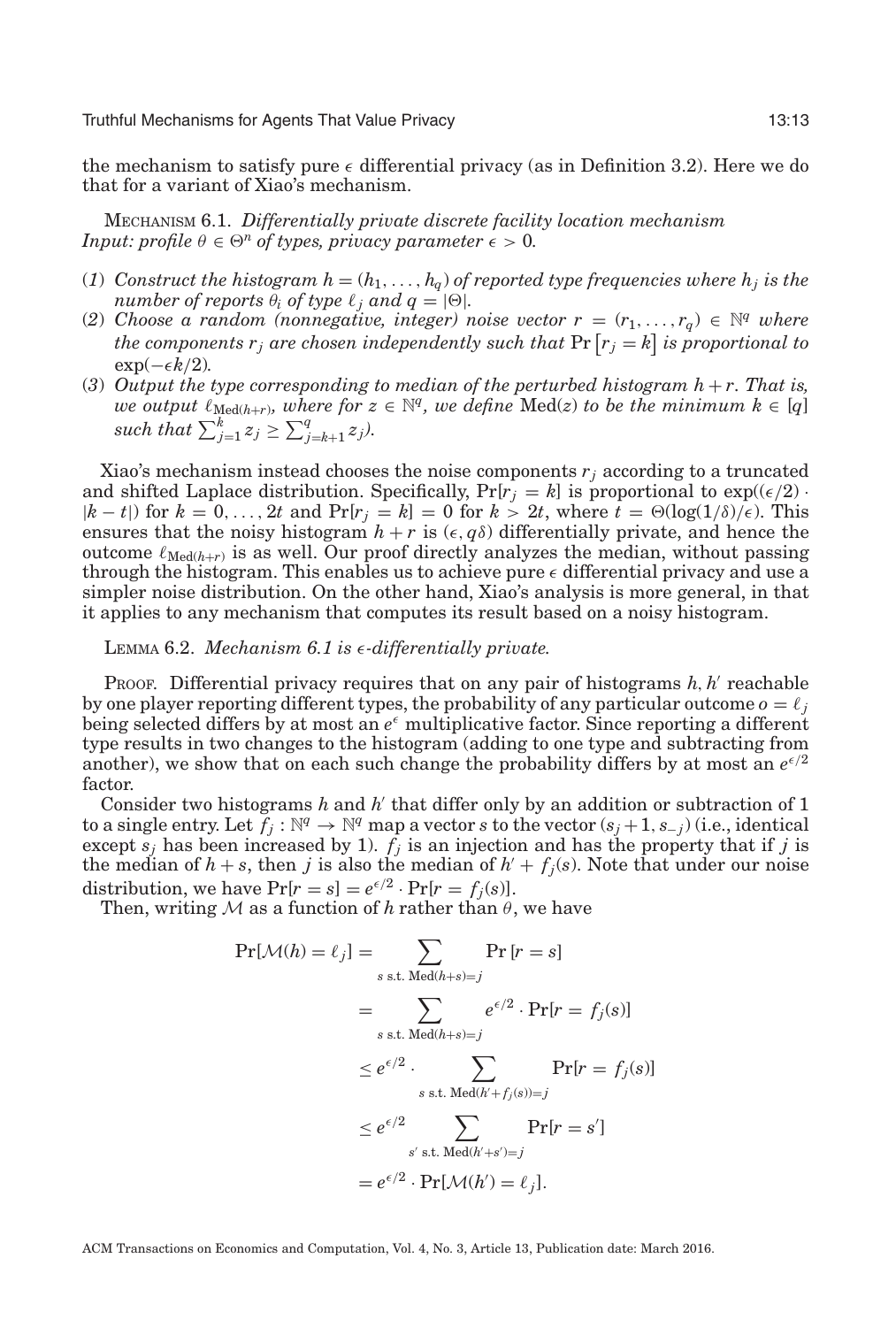the mechanism to satisfy pure  $\epsilon$  differential privacy (as in Definition [3.2\)](#page-7-2). Here we do that for a variant of Xiao's mechanism.

<span id="page-12-0"></span>MECHANISM 6.1. *Differentially private discrete facility location mechanism Input: profile*  $\theta \in \Theta^n$  *of types, privacy parameter*  $\epsilon > 0$ *.* 

- (1) *Construct the histogram*  $h = (h_1, \ldots, h_q)$  *of reported type frequencies where*  $h_j$  *is the number of reports*  $\theta_i$  *of type*  $\ell_j$  *and*  $q = |\Theta|$ *.*
- (2) *Choose a random (nonnegative, integer) noise vector*  $r = (r_1, \ldots, r_q) \in \mathbb{N}^q$  *where* the components  $r_j$  are chosen independently such that  $\Pr\left[r_j = k\right]$  is proportional to  $\exp(-\epsilon k/2)$ *.*
- (3) Output the type corresponding to median of the perturbed histogram  $h + r$ . That is, *we output*  $\ell_{\text{Med}(h+r)}$ *, where for*  $z \in \mathbb{N}^q$ *, we define* Med(*z*) *to be the minimum*  $k \in [q]$ *such that*  $\sum_{j=1}^{k} z_j \geq \sum_{j=k+1}^{q} z_j$ .

Xiao's mechanism instead chooses the noise components  $r_i$  according to a truncated and shifted Laplace distribution. Specifically,  $Pr[r_j = k]$  is proportional to  $exp((\epsilon/2) \cdot$  $|k - t|$  for  $k = 0, ..., 2t$  and  $Pr[r_j = k] = 0$  for  $k > 2t$ , where  $t = \Theta(\log(1/\delta)/\epsilon)$ . This ensures that the noisy histogram  $h + r$  is  $(\epsilon, q\delta)$  differentially private, and hence the outcome  $\ell_{\text{Med}(h+r)}$  is as well. Our proof directly analyzes the median, without passing through the histogram. This enables us to achieve pure  $\epsilon$  differential privacy and use a simpler noise distribution. On the other hand, Xiao's analysis is more general, in that it applies to any mechanism that computes its result based on a noisy histogram.

# LEMMA 6.2. *Mechanism [6.1](#page-12-0) is* -*-differentially private.*

PROOF. Differential privacy requires that on any pair of histograms  $h, h'$  reachable by one player reporting different types, the probability of any particular outcome  $o = l_j$ being selected differs by at most an  $e^{\epsilon}$  multiplicative factor. Since reporting a different type results in two changes to the histogram (adding to one type and subtracting from another), we show that on each such change the probability differs by at most an  $e^{\epsilon/2}$ factor.

Consider two histograms  $h$  and  $h'$  that differ only by an addition or subtraction of 1 to a single entry. Let  $f_j : \mathbb{N}^q \to \mathbb{N}^q$  map a vector *s* to the vector  $(s_j + 1, s_{-j})$  (i.e., identical except  $s_j$  has been increased by 1).  $f_j$  is an injection and has the property that if *j* is the median of  $h + s$ , then *j* is also the median of  $h' + f_j(s)$ . Note that under our noise distribution, we have  $Pr[r = s] = e^{\epsilon/2} \cdot Pr[r = f_j(s)]$ .

Then, writing  $M$  as a function of  $h$  rather than  $\theta$ , we have

$$
\Pr[\mathcal{M}(h) = \ell_j] = \sum_{s \text{ s.t. } \text{Med}(h+s) = j} \Pr[r = s]
$$
  
= 
$$
\sum_{s \text{ s.t. } \text{Med}(h+s) = j} e^{\epsilon/2} \cdot \Pr[r = f_j(s)]
$$
  

$$
\leq e^{\epsilon/2} \cdot \sum_{s \text{ s.t. } \text{Med}(h'+f_j(s)) = j} \Pr[r = f_j(s)]
$$
  

$$
\leq e^{\epsilon/2} \sum_{s' \text{ s.t. } \text{Med}(h'+s') = j} \Pr[r = s']
$$
  
=  $e^{\epsilon/2} \cdot \Pr[\mathcal{M}(h') = \ell_j].$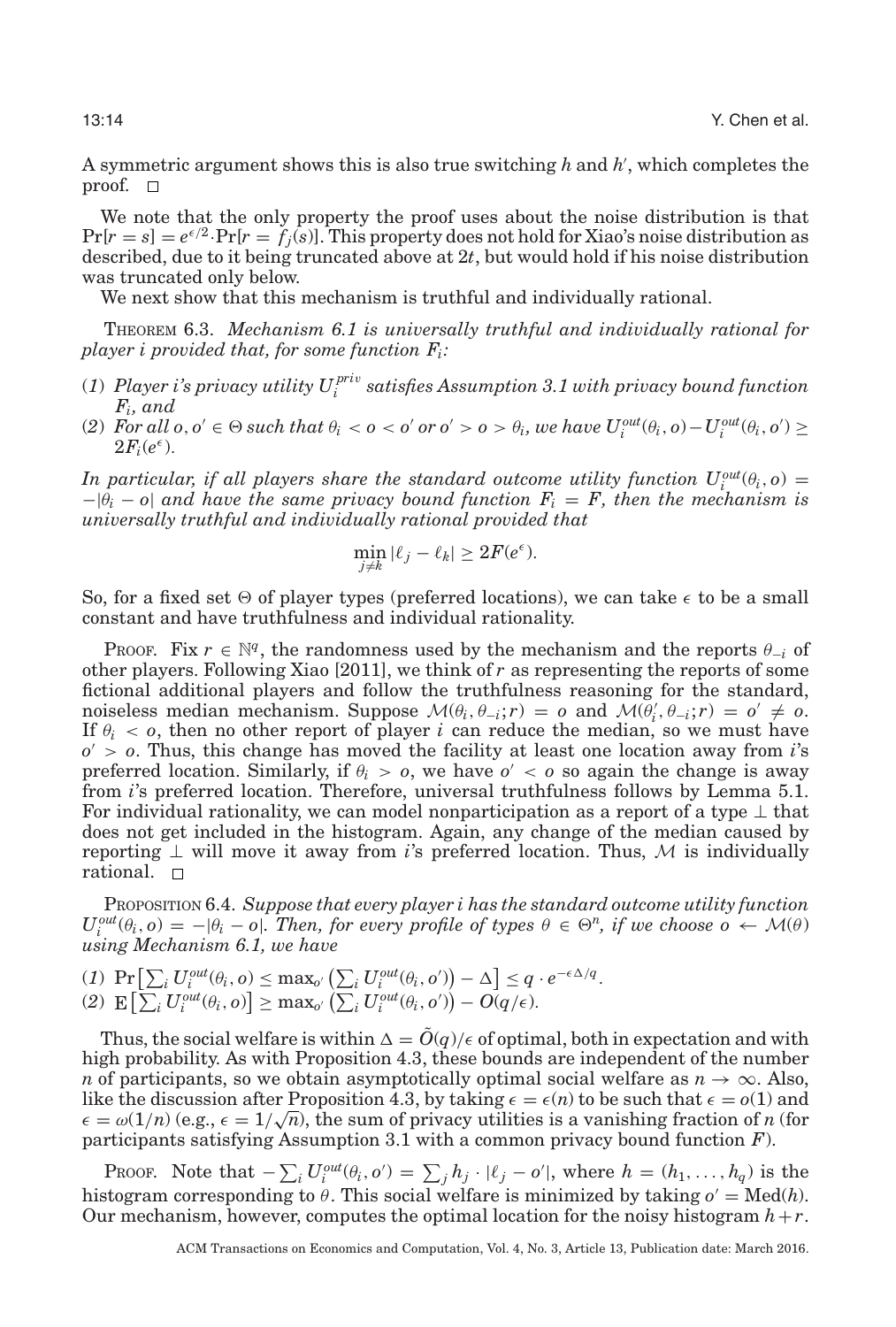A symmetric argument shows this is also true switching *h* and *h* , which completes the proof.  $\square$ 

We note that the only property the proof uses about the noise distribution is that  $Pr[r = s] = e^{\epsilon/2} \cdot Pr[r = f_j(s)]$ . This property does not hold for Xiao's noise distribution as described, due to it being truncated above at 2*t*, but would hold if his noise distribution was truncated only below.

We next show that this mechanism is truthful and individually rational.

THEOREM 6.3. *Mechanism [6.1](#page-12-0) is universally truthful and individually rational for player i provided that, for some function Fi:*

- (1)  $\emph{Player i's privacy utility } U^{priv}_{i} \emph{ satisfies Assumption 3.1 with privacy bound function}$  $\emph{Player i's privacy utility } U^{priv}_{i} \emph{ satisfies Assumption 3.1 with privacy bound function}$  $\emph{Player i's privacy utility } U^{priv}_{i} \emph{ satisfies Assumption 3.1 with privacy bound function}$ *Fi, and*
- (2) For all  $o, o' \in \Theta$  such that  $\theta_i < o < o'$  or  $o' > o > \theta_i$ , we have  $U_i^{out}(\theta_i, o) U_i^{out}(\theta_i, o') \ge$  $2F_i(e^{\epsilon})$ .

*In particular, if all players share the standard outcome utility function*  $U_i^{out}(\theta_i, o) =$  $-|\theta_i - \theta|$  *and have the same privacy bound function*  $F_i = F$ *, then the mechanism is universally truthful and individually rational provided that*

$$
\min_{j \neq k} |\ell_j - \ell_k| \geq 2F(e^{\epsilon}).
$$

So, for a fixed set  $\Theta$  of player types (preferred locations), we can take  $\epsilon$  to be a small constant and have truthfulness and individual rationality.

PROOF. Fix  $r \in \mathbb{N}^q$ , the randomness used by the mechanism and the reports  $\theta_{-i}$  of other players. Following Xiao [\[2011\]](#page-29-2), we think of *r* as representing the reports of some fictional additional players and follow the truthfulness reasoning for the standard, noiseless median mechanism. Suppose  $\mathcal{M}(\theta_i, \theta_{-i}; r) = o$  and  $\mathcal{M}(\bar{\theta}'_i, \theta_{-i}; r) = o' \neq o$ . If  $\theta_i$  < *o*, then no other report of player *i* can reduce the median, so we must have *o* > *o*. Thus, this change has moved the facility at least one location away from *i*'s preferred location. Similarly, if  $\theta_i > 0$ , we have  $o' < 0$  so again the change is away from *i*'s preferred location. Therefore, universal truthfulness follows by Lemma [5.1.](#page-10-0) For individual rationality, we can model nonparticipation as a report of a type  $\perp$  that does not get included in the histogram. Again, any change of the median caused by reporting  $\perp$  will move it away from *i*'s preferred location. Thus, M is individually rational.

PROPOSITION 6.4. *Suppose that every player i has the standard outcome utility function*  $U_i^{out}(\theta_i, o) = -|\theta_i - o|$ *. Then, for every profile of types*  $\theta \in \Theta^n$ *, if we choose*  $o \leftarrow \mathcal{M}(\theta)$ *using Mechanism [6.1,](#page-12-0) we have*

 $(I) \Pr \left[ \sum_i U_i^{out}(\theta_i, o) \le \max_{o'} \left( \sum_i U_i^{out}(\theta_i, o') \right) - \Delta \right] \le q \cdot e^{-\epsilon \Delta/q}.$  $\mathbb{E}\left[\sum_i U_i^{out}(\theta_i, o)\right] \geq \max_{o'} \left(\sum_i U_i^{out}(\theta_i, o')\right) - O(q/\epsilon).$ 

Thus, the social welfare is within  $\Delta = \tilde{O}(q)/\epsilon$  of optimal, both in expectation and with high probability. As with Proposition [4.3,](#page-9-0) these bounds are independent of the number *n* of participants, so we obtain asymptotically optimal social welfare as  $n \to \infty$ . Also, like the discussion after Proposition [4.3,](#page-9-0) by taking  $\epsilon = \epsilon(n)$  to be such that  $\epsilon = o(1)$  and The discussion after Proposition 4.3, by taking  $\epsilon = \epsilon(n)$  to be such that  $\epsilon = o(1)$  and  $\epsilon = \omega(1/n)$  (e.g.,  $\epsilon = 1/\sqrt{n}$ ), the sum of privacy utilities is a vanishing fraction of *n* (for participants satisfying Assumption [3.1](#page-7-0) with a common privacy bound function *F*).

Proof. Note that  $-\sum_i U_i^{out}(\theta_i, o') = \sum_j h_j \cdot |\ell_j - o'|$ , where  $h = (h_1, \ldots, h_q)$  is the histogram corresponding to  $\theta$ . This social welfare is minimized by taking  $o' = Med(h)$ . Our mechanism, however, computes the optimal location for the noisy histogram *h*+*r*.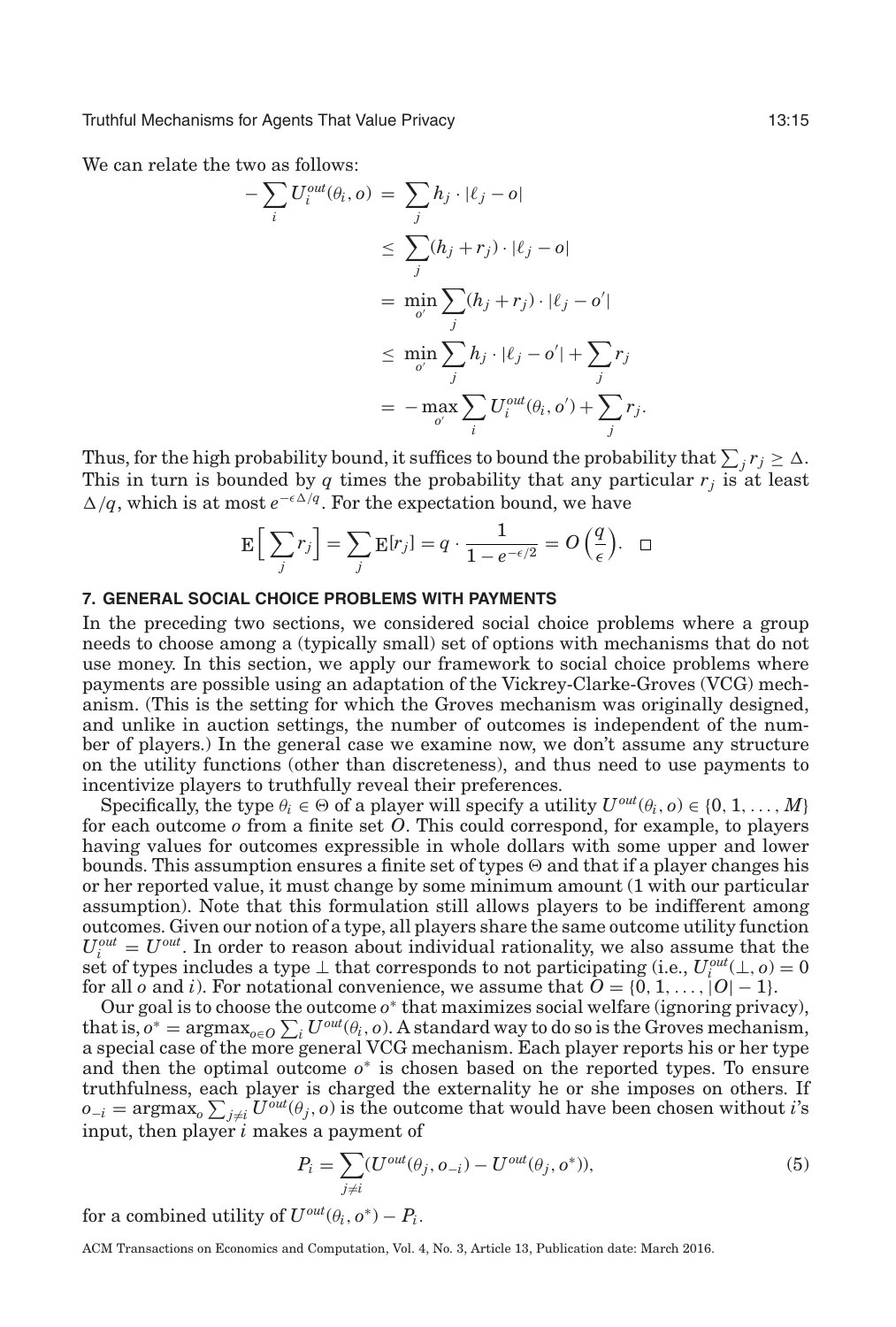We can relate the two as follows:

$$
-\sum_{i} U_{i}^{out}(\theta_{i}, o) = \sum_{j} h_{j} \cdot |\ell_{j} - o|
$$
  
\n
$$
\leq \sum_{j} (h_{j} + r_{j}) \cdot |\ell_{j} - o|
$$
  
\n
$$
= \min_{o'} \sum_{j} (h_{j} + r_{j}) \cdot |\ell_{j} - o'|
$$
  
\n
$$
\leq \min_{o'} \sum_{j} h_{j} \cdot |\ell_{j} - o'| + \sum_{j} r_{j}
$$
  
\n
$$
= - \max_{o'} \sum_{i} U_{i}^{out}(\theta_{i}, o') + \sum_{j} r_{j}.
$$

Thus, for the high probability bound, it suffices to bound the probability that  $\sum_j r_j \geq \Delta$ . This in turn is bounded by  $q$  times the probability that any particular  $r_i$  is at least  $\Delta/q$ , which is at most  $e^{-\epsilon \Delta/q}$ . For the expectation bound, we have

<span id="page-14-0"></span>
$$
\mathbf{E}\left[\sum_j r_j\right] = \sum_j \mathbf{E}[r_j] = q \cdot \frac{1}{1 - e^{-\epsilon/2}} = O\left(\frac{q}{\epsilon}\right). \quad \Box
$$

# **7. GENERAL SOCIAL CHOICE PROBLEMS WITH PAYMENTS**

In the preceding two sections, we considered social choice problems where a group needs to choose among a (typically small) set of options with mechanisms that do not use money. In this section, we apply our framework to social choice problems where payments are possible using an adaptation of the Vickrey-Clarke-Groves (VCG) mechanism. (This is the setting for which the Groves mechanism was originally designed, and unlike in auction settings, the number of outcomes is independent of the number of players.) In the general case we examine now, we don't assume any structure on the utility functions (other than discreteness), and thus need to use payments to incentivize players to truthfully reveal their preferences.

Specifically, the type  $\theta_i \in \Theta$  of a player will specify a utility  $U^{out}(\theta_i, o) \in \{0, 1, ..., M\}$ for each outcome *o* from a finite set *O*. This could correspond, for example, to players having values for outcomes expressible in whole dollars with some upper and lower bounds. This assumption ensures a finite set of types  $\Theta$  and that if a player changes his or her reported value, it must change by some minimum amount (1 with our particular assumption). Note that this formulation still allows players to be indifferent among outcomes. Given our notion of a type, all players share the same outcome utility function  $U_i^{out} = U^{out}$ . In order to reason about individual rationality, we also assume that the set of types includes a type  $\perp$  that corresponds to not participating (i.e.,  $U_i^{out}(\perp, o) = 0$ for all *o* and *i*). For notational convenience, we assume that  $O = \{0, 1, \ldots, |O| - 1\}$ .

Our goal is to choose the outcome *o*<sup>∗</sup> that maximizes social welfare (ignoring privacy), that is,  $o^* = \text{argmax}_{o \in O} \sum_i U^{out}(\theta_i, o)$ . A standard way to do so is the Groves mechanism, a special case of the more general VCG mechanism. Each player reports his or her type and then the optimal outcome  $o<sup>*</sup>$  is chosen based on the reported types. To ensure truthfulness, each player is charged the externality he or she imposes on others. If  $o_{-i} = \text{argmax}_o \sum_{j \neq i} U^{out}(\theta_j, o)$  is the outcome that would have been chosen without *i*'s input, then player *i* makes a payment of

$$
P_i = \sum_{j \neq i} (U^{out}(\theta_j, o_{-i}) - U^{out}(\theta_j, o^*)),
$$
\n<sup>(5)</sup>

for a combined utility of  $U^{out}(\theta_i, o^*) - P_i$ .

ACM Transactions on Economics and Computation, Vol. 4, No. 3, Article 13, Publication date: March 2016.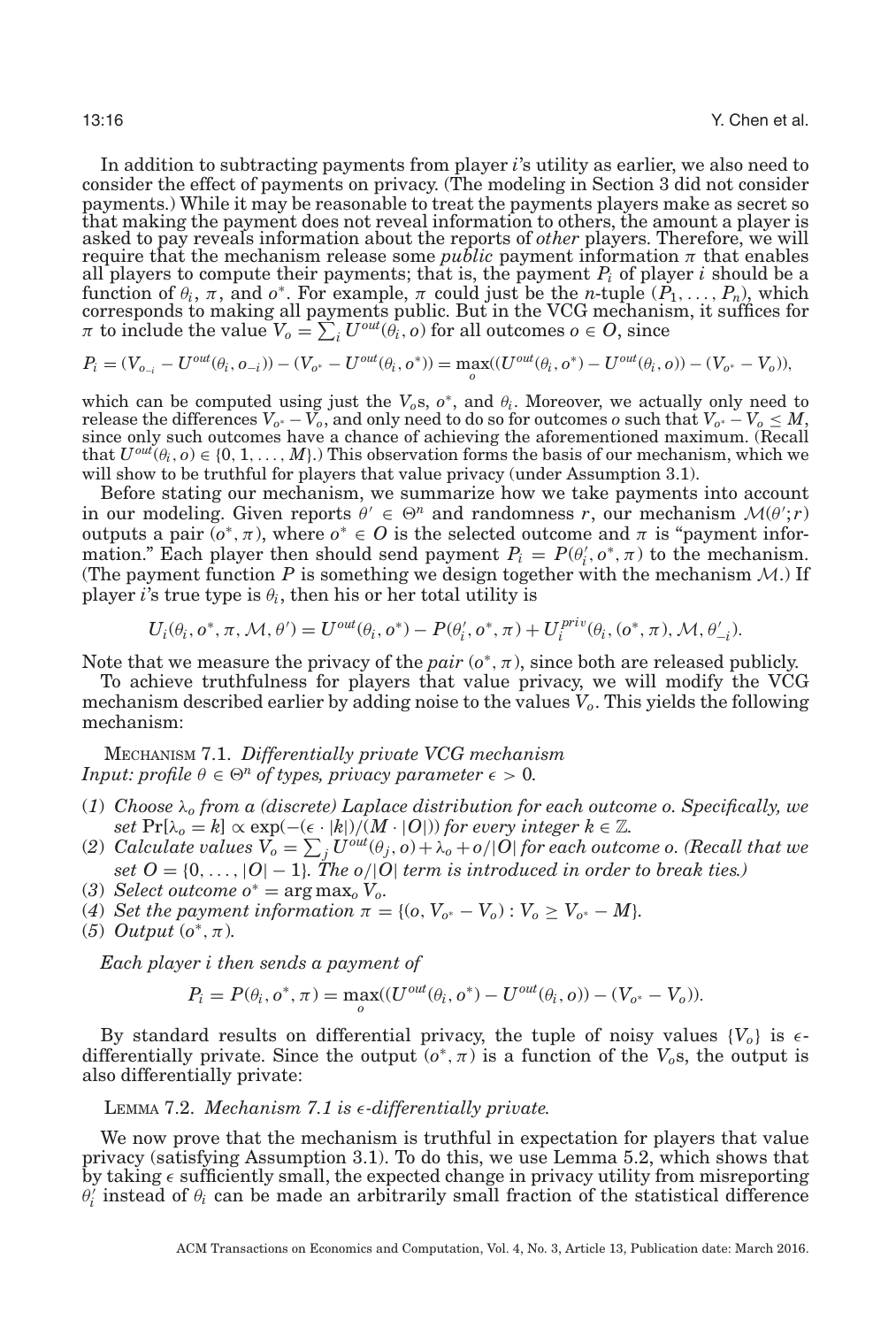In addition to subtracting payments from player *i*'s utility as earlier, we also need to consider the effect of payments on privacy. (The modeling in Section [3](#page-6-0) did not consider payments.) While it may be reasonable to treat the payments players make as secret so that making the payment does not reveal information to others, the amount a player is asked to pay reveals information about the reports of *other* players. Therefore, we will require that the mechanism release some *public* payment information  $\pi$  that enables all players to compute their payments; that is, the payment *Pi* of player *i* should be a function of  $\theta_i$ ,  $\pi$ , and  $o^*$ . For example,  $\pi$  could just be the *n*-tuple  $(P_1, \ldots, P_n)$ , which corresponds to making all payments public. But in the VCG mechanism, it suffices for  $\pi$  to include the value  $V_o = \sum_i U^{out}(\hat{\theta}_i, o)$  for all outcomes  $o \in O$ , since

$$
P_i = (V_{o_{-i}} - U^{out}(\theta_i, o_{-i})) - (V_{o^*} - U^{out}(\theta_i, o^*)) = \max_o((U^{out}(\theta_i, o^*) - U^{out}(\theta_i, o)) - (V_{o^*} - V_o)),
$$

which can be computed using just the  $V_o$ s,  $o^*$ , and  $\theta_i$ . Moreover, we actually only need to release the differences  $V_{o^*} - V_o$ , and only need to do so for outcomes  $o$  such that  $V_{o^*} - V_o \leq M,$ since only such outcomes have a chance of achieving the aforementioned maximum. (Recall that  $U^{out}(\theta_i, o) \in \{0, 1, ..., M\}$ .) This observation forms the basis of our mechanism, which we will show to be truthful for players that value privacy (under Assumption [3.1\)](#page-7-0).

Before stating our mechanism, we summarize how we take payments into account in our modeling. Given reports  $\theta' \in \Theta^n$  and randomness *r*, our mechanism  $\mathcal{M}(\theta'; r)$ outputs a pair  $(o^*, \pi)$ , where  $o^* \in O$  is the selected outcome and  $\pi$  is "payment information." Each player then should send payment  $P_i = P(\theta_i, \mathbf{o}^*, \pi)$  to the mechanism. (The payment function  $P$  is something we design together with the mechanism  $M$ .) If player *i*'s true type is  $\theta_i$ , then his or her total utility is

$$
U_i(\theta_i, o^*, \pi, \mathcal{M}, \theta') = U^{out}(\theta_i, o^*) - P(\theta_i', o^*, \pi) + U_i^{priv}(\theta_i, (o^*, \pi), \mathcal{M}, \theta_{-i}').
$$

Note that we measure the privacy of the *pair*  $(o^*, \pi)$ , since both are released publicly.

To achieve truthfulness for players that value privacy, we will modify the VCG mechanism described earlier by adding noise to the values *Vo*. This yields the following mechanism:

<span id="page-15-0"></span>MECHANISM 7.1. *Differentially private VCG mechanism Input: profile*  $\theta \in \Theta^n$  *of types, privacy parameter*  $\epsilon > 0$ *.* 

- (*1*) *Choose* λ*<sup>o</sup> from a (discrete) Laplace distribution for each outcome o. Specifically, we*  $\int \mathcal{S}$   $\mathbb{P}[\lambda_0 = k] \propto \exp(-(\epsilon \cdot |k|)/M \cdot |O|)$  *for every integer*  $k \in \mathbb{Z}$ *.*
- (2)  $\emph{Calculate values }$   $\emph{V}_{o}=\sum_{j}U^{out}(\theta_{j},o)+\lambda_{o}+o/|\emph{O}|$  for each outcome o. (Recall that we *set*  $O = \{0, \ldots, |O| - 1\}$ *. The o*/|*O*| *term is introduced in order to break ties.*)
- (3) *Select outcome*  $o^* = \arg \max_o V_o$ .
- (4) *Set the payment information*  $\pi = \{ (o, V_{o^*} V_o) : V_o \ge V_{o^*} M \}.$
- (*5*) *Output*  $(o^*, \pi)$ *.*

*Each player i then sends a payment of*

$$
P_i = P(\theta_i, o^*, \pi) = \max_{o} ((U^{out}(\theta_i, o^*) - U^{out}(\theta_i, o)) - (V_{o^*} - V_o)).
$$

By standard results on differential privacy, the tuple of noisy values  $\{V_o\}$  is  $\epsilon$ differentially private. Since the output  $(o^*, \pi)$  is a function of the  $V_o$ s, the output is also differentially private:

# LEMMA 7.2. *Mechanism [7.1](#page-15-0) is* -*-differentially private.*

We now prove that the mechanism is truthful in expectation for players that value privacy (satisfying Assumption [3.1\)](#page-7-0). To do this, we use Lemma [5.2,](#page-10-2) which shows that by taking  $\epsilon$  sufficiently small, the expected change in privacy utility from misreporting  $\theta_i^{\gamma}$  instead of  $\theta_i$  can be made an arbitrarily small fraction of the statistical difference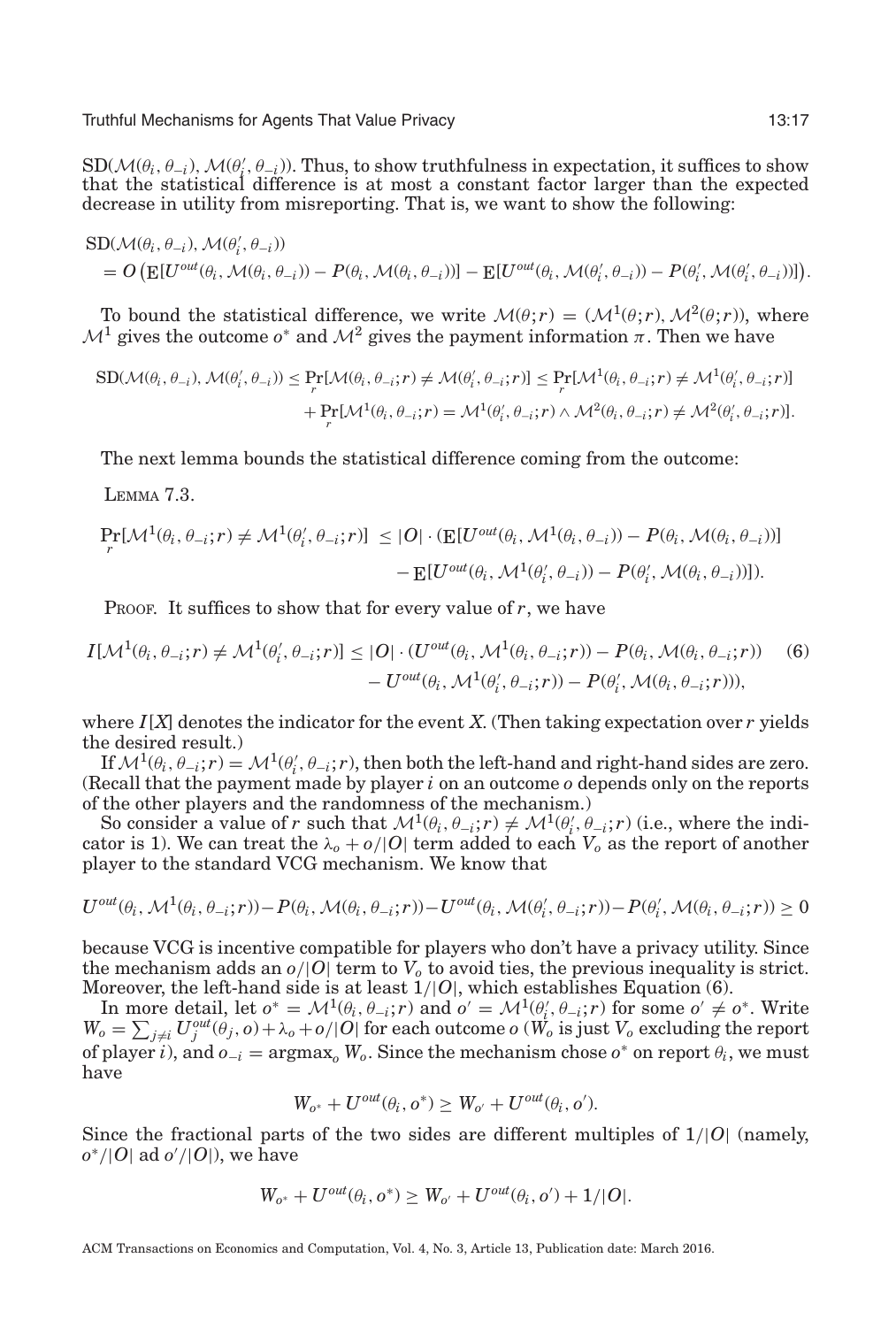$SD(\mathcal{M}(\theta_i, \theta_{-i}), \mathcal{M}(\theta'_i, \theta_{-i}))$ . Thus, to show truthfulness in expectation, it suffices to show that the statistical difference is at most a constant factor larger than the expected decrease in utility from misreporting. That is, we want to show the following:

$$
\label{eq:SD} \begin{split} &\text{SD}(\mathcal{M}(\theta_i,\theta_{-i}),\mathcal{M}(\theta'_i,\theta_{-i}))\\ &=O\left(\text{E}[U^{out}(\theta_i,\mathcal{M}(\theta_i,\theta_{-i})) - P(\theta_i,\mathcal{M}(\theta_i,\theta_{-i}))]-\text{E}[U^{out}(\theta_i,\mathcal{M}(\theta'_i,\theta_{-i})) - P(\theta'_i,\mathcal{M}(\theta'_i,\theta_{-i}))]\right). \end{split}
$$

To bound the statistical difference, we write  $\mathcal{M}(\theta; r) = (\mathcal{M}^1(\theta; r), \mathcal{M}^2(\theta; r))$ , where  $\mathcal{M}^1$  gives the outcome  $o^*$  and  $\mathcal{M}^2$  gives the payment information  $\pi$ . Then we have

$$
\begin{split} \text{SD}(\mathcal{M}(\theta_i, \theta_{-i}), \mathcal{M}(\theta'_i, \theta_{-i})) &\leq \Pr_r[\mathcal{M}(\theta_i, \theta_{-i}; r) \neq \mathcal{M}(\theta'_i, \theta_{-i}; r)] \leq \Pr_r[\mathcal{M}^1(\theta_i, \theta_{-i}; r) \neq \mathcal{M}^1(\theta'_i, \theta_{-i}; r)] \\ &+ \Pr_r[\mathcal{M}^1(\theta_i, \theta_{-i}; r) = \mathcal{M}^1(\theta'_i, \theta_{-i}; r) \land \mathcal{M}^2(\theta_i, \theta_{-i}; r) \neq \mathcal{M}^2(\theta'_i, \theta_{-i}; r)]. \end{split}
$$

The next lemma bounds the statistical difference coming from the outcome:

<span id="page-16-0"></span>LEMMA 7.3.

$$
\Pr_r[\mathcal{M}^1(\theta_i, \theta_{-i}; r) \neq \mathcal{M}^1(\theta'_i, \theta_{-i}; r)] \leq |O| \cdot (\mathbb{E}[U^{out}(\theta_i, \mathcal{M}^1(\theta_i, \theta_{-i})) - P(\theta_i, \mathcal{M}(\theta_i, \theta_{-i}))]
$$

$$
- \mathbb{E}[U^{out}(\theta_i, \mathcal{M}^1(\theta'_i, \theta_{-i})) - P(\theta'_i, \mathcal{M}(\theta_i, \theta_{-i}))]).
$$

PROOF. It suffices to show that for every value of r, we have

$$
I[\mathcal{M}^1(\theta_i, \theta_{-i}; r) \neq \mathcal{M}^1(\theta'_i, \theta_{-i}; r)] \leq |O| \cdot (U^{out}(\theta_i, \mathcal{M}^1(\theta_i, \theta_{-i}; r)) - P(\theta_i, \mathcal{M}(\theta_i, \theta_{-i}; r))
$$
(6)  

$$
- U^{out}(\theta_i, \mathcal{M}^1(\theta'_i, \theta_{-i}; r)) - P(\theta'_i, \mathcal{M}(\theta_i, \theta_{-i}; r))),
$$

where  $I[X]$  denotes the indicator for the event  $X$ . (Then taking expectation over  $r$  yields the desired result.)

If  $\mathcal{M}^1(\theta_i, \theta_{-i}; r) = \mathcal{M}^1(\theta'_i, \theta_{-i}; r)$ , then both the left-hand and right-hand sides are zero. (Recall that the payment made by player *i* on an outcome *o* depends only on the reports of the other players and the randomness of the mechanism.)

So consider a value of *r* such that  $\mathcal{M}^1(\theta_i, \theta_{-i}; r) \neq \mathcal{M}^1(\theta'_i, \theta_{-i}; r)$  (i.e., where the indicator is 1). We can treat the  $\lambda_o + o/|O|$  term added to each  $V_o$  as the report of another player to the standard VCG mechanism. We know that

$$
U^{out}(\theta_i, \mathcal{M}^1(\theta_i, \theta_{-i}; r)) - P(\theta_i, \mathcal{M}(\theta_i, \theta_{-i}; r)) - U^{out}(\theta_i, \mathcal{M}(\theta'_i, \theta_{-i}; r)) - P(\theta'_i, \mathcal{M}(\theta_i, \theta_{-i}; r)) \ge 0
$$

because VCG is incentive compatible for players who don't have a privacy utility. Since the mechanism adds an  $o/|O|$  term to  $V_o$  to avoid ties, the previous inequality is strict. Moreover, the left-hand side is at least 1/|*O*|, which establishes Equation (6).

In more detail, let  $o^* = \mathcal{M}^1(\theta_i, \theta_{-i}; r)$  and  $o' = \mathcal{M}^1(\theta'_i, \theta_{-i}; r)$  for some  $o' \neq o^*$ . Write  $W_o = \sum_{j\neq i} U_j^{out}(\theta_j, o) + \lambda_o + o/|O|$  for each outcome  $o$  ( $\tilde{W_o}$  is just  $V_o$  excluding the report of player *i*), and  $o_{-i}$  = argmax<sub> $o$ </sub>  $W_o$ . Since the mechanism chose  $o^*$  on report  $\theta_i$ , we must have

$$
W_{o^*} + U^{out}(\theta_i, o^*) \ge W_{o'} + U^{out}(\theta_i, o').
$$

Since the fractional parts of the two sides are different multiples of 1/|*O*| (namely, *o*<sup>∗</sup>/|*O*| ad *o* /|*O*|), we have

$$
W_{o^*} + U^{out}(\theta_i, o^*) \ge W_{o'} + U^{out}(\theta_i, o') + 1/|O|.
$$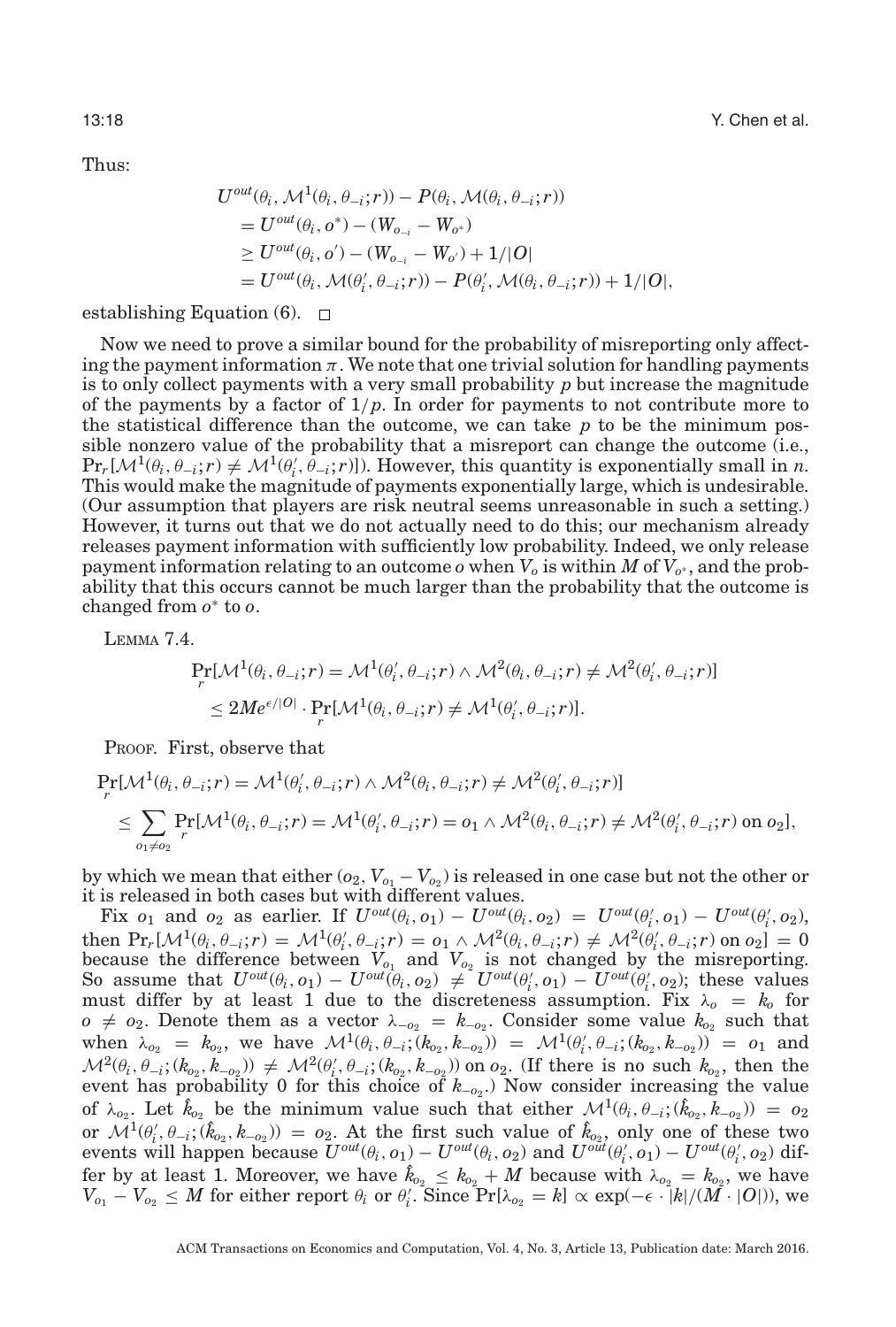Thus:

$$
U^{out}(\theta_i, \mathcal{M}^1(\theta_i, \theta_{-i}; r)) - P(\theta_i, \mathcal{M}(\theta_i, \theta_{-i}; r))
$$
  
=  $U^{out}(\theta_i, \sigma^*) - (W_{o_{-i}} - W_{o^*})$   
 $\geq U^{out}(\theta_i, \sigma') - (W_{o_{-i}} - W_{o^*}) + 1/|\mathcal{O}|$   
=  $U^{out}(\theta_i, \mathcal{M}(\theta_i', \theta_{-i}; r)) - P(\theta_i', \mathcal{M}(\theta_i, \theta_{-i}; r)) + 1/|\mathcal{O}|,$ 

establishing Equation  $(6)$ .  $\Box$ 

Now we need to prove a similar bound for the probability of misreporting only affecting the payment information  $\pi$ . We note that one trivial solution for handling payments is to only collect payments with a very small probability *p* but increase the magnitude of the payments by a factor of  $1/p$ . In order for payments to not contribute more to the statistical difference than the outcome, we can take *p* to be the minimum possible nonzero value of the probability that a misreport can change the outcome (i.e.,  $\Pr_r[\mathcal{M}^1(\theta_i, \theta_{-i}; r) \neq \mathcal{M}^1(\theta'_i, \theta_{-i}; r)]$ ). However, this quantity is exponentially small in *n*. This would make the magnitude of payments exponentially large, which is undesirable. (Our assumption that players are risk neutral seems unreasonable in such a setting.) However, it turns out that we do not actually need to do this; our mechanism already releases payment information with sufficiently low probability. Indeed, we only release payment information relating to an outcome  $o$  when  $V_o$  is within  $M$  of  $V_{o^*}$ , and the probability that this occurs cannot be much larger than the probability that the outcome is changed from *o*<sup>∗</sup> to *o*.

<span id="page-17-0"></span>LEMMA 7.4.

$$
\Pr_r[\mathcal{M}^1(\theta_i, \theta_{-i}; r) = \mathcal{M}^1(\theta'_i, \theta_{-i}; r) \land \mathcal{M}^2(\theta_i, \theta_{-i}; r) \neq \mathcal{M}^2(\theta'_i, \theta_{-i}; r)]
$$
  
\n
$$
\leq 2Me^{\epsilon/|O|} \cdot \Pr_r[\mathcal{M}^1(\theta_i, \theta_{-i}; r) \neq \mathcal{M}^1(\theta'_i, \theta_{-i}; r)].
$$

PROOF. First, observe that

$$
\Pr_r[\mathcal{M}^1(\theta_i, \theta_{-i}; r) = \mathcal{M}^1(\theta'_i, \theta_{-i}; r) \land \mathcal{M}^2(\theta_i, \theta_{-i}; r) \neq \mathcal{M}^2(\theta'_i, \theta_{-i}; r)]
$$
\n
$$
\leq \sum_{o_1 \neq o_2} \Pr[\mathcal{M}^1(\theta_i, \theta_{-i}; r) = \mathcal{M}^1(\theta'_i, \theta_{-i}; r) = o_1 \land \mathcal{M}^2(\theta_i, \theta_{-i}; r) \neq \mathcal{M}^2(\theta'_i, \theta_{-i}; r) \text{ on } o_2],
$$

by which we mean that either  $(o_2, V_{o_1} - V_{o_2})$  is released in one case but not the other or it is released in both cases but with different values.

Fix  $o_1$  and  $o_2$  as earlier. If  $U^{out}(\theta_i, o_1) - U^{out}(\theta_i, o_2) = U^{out}(\theta'_i, o_1) - U^{out}(\theta'_i, o_2)$ , then  $\Pr_r[\mathcal{M}^1(\theta_i, \theta_{-i}; r) = \mathcal{M}^1(\theta'_i, \theta_{-i}; r) = o_1 \wedge \mathcal{M}^2(\theta_i, \theta_{-i}; r) \neq \mathcal{M}^2(\theta'_i, \theta_{-i}; r)$  on  $o_2] = 0$ because the difference between  $V_{o_1}$  and  $V_{o_2}$  is not changed by the misreporting. So assume that  $U^{out}(\theta_i, o_1) - U^{out}(\theta_i, o_2) \neq U^{out}(\theta'_i, o_1) - U^{out}(\theta'_i, o_2)$ ; these values must differ by at least 1 due to the discreteness assumption. Fix  $\lambda_o = k_o$  for *o*  $\neq$  *o*<sub>2</sub>. Denote them as a vector  $\lambda_{-o_2} = k_{-o_2}$ . Consider some value  $k_{o_2}$  such that when  $\lambda_{o_2} = k_{o_2}$ , we have  $\mathcal{M}^1(\theta_i, \theta_{-i}; (k_{o_2}, k_{-o_2})) = \mathcal{M}^1(\theta'_i, \theta_{-i}; (k_{o_2}, k_{-o_2})) = o_1$  and  $\mathcal{M}^2(\theta_i, \theta_{-i}; (k_{o_2}, k_{-o_2})) \neq \mathcal{M}^2(\theta'_i, \theta_{-i}; (k_{o_2}, k_{-o_2}))$  on  $o_2$ . (If there is no such  $k_{o_2}$ , then the event has probability 0 for this choice of  $k_{-o_2}$ .) Now consider increasing the value of  $\lambda_{o_2}$ . Let  $\hat{k}_{o_2}$  be the minimum value such that either  $\mathcal{M}^1(\theta_i, \theta_{-i}; (\hat{k}_{o_2}, k_{-o_2})) = o_2$ or  $\mathcal{M}^1(\theta'_i, \theta_{-i}; (\hat{k}_{o_2}, k_{-o_2})) = o_2$ . At the first such value of  $\hat{k}_{o_2}$ , only one of these two events will happen because  $U^{out}(\theta_i, o_1) - U^{out}(\theta_i, o_2)$  and  $U^{out}(\theta'_i, o_1) - U^{out}(\theta'_i, o_2)$  differ by at least 1. Moreover, we have  $\hat{k}_{o_2} \leq k_{o_2} + M$  because with  $\lambda_{o_2} = k_{o_2}$ , we have  $V_{o_1} - V_{o_2} \leq M$  for either report  $\theta_i$  or  $\theta'_i$ . Since  $\Pr[\lambda_{o_2} = k] \propto \exp(-\epsilon \cdot |k|/(M \cdot |O|))$ , we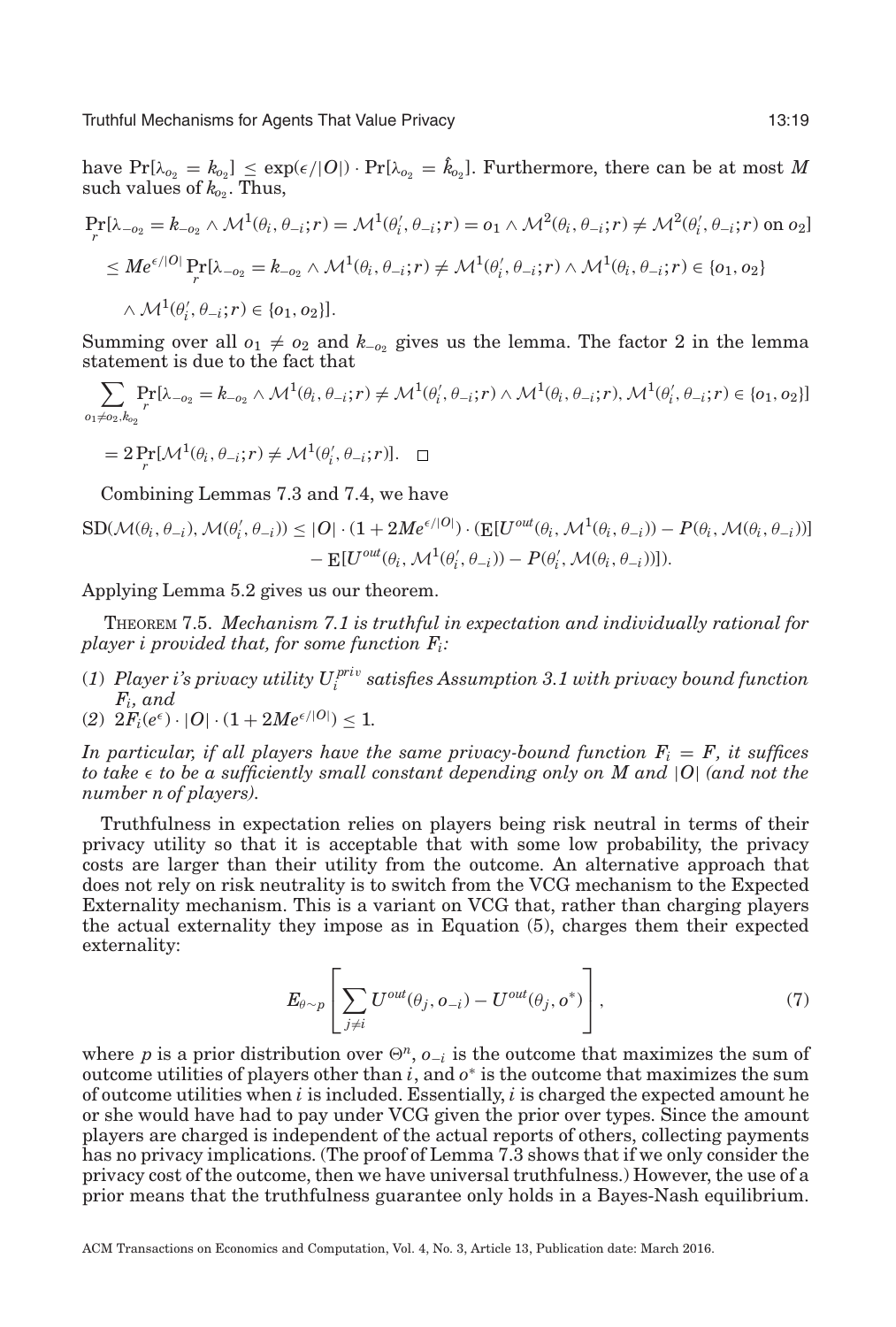$\text{have} \ \Pr[\lambda_{o_2} = k_{o_2}] \leq \exp(\epsilon/|O|) \cdot \Pr[\lambda_{o_2} = \hat{k}_{o_2}].$  Furthermore, there can be at most  $M$ such values of  $k_{02}$ . Thus,

$$
\Pr_r[\lambda_{-o_2} = k_{-o_2} \wedge \mathcal{M}^1(\theta_i, \theta_{-i}; r) = \mathcal{M}^1(\theta'_i, \theta_{-i}; r) = o_1 \wedge \mathcal{M}^2(\theta_i, \theta_{-i}; r) \neq \mathcal{M}^2(\theta'_i, \theta_{-i}; r) \text{ on } o_2]
$$
\n
$$
\leq M e^{\epsilon/|O|} \Pr_r[\lambda_{-o_2} = k_{-o_2} \wedge \mathcal{M}^1(\theta_i, \theta_{-i}; r) \neq \mathcal{M}^1(\theta'_i, \theta_{-i}; r) \wedge \mathcal{M}^1(\theta_i, \theta_{-i}; r) \in \{o_1, o_2\}
$$
\n
$$
\wedge \mathcal{M}^1(\theta'_i, \theta_{-i}; r) \in \{o_1, o_2\}].
$$

Summing over all  $o_1 \neq o_2$  and  $k_{-o_2}$  gives us the lemma. The factor 2 in the lemma statement is due to the fact that

$$
\sum_{o_1 \neq o_2, k_{o_2}} \Pr[\lambda_{-o_2} = k_{-o_2} \land \mathcal{M}^1(\theta_i, \theta_{-i}; r) \neq \mathcal{M}^1(\theta'_i, \theta_{-i}; r) \land \mathcal{M}^1(\theta_i, \theta_{-i}; r), \mathcal{M}^1(\theta'_i, \theta_{-i}; r) \in \{o_1, o_2\}]
$$

$$
= 2 \Pr_{r}[\mathcal{M}^{1}(\theta_{i}, \theta_{-i}; r) \neq \mathcal{M}^{1}(\theta'_{i}, \theta_{-i}; r)]. \quad \Box
$$

Combining Lemmas [7.3](#page-16-0) and [7.4,](#page-17-0) we have

$$
\begin{split} \text{SD}(\mathcal{M}(\theta_i, \theta_{-i}), \mathcal{M}(\theta'_i, \theta_{-i})) &\leq |O| \cdot (1 + 2M e^{\epsilon/|O|}) \cdot (\mathbb{E}[U^{out}(\theta_i, \mathcal{M}^1(\theta_i, \theta_{-i})) - P(\theta_i, \mathcal{M}(\theta_i, \theta_{-i}))] \\ &- \mathbb{E}[U^{out}(\theta_i, \mathcal{M}^1(\theta'_i, \theta_{-i})) - P(\theta'_i, \mathcal{M}(\theta_i, \theta_{-i}))]). \end{split}
$$

Applying Lemma [5.2](#page-10-2) gives us our theorem.

THEOREM 7.5. *Mechanism [7.1](#page-15-0) is truthful in expectation and individually rational for player i provided that, for some function Fi:*

(*1*) *Player i's privacy utility U pri*<sup>v</sup> *<sup>i</sup> satisfies Assumption [3.1](#page-7-0) with privacy bound function Fi, and*

(2) 
$$
2F_i(e^{\epsilon}) \cdot |O| \cdot (1 + 2Me^{\epsilon/|O|}) \le 1.
$$

*In particular, if all players have the same privacy-bound function*  $F_i = F$ *, it suffices to take* - *to be a sufficiently small constant depending only on M and* |*O*| *(and not the number n of players).*

Truthfulness in expectation relies on players being risk neutral in terms of their privacy utility so that it is acceptable that with some low probability, the privacy costs are larger than their utility from the outcome. An alternative approach that does not rely on risk neutrality is to switch from the VCG mechanism to the Expected Externality mechanism. This is a variant on VCG that, rather than charging players the actual externality they impose as in Equation (5), charges them their expected externality:

$$
E_{\theta \sim p} \left[ \sum_{j \neq i} U^{out}(\theta_j, o_{-i}) - U^{out}(\theta_j, o^*) \right], \tag{7}
$$

where *p* is a prior distribution over  $\Theta^n$ ,  $o_{-i}$  is the outcome that maximizes the sum of outcome utilities of players other than *i*, and *o*<sup>∗</sup> is the outcome that maximizes the sum of outcome utilities when *i* is included. Essentially, *i* is charged the expected amount he or she would have had to pay under VCG given the prior over types. Since the amount players are charged is independent of the actual reports of others, collecting payments has no privacy implications. (The proof of Lemma [7.3](#page-16-0) shows that if we only consider the privacy cost of the outcome, then we have universal truthfulness.) However, the use of a prior means that the truthfulness guarantee only holds in a Bayes-Nash equilibrium.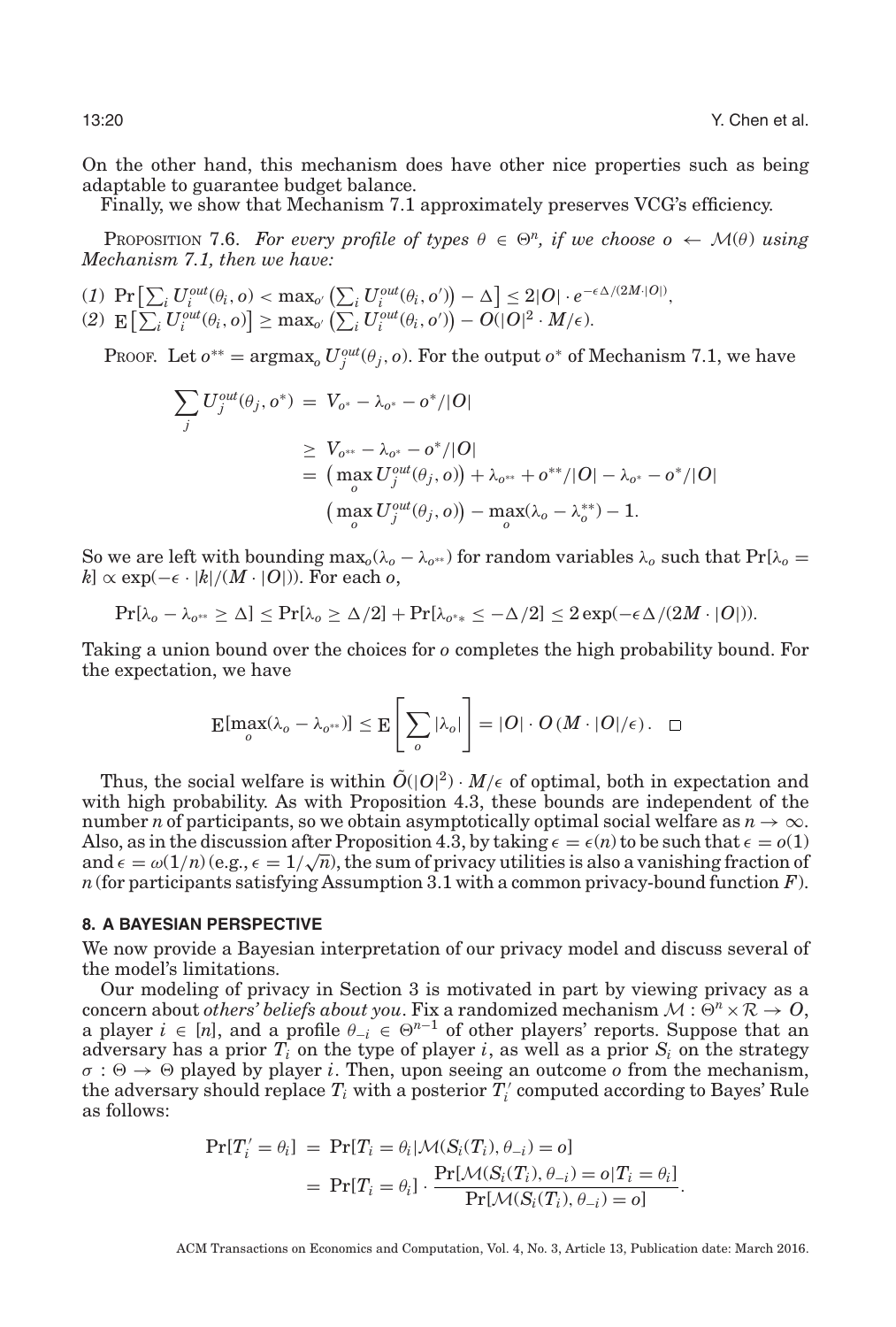On the other hand, this mechanism does have other nice properties such as being adaptable to guarantee budget balance.

Finally, we show that Mechanism [7.1](#page-15-0) approximately preserves VCG's efficiency.

**PROPOSITION 7.6.** For every profile of types  $\theta \in \Theta^n$ , if we choose  $o \leftarrow \mathcal{M}(\theta)$  using *Mechanism [7.1,](#page-15-0) then we have:*

 $\mathbb{P}\left[\sum_i U_i^{out}(\theta_i, o) < \max_{o'}\left(\sum_i U_i^{out}(\theta_i, o')\right) - \Delta\right] \leq 2|O|\cdot e^{-\epsilon\Delta/(2M\cdot |O|)},$  $\mathbb{E}\left[\sum_i U_i^{out}(\theta_i, o)\right] \geq \max_{o'}\left(\sum_i U_i^{out}(\theta_i, o')\right) - O(|O|^2 \cdot M/\epsilon).$ 

PROOF. Let  $o^{**} = \text{argmax}_o U_j^{out}(\theta_j, o)$ . For the output  $o^*$  of Mechanism [7.1,](#page-15-0) we have

$$
\sum_{j} U_{j}^{out}(\theta_{j}, o^{*}) = V_{o^{*}} - \lambda_{o^{*}} - o^{*}/|O|
$$
\n
$$
\geq V_{o^{**}} - \lambda_{o^{*}} - o^{*}/|O|
$$
\n
$$
= (\max_{o} U_{j}^{out}(\theta_{j}, o)) + \lambda_{o^{**}} + o^{**}/|O| - \lambda_{o^{*}} - o^{*}/|O|
$$
\n
$$
(\max_{o} U_{j}^{out}(\theta_{j}, o)) - \max_{o}(\lambda_{o} - \lambda_{o}^{**}) - 1.
$$

So we are left with bounding  $\max_{0}(\lambda_{0}-\lambda_{0^{**}})$  for random variables  $\lambda_{0}$  such that  $\Pr[\lambda_{0}]=$  $k$ <sup>*s*</sup> ∝ exp(− $\epsilon$  ·  $|k|/(M \cdot |O|)$ ). For each *o*,

$$
\Pr[\lambda_0 - \lambda_{0^{**}} \ge \Delta] \le \Pr[\lambda_0 \ge \Delta/2] + \Pr[\lambda_{0^{**}} \le -\Delta/2] \le 2\exp(-\epsilon \Delta/(2M \cdot |O|)).
$$

Taking a union bound over the choices for *o* completes the high probability bound. For the expectation, we have

$$
\mathop{\mathbb{E}}[\max_{o}(\lambda_{o}-\lambda_{o^{**}})] \leq \mathop{\mathbb{E}}\left[\left.\sum_{o}|\lambda_{o}|\right.\right] = |O| \cdot O(M \cdot |O|/\epsilon). \quad \Box
$$

Thus, the social welfare is within  $\tilde{O}(|O|^2) \cdot M/\epsilon$  of optimal, both in expectation and with high probability. As with Proposition [4.3,](#page-9-0) these bounds are independent of the number *n* of participants, so we obtain asymptotically optimal social welfare as  $n \to \infty$ . Also, as in the discussion after Proposition [4.3,](#page-9-0) by taking  $\epsilon = \epsilon(n)$  to be such that  $\epsilon = o(1)$ Also, as in the discussion after Proposition 4.3, by taking  $\epsilon = \epsilon(n)$  to be such that  $\epsilon = o(1)$ <br>and  $\epsilon = \omega(1/n)$  (e.g.,  $\epsilon = 1/\sqrt{n}$ ), the sum of privacy utilities is also a vanishing fraction of *n*(for participants satisfying Assumption [3.1](#page-7-0) with a common privacy-bound function *F*).

#### **8. A BAYESIAN PERSPECTIVE**

We now provide a Bayesian interpretation of our privacy model and discuss several of the model's limitations.

Our modeling of privacy in Section [3](#page-6-0) is motivated in part by viewing privacy as a concern about *others' beliefs about you*. Fix a randomized mechanism  $M : \Theta^n \times \mathbb{R} \to \mathcal{O}$ , a player  $i \in [n]$ , and a profile  $\theta_{-i} \in \Theta^{n-1}$  of other players' reports. Suppose that an adversary has a prior  $T_i$  on the type of player *i*, as well as a prior  $S_i$  on the strategy  $\sigma : \Theta \to \Theta$  played by player *i*. Then, upon seeing an outcome *o* from the mechanism, the adversary should replace  $T_i$  with a posterior  $T_i'$  computed according to Bayes' Rule as follows:

<span id="page-19-0"></span>
$$
Pr[T'_i = \theta_i] = Pr[T_i = \theta_i | \mathcal{M}(S_i(T_i), \theta_{-i}) = o]
$$
  
= 
$$
Pr[T_i = \theta_i] \cdot \frac{Pr[\mathcal{M}(S_i(T_i), \theta_{-i}) = o | T_i = \theta_i]}{Pr[\mathcal{M}(S_i(T_i), \theta_{-i}) = o]}.
$$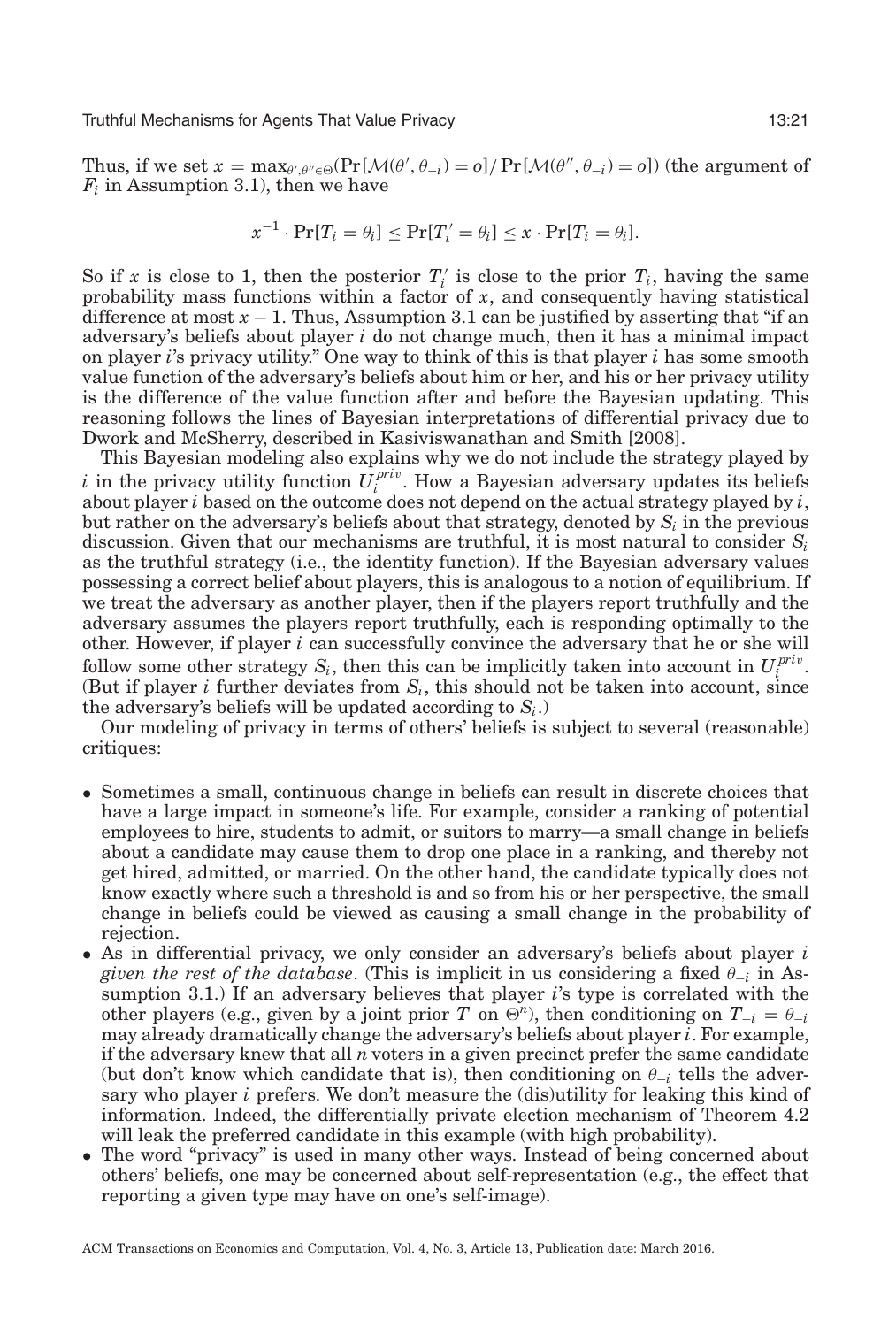Thus, if we set  $x = \max_{\theta', \theta'' \in \Theta} (\Pr[\mathcal{M}(\theta', \theta_{-i}) = o] / \Pr[\mathcal{M}(\theta'', \theta_{-i}) = o])$  (the argument of  $F_i$  in Assumption [3.1\)](#page-7-0), then we have

$$
x^{-1}\cdot \Pr[T_i = \theta_i] \le \Pr[T'_i = \theta_i] \le x\cdot \Pr[T_i = \theta_i].
$$

So if *x* is close to 1, then the posterior  $T_i$  is close to the prior  $T_i$ , having the same probability mass functions within a factor of *x*, and consequently having statistical difference at most  $x - 1$ . Thus, Assumption [3.1](#page-7-0) can be justified by asserting that "if an adversary's beliefs about player *i* do not change much, then it has a minimal impact on player *i*'s privacy utility." One way to think of this is that player *i* has some smooth value function of the adversary's beliefs about him or her, and his or her privacy utility is the difference of the value function after and before the Bayesian updating. This reasoning follows the lines of Bayesian interpretations of differential privacy due to Dwork and McSherry, described in Kasiviswanathan and Smith [\[2008\]](#page-29-4).

This Bayesian modeling also explains why we do not include the strategy played by *i* in the privacy utility function  $U_i^{priv}$ . How a Bayesian adversary updates its beliefs about player *i* based on the outcome does not depend on the actual strategy played by *i*, but rather on the adversary's beliefs about that strategy, denoted by  $S_i$  in the previous discussion. Given that our mechanisms are truthful, it is most natural to consider *Si* as the truthful strategy (i.e., the identity function). If the Bayesian adversary values possessing a correct belief about players, this is analogous to a notion of equilibrium. If we treat the adversary as another player, then if the players report truthfully and the adversary assumes the players report truthfully, each is responding optimally to the other. However, if player *i* can successfully convince the adversary that he or she will follow some other strategy  $S_i$ , then this can be implicitly taken into account in  $U_i^{priv}$ . (But if player  $i$  further deviates from  $S_i$ , this should not be taken into account, since the adversary's beliefs will be updated according to  $S_i$ .)

Our modeling of privacy in terms of others' beliefs is subject to several (reasonable) critiques:

- Sometimes a small, continuous change in beliefs can result in discrete choices that have a large impact in someone's life. For example, consider a ranking of potential employees to hire, students to admit, or suitors to marry—a small change in beliefs about a candidate may cause them to drop one place in a ranking, and thereby not get hired, admitted, or married. On the other hand, the candidate typically does not know exactly where such a threshold is and so from his or her perspective, the small change in beliefs could be viewed as causing a small change in the probability of rejection.
- As in differential privacy, we only consider an adversary's beliefs about player *i given the rest of the database.* (This is implicit in us considering a fixed  $\theta_{-i}$  in Assumption [3.1.](#page-7-0)) If an adversary believes that player *i*'s type is correlated with the other players (e.g., given by a joint prior *T* on  $\Theta^n$ ), then conditioning on  $T_{-i} = \theta_{-i}$ may already dramatically change the adversary's beliefs about player *i*. For example, if the adversary knew that all *n* voters in a given precinct prefer the same candidate (but don't know which candidate that is), then conditioning on  $\theta_{-i}$  tells the adversary who player *i* prefers. We don't measure the (dis)utility for leaking this kind of information. Indeed, the differentially private election mechanism of Theorem [4.2](#page-8-1) will leak the preferred candidate in this example (with high probability).
- The word "privacy" is used in many other ways. Instead of being concerned about others' beliefs, one may be concerned about self-representation (e.g., the effect that reporting a given type may have on one's self-image).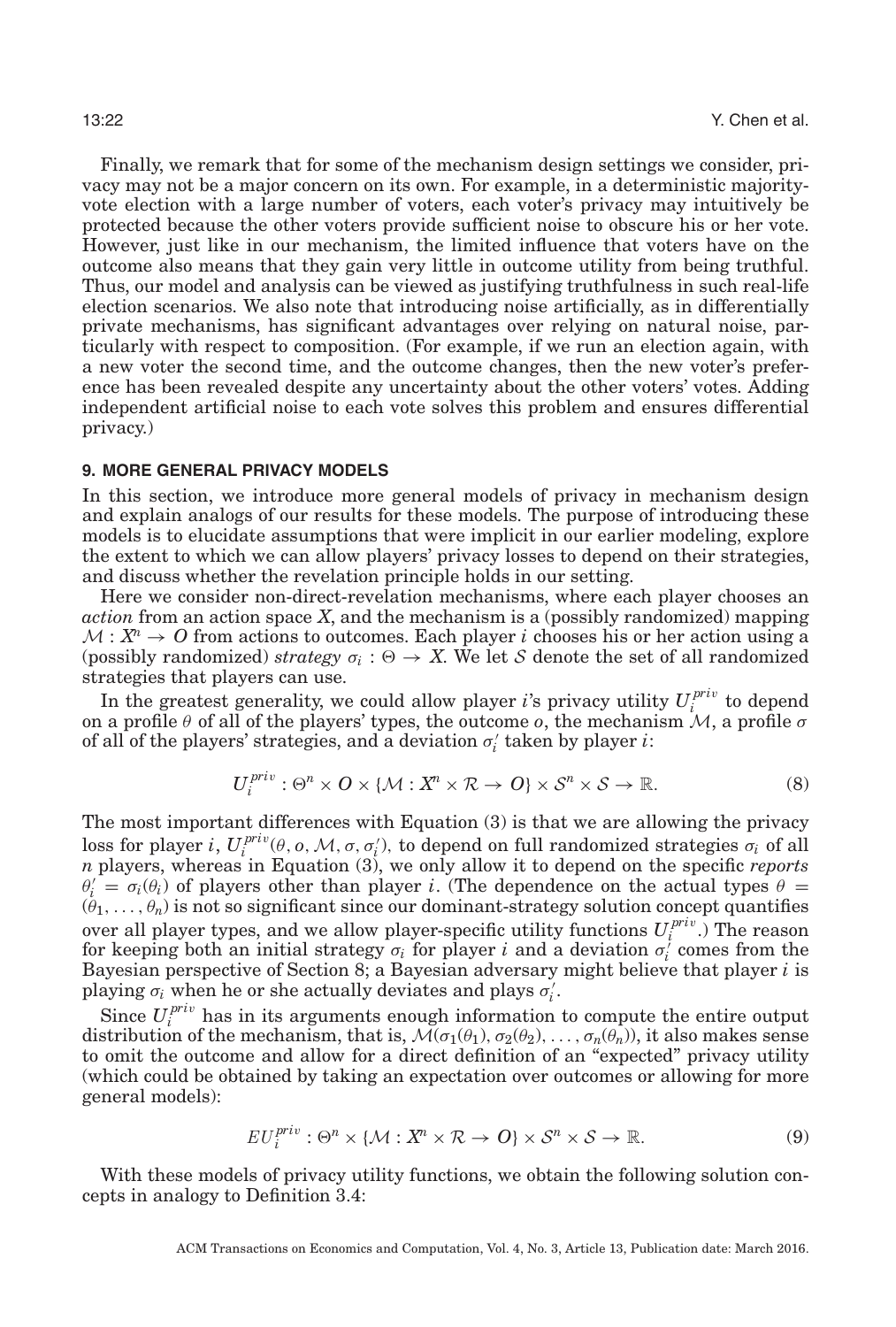Finally, we remark that for some of the mechanism design settings we consider, privacy may not be a major concern on its own. For example, in a deterministic majorityvote election with a large number of voters, each voter's privacy may intuitively be protected because the other voters provide sufficient noise to obscure his or her vote. However, just like in our mechanism, the limited influence that voters have on the outcome also means that they gain very little in outcome utility from being truthful. Thus, our model and analysis can be viewed as justifying truthfulness in such real-life election scenarios. We also note that introducing noise artificially, as in differentially private mechanisms, has significant advantages over relying on natural noise, particularly with respect to composition. (For example, if we run an election again, with a new voter the second time, and the outcome changes, then the new voter's preference has been revealed despite any uncertainty about the other voters' votes. Adding independent artificial noise to each vote solves this problem and ensures differential privacy.)

# **9. MORE GENERAL PRIVACY MODELS**

<span id="page-21-0"></span>In this section, we introduce more general models of privacy in mechanism design and explain analogs of our results for these models. The purpose of introducing these models is to elucidate assumptions that were implicit in our earlier modeling, explore the extent to which we can allow players' privacy losses to depend on their strategies, and discuss whether the revelation principle holds in our setting.

Here we consider non-direct-revelation mechanisms, where each player chooses an *action* from an action space *X*, and the mechanism is a (possibly randomized) mapping  $M: \mathbb{X}^n \to \mathbb{O}$  from actions to outcomes. Each player *i* chooses his or her action using a (possibly randomized) *strategy*  $\sigma_i$ :  $\Theta \to X$ . We let S denote the set of all randomized strategies that players can use.

In the greatest generality, we could allow player *i*'s privacy utility  $U_i^{priv}$  to depend on a profile  $\theta$  of all of the players' types, the outcome *o*, the mechanism  $\mathcal{M}$ , a profile  $\sigma$ of all of the players' strategies, and a deviation  $\sigma_i'$  taken by player *i*:

$$
U_i^{priv}: \Theta^n \times O \times \{ \mathcal{M} : X^n \times \mathcal{R} \to O \} \times \mathcal{S}^n \times \mathcal{S} \to \mathbb{R}.
$$
 (8)

The most important differences with Equation (3) is that we are allowing the privacy loss for player *i*,  $U_i^{priv}(\theta, o, M, \sigma, \sigma_i')$ , to depend on full randomized strategies  $\sigma_i$  of all *n* players, whereas in Equation (3), we only allow it to depend on the specific *reports*  $\theta_i' = \sigma_i(\theta_i)$  of players other than player *i*. (The dependence on the actual types  $\theta =$  $(\theta_1,\ldots,\theta_n)$  is not so significant since our dominant-strategy solution concept quantifies over all player types, and we allow player-specific utility functions  $U_i^{priv}$ .) The reason for keeping both an initial strategy  $\sigma_i$  for player *i* and a deviation  $\sigma_i^j$  comes from the Bayesian perspective of Section [8;](#page-19-0) a Bayesian adversary might believe that player *i* is playing  $\sigma_i$  when he or she actually deviates and plays  $\sigma'_i$ .

Since  $U_i^{priv}$  has in its arguments enough information to compute the entire output distribution of the mechanism, that is,  $M(\sigma_1(\theta_1), \sigma_2(\theta_2), \ldots, \sigma_n(\theta_n))$ , it also makes sense to omit the outcome and allow for a direct definition of an "expected" privacy utility (which could be obtained by taking an expectation over outcomes or allowing for more general models):

$$
EU_i^{priv}: \Theta^n \times \{ \mathcal{M} : X^n \times \mathcal{R} \to \mathcal{O} \} \times \mathcal{S}^n \times \mathcal{S} \to \mathbb{R}.
$$
 (9)

With these models of privacy utility functions, we obtain the following solution concepts in analogy to Definition [3.4:](#page-8-2)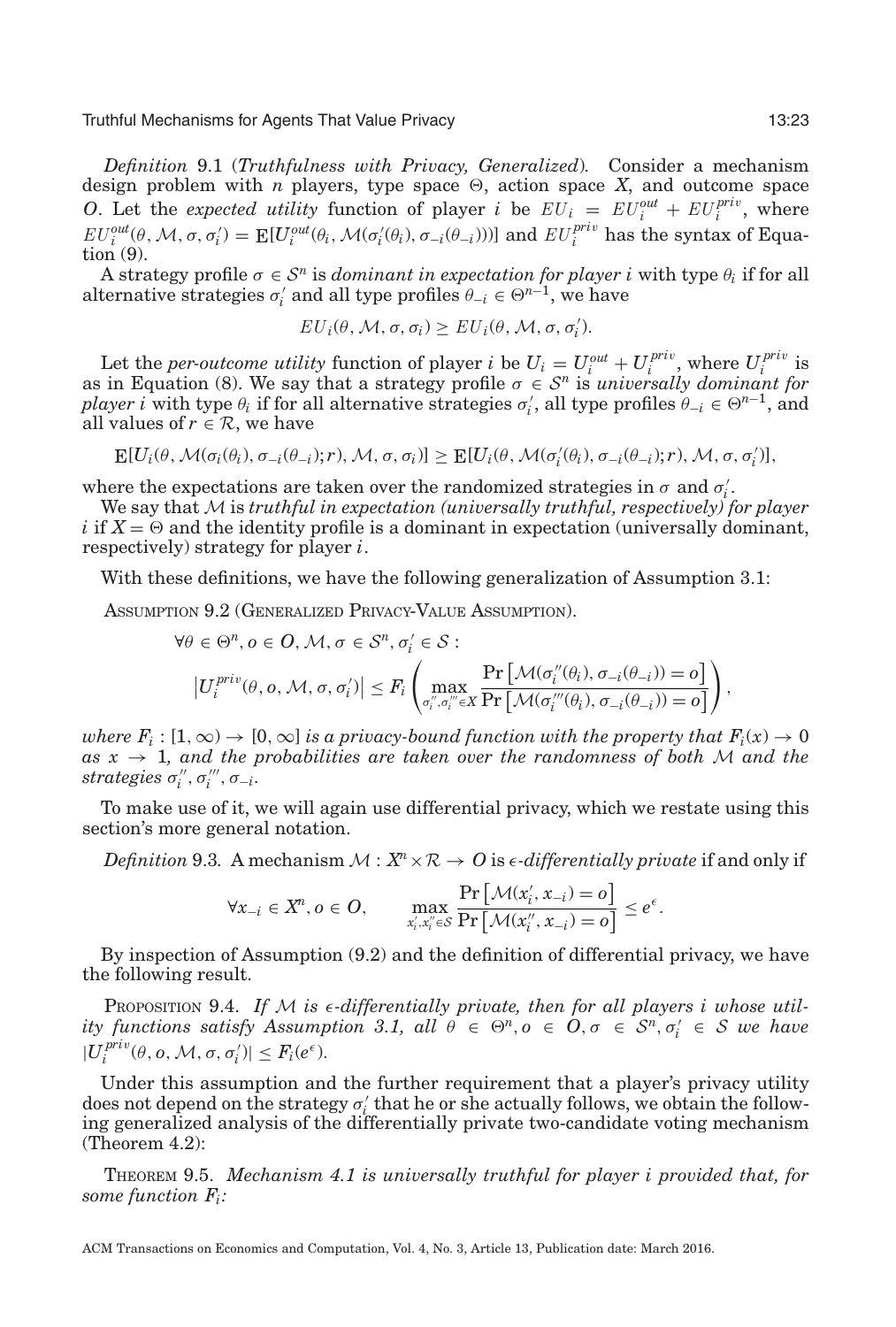<span id="page-22-2"></span>*Definition* 9.1 (*Truthfulness with Privacy, Generalized*)*.* Consider a mechanism design problem with  $n$  players, type space  $\Theta$ , action space  $X$ , and outcome space *O*. Let the *expected utility* function of player *i* be  $EU_i = EU_i^{out} + EU_i^{priv}$ , where  $EU_i^{out}(\theta, \mathcal{M}, \sigma, \sigma_i') = \mathbb{E}[U_i^{out}(\theta_i, \mathcal{M}(\sigma_i'(\theta_i), \sigma_{-i}(\theta_{-i})))]$  and  $EU_i^{priv}$  has the syntax of Equation (9).

A strategy profile  $\sigma \in \mathcal{S}^n$  is *dominant in expectation for player i* with type  $\theta_i$  if for all alternative strategies  $\sigma'_i$  and all type profiles  $\theta_{-i} \in \Theta^{n-1}$ , we have

$$
EU_i(\theta, M, \sigma, \sigma_i) \geq EU_i(\theta, M, \sigma, \sigma'_i).
$$

Let the *per-outcome utility* function of player *i* be  $U_i = U_i^{out} + U_i^{priv}$ , where  $U_i^{priv}$  is as in Equation (8). We say that a strategy profile  $\sigma \in S^n$  is *universally dominant for player i* with type  $\theta_i$  if for all alternative strategies  $\sigma'_i$ , all type profiles  $\theta_{-i} \in \Theta^{n-1}$ , and all values of  $r \in \mathcal{R}$ , we have

$$
\mathop{\mathbf{E}}[U_i(\theta,\mathcal{M}(\sigma_i(\theta_i),\sigma_{-i}(\theta_{-i});r),\mathcal{M},\sigma,\sigma_i)] \geq \mathop{\mathbf{E}}[U_i(\theta,\mathcal{M}(\sigma'_i(\theta_i),\sigma_{-i}(\theta_{-i});r),\mathcal{M},\sigma,\sigma'_i)],
$$

where the expectations are taken over the randomized strategies in  $\sigma$  and  $\sigma_i'$ .

We say that M is *truthful in expectation (universally truthful, respectively) for player i* if  $X = \Theta$  and the identity profile is a dominant in expectation (universally dominant, respectively) strategy for player *i*.

With these definitions, we have the following generalization of Assumption [3.1:](#page-7-0)

<span id="page-22-0"></span>ASSUMPTION 9.2 (GENERALIZED PRIVACY-VALUE ASSUMPTION).

$$
\forall \theta \in \Theta^n, o \in O, \mathcal{M}, \sigma \in \mathcal{S}^n, \sigma'_i \in \mathcal{S} : \left| U_i^{priv}(\theta, o, \mathcal{M}, \sigma, \sigma'_i) \right| \leq F_i \left( \max_{\sigma''_i, \sigma''_i \in X} \frac{\Pr\left[ \mathcal{M}(\sigma''_i(\theta_i), \sigma_{-i}(\theta_{-i})) = o \right]}{\Pr\left[ \mathcal{M}(\sigma''_i(\theta_i), \sigma_{-i}(\theta_{-i})) = o \right]} \right),
$$

*where*  $F_i : [1, \infty) \to [0, \infty]$  *is a privacy-bound function with the property that*  $F_i(x) \to 0$  $as x \rightarrow 1$ , and the probabilities are taken over the randomness of both M and the  $strategies \sigma''_i, \sigma'''_i, \sigma^{-1}_{i}$ 

To make use of it, we will again use differential privacy, which we restate using this section's more general notation.

*Definition* 9.3. A mechanism  $\mathcal{M}: X^n \times \mathcal{R} \to \mathcal{O}$  is  $\epsilon$ -differentially private if and only if

$$
\forall x_{-i} \in X^n, o \in O, \quad \max_{x'_i, x''_i \in S} \frac{\Pr\left[\mathcal{M}(x'_i, x_{-i}) = o\right]}{\Pr\left[\mathcal{M}(x''_i, x_{-i}) = o\right]} \le e^{\epsilon}.
$$

By inspection of Assumption [\(9.2\)](#page-22-0) and the definition of differential privacy, we have the following result.

<span id="page-22-1"></span>PROPOSITION 9.4. If M is  $\epsilon$ -differentially private, then for all players i whose util-*ity functions satisfy Assumption [3.1,](#page-7-0)*  $all \theta \in \Theta^n, o \in O, \sigma \in S^n, \sigma_i' \in S$  we have  $|U_i^{priv}(\theta, o, M, \sigma, \sigma'_i)| \leq F_i(e^{\epsilon}).$ 

Under this assumption and the further requirement that a player's privacy utility does not depend on the strategy  $\sigma'_i$  that he or she actually follows, we obtain the following generalized analysis of the differentially private two-candidate voting mechanism (Theorem [4.2\)](#page-8-1):

THEOREM 9.5. *Mechanism [4.1](#page-8-0) is universally truthful for player i provided that, for some function Fi:*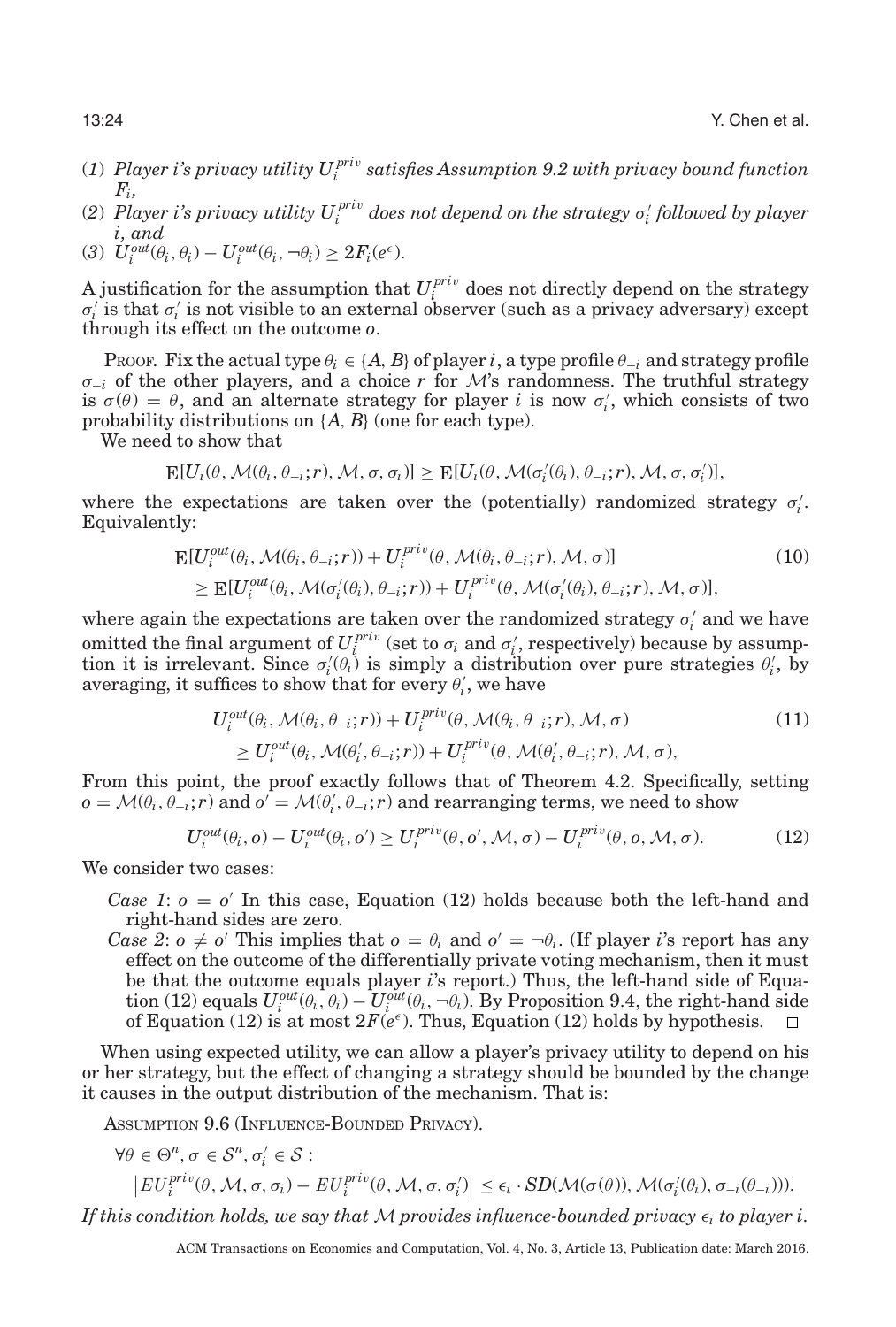- (*1*) *Player i's privacy utility U pri*<sup>v</sup> *<sup>i</sup> satisfies Assumption [9.2](#page-22-0) with privacy bound function Fi,*
- (2)  $Player$  i's privacy utility  $U_i^{priv}$  does not depend on the strategy  $\sigma'_i$  followed by player *i, and*
- (3)  $U_i^{out}(\theta_i, \theta_i) U_i^{out}(\theta_i, \neg \theta_i) \geq 2F_i(e^{\epsilon}).$

A justification for the assumption that  $U_i^{priv}$  does not directly depend on the strategy  $\sigma'_{i}$  is that  $\sigma'_{i}$  is not visible to an external observer (such as a privacy adversary) except through its effect on the outcome *o*.

PROOF. Fix the actual type  $\theta_i \in \{A, B\}$  of player *i*, a type profile  $\theta_{-i}$  and strategy profile σ<sup>−</sup>*<sup>i</sup>* of the other players, and a choice *r* for M's randomness. The truthful strategy is  $\sigma(\theta) = \theta$ , and an alternate strategy for player *i* is now  $\sigma'_i$ , which consists of two probability distributions on {*A*, *B*} (one for each type).

We need to show that

$$
\mathbb{E}[U_i(\theta, \mathcal{M}(\theta_i, \theta_{-i}; r), \mathcal{M}, \sigma, \sigma_i)] \geq \mathbb{E}[U_i(\theta, \mathcal{M}(\sigma'_i(\theta_i), \theta_{-i}; r), \mathcal{M}, \sigma, \sigma'_i)],
$$

where the expectations are taken over the (potentially) randomized strategy  $\sigma_i'$ . Equivalently:

$$
\mathbf{E}[U_i^{out}(\theta_i, \mathcal{M}(\theta_i, \theta_{-i}; r)) + U_i^{priv}(\theta, \mathcal{M}(\theta_i, \theta_{-i}; r), \mathcal{M}, \sigma)]
$$
\n
$$
\geq \mathbf{E}[U_i^{out}(\theta_i, \mathcal{M}(\sigma_i'(\theta_i), \theta_{-i}; r)) + U_i^{priv}(\theta, \mathcal{M}(\sigma_i'(\theta_i), \theta_{-i}; r), \mathcal{M}, \sigma)],
$$
\n(10)

where again the expectations are taken over the randomized strategy  $\sigma_i'$  and we have omitted the final argument of  $U_i^{priv}$  (set to  $\sigma_i$  and  $\sigma'_i$ , respectively) because by assumption it is irrelevant. Since  $\sigma'_i(\theta_i)$  is simply a distribution over pure strategies  $\theta'_i$ , by averaging, it suffices to show that for every  $\theta_i'$ , we have

$$
U_i^{out}(\theta_i, \mathcal{M}(\theta_i, \theta_{-i}; r)) + U_i^{priv}(\theta, \mathcal{M}(\theta_i, \theta_{-i}; r), \mathcal{M}, \sigma)
$$
  
\n
$$
\geq U_i^{out}(\theta_i, \mathcal{M}(\theta_i', \theta_{-i}; r)) + U_i^{priv}(\theta, \mathcal{M}(\theta_i', \theta_{-i}; r), \mathcal{M}, \sigma),
$$
\n(11)

From this point, the proof exactly follows that of Theorem [4.2.](#page-8-1) Specifically, setting  $o = \mathcal{M}(\theta_i, \theta_{-i}; r)$  and  $o' = \mathcal{M}(\theta'_i, \theta_{-i}; r)$  and rearranging terms, we need to show

$$
U_i^{out}(\theta_i, o) - U_i^{out}(\theta_i, o') \ge U_i^{priv}(\theta, o', \mathcal{M}, \sigma) - U_i^{priv}(\theta, o, \mathcal{M}, \sigma).
$$
 (12)

We consider two cases:

- *Case 1*:  $o = o'$  In this case, Equation (12) holds because both the left-hand and right-hand sides are zero.
- *Case 2*:  $o \neq o'$  This implies that  $o = \theta_i$  and  $o' = \theta_i$ . (If player *i*'s report has any effect on the outcome of the differentially private voting mechanism, then it must be that the outcome equals player *i*'s report.) Thus, the left-hand side of Equation (12) equals  $U_i^{out}(\theta_i, \theta_i) - U_i^{out}(\theta_i, -\theta_i)$ . By Proposition [9.4,](#page-22-1) the right-hand side of Equation (12) is at most  $2F(e^{\epsilon})$ . Thus, Equation (12) holds by hypothesis.

When using expected utility, we can allow a player's privacy utility to depend on his or her strategy, but the effect of changing a strategy should be bounded by the change it causes in the output distribution of the mechanism. That is:

ASSUMPTION 9.6 (INFLUENCE-BOUNDED PRIVACY).

<span id="page-23-0"></span>
$$
\forall \theta \in \Theta^n, \sigma \in \mathcal{S}^n, \sigma'_i \in \mathcal{S}:
$$

$$
\left| EU_i^{priv}(\theta, \mathcal{M}, \sigma, \sigma_i) - EU_i^{priv}(\theta, \mathcal{M}, \sigma, \sigma'_i) \right| \le \epsilon_i \cdot SD(\mathcal{M}(\sigma(\theta)), \mathcal{M}(\sigma'_i(\theta_i), \sigma_{-i}(\theta_{-i}))).
$$

If this condition holds, we say that  $\mathcal M$  provides influence-bounded privacy  $\epsilon_i$  to player i.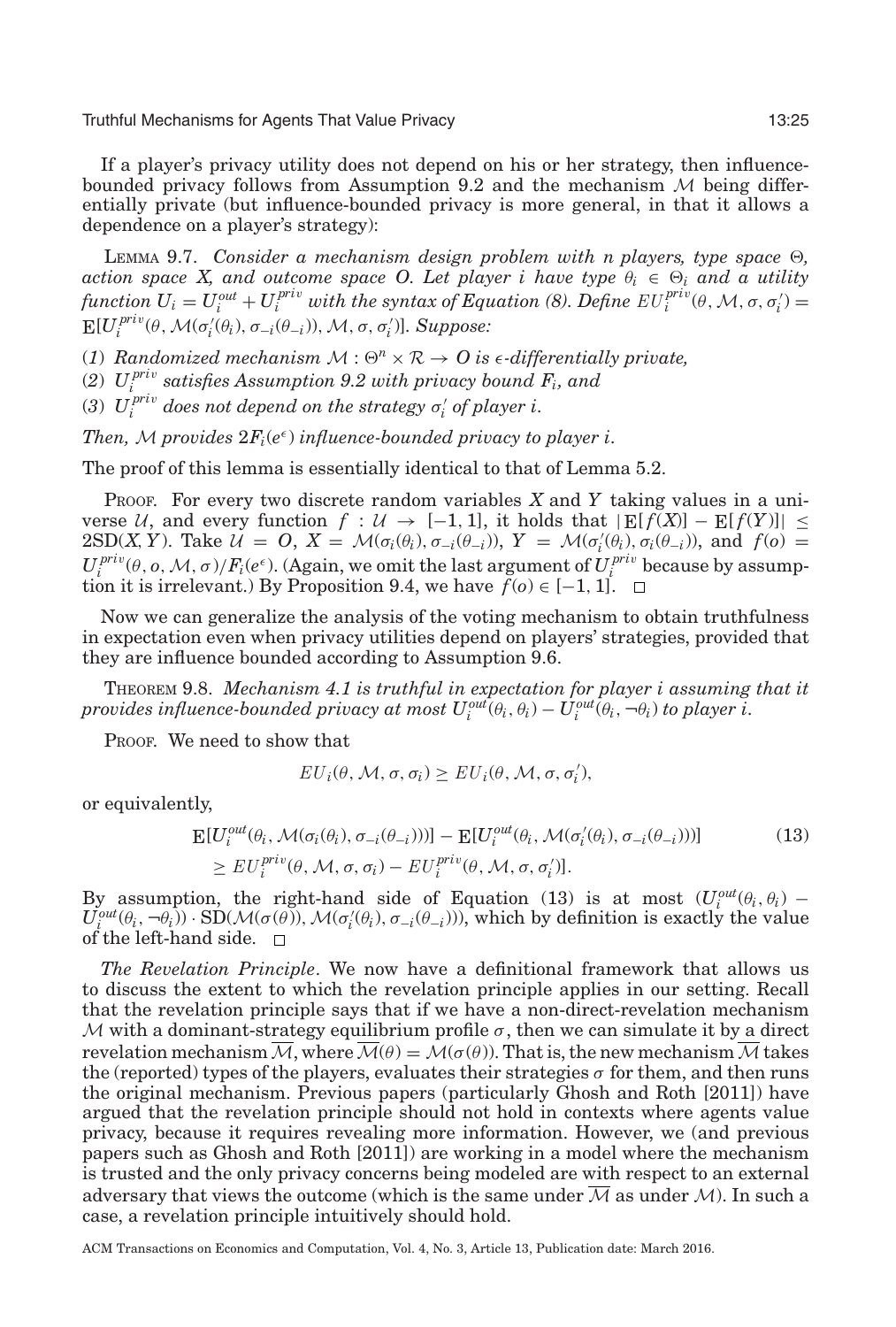If a player's privacy utility does not depend on his or her strategy, then influence-bounded privacy follows from Assumption [9.2](#page-22-0) and the mechanism  $M$  being differentially private (but influence-bounded privacy is more general, in that it allows a dependence on a player's strategy):

LEMMA 9.7. *Consider a mechanism design problem with n players, type space*  $\Theta$ , *action space X, and outcome space O. Let player i have type*  $\theta_i \in \Theta_i$  and a utility *function*  $U_i = U_i^{out} + U_i^{priv}$  *with the syntax of Equation (8). Define*  $EU_i^{priv}(\theta, \mathcal{M}, \sigma, \sigma_i')$  $\mathbb{E}[U_i^{priv}(\theta, \mathcal{M}(\sigma'_i(\theta_i), \sigma_{-i}(\theta_{-i})), \mathcal{M}, \sigma, \sigma'_i)]$ *. Suppose:* 

(1) Randomized mechanism  $M : \Theta^n \times \mathcal{R} \to \Theta$  is  $\epsilon$ -differentially private,

(*2*) *U pri*<sup>v</sup> *<sup>i</sup> satisfies Assumption [9.2](#page-22-0) with privacy bound Fi, and*

(*3*)  $U_i^{priv}$  does not depend on the strategy  $\sigma'_i$  of player i.

*Then,* M provides  $2F_i(e^{\epsilon})$  *influence-bounded privacy to player i.* 

The proof of this lemma is essentially identical to that of Lemma [5.2.](#page-10-2)

PROOF. For every two discrete random variables *X* and *Y* taking values in a universe U, and every function  $f : U \to [-1, 1]$ , it holds that  $|E[f(X)] - E[f(Y)]| \le$ 2SD(*X*, *Y*). Take  $\mathcal{U} = O$ ,  $X = \mathcal{M}(\sigma_i(\theta_i), \sigma_{-i}(\theta_{-i}))$ ,  $Y = \mathcal{M}(\sigma'_i(\theta_i), \sigma_i(\theta_{-i}))$ , and  $f(o) =$  $U_i^{priv}(\theta, o, M, \sigma)/F_i(e^{\epsilon})$ . (Again, we omit the last argument of  $U_i^{priv}$  because by assump-tion it is irrelevant.) By Proposition [9.4,](#page-22-1) we have  $f$ ( $o$ )  $\in$  [−1, 1].

Now we can generalize the analysis of the voting mechanism to obtain truthfulness in expectation even when privacy utilities depend on players' strategies, provided that they are influence bounded according to Assumption [9.6.](#page-23-0)

THEOREM 9.8. *Mechanism [4.1](#page-8-0) is truthful in expectation for player i assuming that it provides influence-bounded privacy at most*  $U^{out}_i(\theta_i,\theta_i) - U^{out}_i(\theta_i,-\theta_i)$  *to player*  $\overline{i}.$ 

PROOF. We need to show that

$$
EU_i(\theta, M, \sigma, \sigma_i) \geq EU_i(\theta, M, \sigma, \sigma'_i),
$$

or equivalently,

$$
\mathbb{E}[U_i^{out}(\theta_i, \mathcal{M}(\sigma_i(\theta_i), \sigma_{-i}(\theta_{-i})))] - \mathbb{E}[U_i^{out}(\theta_i, \mathcal{M}(\sigma'_i(\theta_i), \sigma_{-i}(\theta_{-i})))]
$$
\n
$$
\geq EU_i^{priv}(\theta, \mathcal{M}, \sigma, \sigma_i) - EU_i^{priv}(\theta, \mathcal{M}, \sigma, \sigma'_i)].
$$
\n(13)

By assumption, the right-hand side of Equation (13) is at most  $(U_i^{out}(\theta_i, \theta_i))$  –  $U^{out}_{i}(\theta_{i}, -\theta_{i})$  · SD( $\mathcal{M}(\sigma(\theta))$ ,  $\mathcal{M}(\sigma'_{i}(\theta_{i}), \sigma_{-i}(\theta_{-i}))$ ), which by definition is exactly the value of the left-hand side.  $\square$ 

*The Revelation Principle*. We now have a definitional framework that allows us to discuss the extent to which the revelation principle applies in our setting. Recall that the revelation principle says that if we have a non-direct-revelation mechanism M with a dominant-strategy equilibrium profile  $\sigma$ , then we can simulate it by a direct revelation mechanism  $\overline{\mathcal{M}}$ , where  $\overline{\mathcal{M}}(\theta) = \mathcal{M}(\sigma(\theta))$ . That is, the new mechanism  $\overline{\mathcal{M}}$  takes the (reported) types of the players, evaluates their strategies  $\sigma$  for them, and then runs the original mechanism. Previous papers (particularly Ghosh and Roth [\[2011\]](#page-28-2)) have argued that the revelation principle should not hold in contexts where agents value privacy, because it requires revealing more information. However, we (and previous papers such as Ghosh and Roth [\[2011\]](#page-28-2)) are working in a model where the mechanism is trusted and the only privacy concerns being modeled are with respect to an external adversary that views the outcome (which is the same under  $\overline{\mathcal{M}}$  as under  $\mathcal{M}$ ). In such a case, a revelation principle intuitively should hold.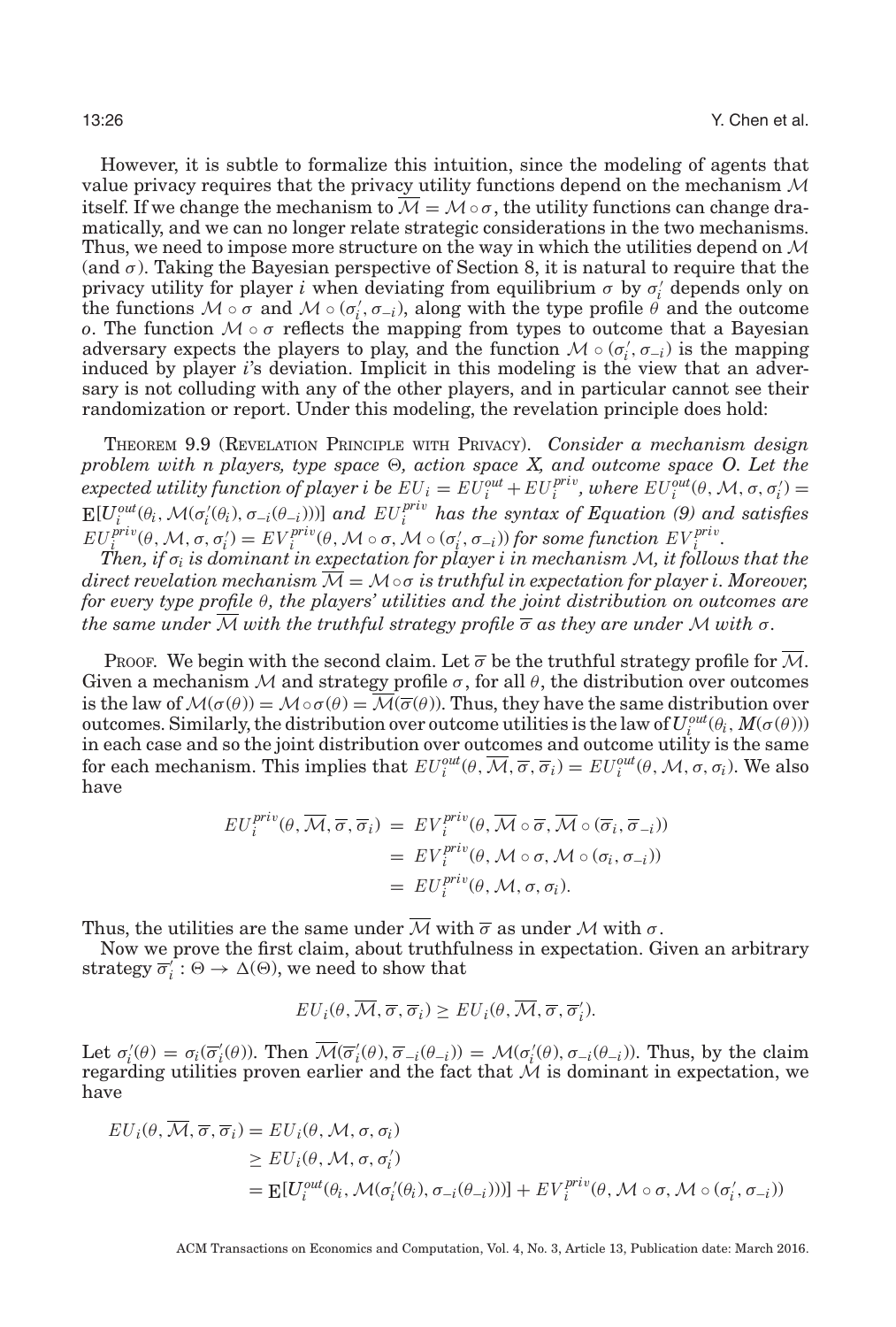However, it is subtle to formalize this intuition, since the modeling of agents that value privacy requires that the privacy utility functions depend on the mechanism  $M$ itself. If we change the mechanism to  $\overline{\mathcal{M}} = \mathcal{M} \circ \sigma$ , the utility functions can change dramatically, and we can no longer relate strategic considerations in the two mechanisms. Thus, we need to impose more structure on the way in which the utilities depend on  $\mathcal M$ (and  $\sigma$ ). Taking the Bayesian perspective of Section [8,](#page-19-0) it is natural to require that the privacy utility for player *i* when deviating from equilibrium  $\sigma$  by  $\sigma'_{i}$  depends only on the functions  $M \circ \sigma$  and  $M \circ (\sigma'_i, \sigma_{-i})$ , along with the type profile  $\theta$  and the outcome *o*. The function  $M \circ \sigma$  reflects the mapping from types to outcome that a Bayesian adversary expects the players to play, and the function  $M \circ (\sigma'_i, \sigma_{-i})$  is the mapping induced by player *i*'s deviation. Implicit in this modeling is the view that an adversary is not colluding with any of the other players, and in particular cannot see their randomization or report. Under this modeling, the revelation principle does hold:

<span id="page-25-0"></span>THEOREM 9.9 (REVELATION PRINCIPLE WITH PRIVACY). *Consider a mechanism design problem with n players, type space*  $\Theta$ , action space X, and outcome space O. Let the  $e$ *xpected utility function of player i be*  $EU_i = EU_i^{out} + EU_i^{priv}$ , where  $EU_i^{out}(\theta, \mathcal{M}, \sigma, \sigma_i') =$  $E[U_i^{out}(\theta_i, \mathcal{M}(\sigma_i'(\theta_i), \sigma_{-i}(\theta_{-i})))]$  and  $EU_i^{priv}$  has the syntax of Equation (9) and satisfies  $EU_i^{priv}(\theta, \mathcal{M}, \sigma, \sigma_i') = EV_i^{priv}(\theta, \mathcal{M} \circ \sigma, \mathcal{M} \circ (\sigma_i', \sigma_{-i}))$  for some function  $EV_i^{priv}$ .

*Then, if* σ*<sup>i</sup> is dominant in expectation for player i in mechanism* M*, it follows that the direct revelation mechanism* M = M◦σ *is truthful in expectation for player i. Moreover, for every type profile* θ*, the players' utilities and the joint distribution on outcomes are the same under*  $\overline{\mathcal{M}}$  *with the truthful strategy profile*  $\overline{\sigma}$  *as they are under*  $\mathcal{M}$  *with*  $\sigma$ *.* 

Proof. We begin with the second claim. Let  $\overline{\sigma}$  be the truthful strategy profile for  $\overline{\mathcal{M}}$ . Given a mechanism  $M$  and strategy profile  $\sigma$ , for all  $\theta$ , the distribution over outcomes is the law of  $M(\sigma(\theta)) = M \circ \sigma(\theta) = M(\overline{\sigma}(\theta))$ . Thus, they have the same distribution over outcomes. Similarly, the distribution over outcome utilities is the law of  $U_i^{out}(\theta_i, M(\sigma(\theta)))$ in each case and so the joint distribution over outcomes and outcome utility is the same for each mechanism. This implies that  $EU_i^{out}(\theta, \overline{\mathcal{M}}, \overline{\sigma}, \overline{\sigma}_i) = EU_i^{out}(\theta, \mathcal{M}, \sigma, \sigma_i)$ . We also have

$$
EU_i^{priv}(\theta, \overline{\mathcal{M}}, \overline{\sigma}, \overline{\sigma}_i) = EV_i^{priv}(\theta, \overline{\mathcal{M}} \circ \overline{\sigma}, \overline{\mathcal{M}} \circ (\overline{\sigma}_i, \overline{\sigma}_{-i}))
$$
  
= 
$$
EV_i^{priv}(\theta, \mathcal{M} \circ \sigma, \mathcal{M} \circ (\sigma_i, \sigma_{-i}))
$$
  
= 
$$
EU_i^{priv}(\theta, \mathcal{M}, \sigma, \sigma_i).
$$

Thus, the utilities are the same under  $\overline{\mathcal{M}}$  with  $\overline{\sigma}$  as under  $\mathcal M$  with  $\sigma$ .

Now we prove the first claim, about truthfulness in expectation. Given an arbitrary strategy  $\overline{\sigma}'_i : \Theta \to \Delta(\Theta)$ , we need to show that

$$
EU_i(\theta, \overline{M}, \overline{\sigma}, \overline{\sigma}_i) \geq EU_i(\theta, \overline{M}, \overline{\sigma}, \overline{\sigma}'_i).
$$

Let  $\sigma'_i(\theta) = \sigma_i(\overline{\sigma}'_i(\theta))$ . Then  $\overline{\mathcal{M}}(\overline{\sigma}'_i(\theta), \overline{\sigma}_{-i}(\theta_{-i})) = \mathcal{M}(\sigma'_i(\theta), \sigma_{-i}(\theta_{-i}))$ . Thus, by the claim regarding utilities proven earlier and the fact that  $\mathcal M$  is dominant in expectation, we have

$$
EU_i(\theta, \overline{M}, \overline{\sigma}, \overline{\sigma}_i) = EU_i(\theta, \mathcal{M}, \sigma, \sigma_i)
$$
  
\n
$$
\geq EU_i(\theta, \mathcal{M}, \sigma, \sigma_i')
$$
  
\n
$$
= \mathbb{E}[U_i^{out}(\theta_i, \mathcal{M}(\sigma_i'(\theta_i), \sigma_{-i}(\theta_{-i})))] + EV_i^{priv}(\theta, \mathcal{M} \circ \sigma, \mathcal{M} \circ (\sigma_i', \sigma_{-i}))
$$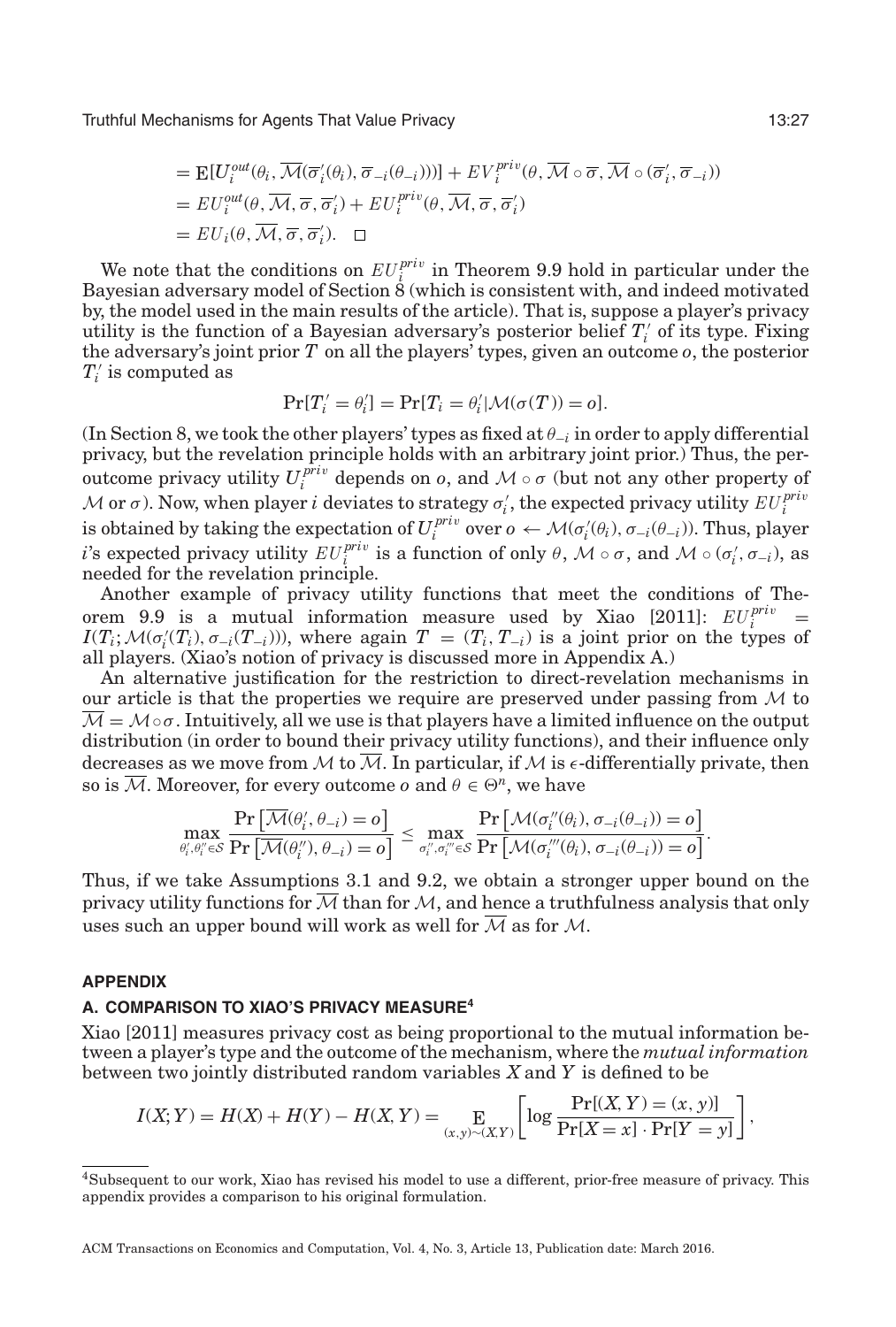$$
= \mathbf{E}[U_i^{out}(\theta_i, \overline{\mathcal{M}}(\overline{\sigma}'_i(\theta_i), \overline{\sigma}_{-i}(\theta_{-i})))] + EV_i^{priv}(\theta, \overline{\mathcal{M}} \circ \overline{\sigma}, \overline{\mathcal{M}} \circ (\overline{\sigma}'_i, \overline{\sigma}_{-i}))
$$
  
\n
$$
= EV_i^{out}(\theta, \overline{\mathcal{M}}, \overline{\sigma}, \overline{\sigma}'_i) + EU_i^{priv}(\theta, \overline{\mathcal{M}}, \overline{\sigma}, \overline{\sigma}'_i)
$$
  
\n
$$
= EU_i(\theta, \overline{\mathcal{M}}, \overline{\sigma}, \overline{\sigma}'_i).
$$

We note that the conditions on  $EU_i^{priv}$  in Theorem [9.9](#page-25-0) hold in particular under the Bayesian adversary model of Section [8](#page-19-0) (which is consistent with, and indeed motivated by, the model used in the main results of the article). That is, suppose a player's privacy utility is the function of a Bayesian adversary's posterior belief *T <sup>i</sup>* of its type. Fixing the adversary's joint prior *T* on all the players' types, given an outcome *o*, the posterior  $T_i'$  is computed as

$$
\Pr[T'_i = \theta'_i] = \Pr[T_i = \theta'_i | \mathcal{M}(\sigma(T)) = o].
$$

(In Section [8,](#page-19-0) we took the other players' types as fixed at θ<sup>−</sup>*<sup>i</sup>* in order to apply differential privacy, but the revelation principle holds with an arbitrary joint prior.) Thus, the peroutcome privacy utility  $U_i^{priv}$  depends on *o*, and  $\mathcal{M} \circ \sigma$  (but not any other property of  $\mathcal M$  or  $\sigma$ ). Now, when player  $i$  deviates to strategy  $\sigma'_i$ , the expected privacy utility  $EU_i^{priv}$  $i$  is obtained by taking the expectation of  $U_i^{priv}$  over  $o \leftarrow \mathcal{M}(\sigma'_i(\theta_i), \sigma_{-i}(\theta_{-i}))$ . Thus, player *i*'s expected privacy utility  $EU_i^{priv}$  is a function of only  $\theta$ ,  $\mathcal{M} \circ \sigma$ , and  $\mathcal{M} \circ (\sigma'_i, \sigma_{-i})$ , as needed for the revelation principle.

Another example of privacy utility functions that meet the conditions of The-orem [9.9](#page-25-0) is a mutual information measure used by Xiao [\[2011\]](#page-29-2):  $EU_i^{priv}$  =  $I(T_i; \mathcal{M}(\sigma_i(T_i), \sigma_{-i}(T_{-i})))$ , where again  $T = (T_i, T_{-i})$  is a joint prior on the types of all players. (Xiao's notion of privacy is discussed more in Appendix A.)

An alternative justification for the restriction to direct-revelation mechanisms in our article is that the properties we require are preserved under passing from  $M$  to  $\overline{\mathcal{M}} = \mathcal{M} \circ \sigma$ . Intuitively, all we use is that players have a limited influence on the output distribution (in order to bound their privacy utility functions), and their influence only decreases as we move from M to M. In particular, if M is  $\epsilon$ -differentially private, then so is  $\overline{\mathcal{M}}$ . Moreover, for every outcome *o* and  $\theta \in \Theta^n$ , we have

$$
\max_{\theta'_i, \theta''_i \in \mathcal{S}} \frac{\Pr\left[\overline{\mathcal{M}}(\theta'_i, \theta_{-i}) = o\right]}{\Pr\left[\overline{\mathcal{M}}(\theta''_i), \theta_{-i}) = o\right]} \le \max_{\sigma''_i, \sigma''_i \in \mathcal{S}} \frac{\Pr\left[\mathcal{M}(\sigma''_i(\theta_i), \sigma_{-i}(\theta_{-i})) = o\right]}{\Pr\left[\mathcal{M}(\sigma''_i(\theta_i), \sigma_{-i}(\theta_{-i})) = o\right]}.
$$

Thus, if we take Assumptions [3.1](#page-7-0) and [9.2,](#page-22-0) we obtain a stronger upper bound on the privacy utility functions for  $M$  than for  $M$ , and hence a truthfulness analysis that only uses such an upper bound will work as well for  $M$  as for  $M$ .

#### **APPENDIX**

#### **A. COMPARISON TO XIAO'S PRIVACY MEASURE<sup>4</sup>**

Xiao [\[2011\]](#page-29-2) measures privacy cost as being proportional to the mutual information between a player's type and the outcome of the mechanism, where the *mutual information* between two jointly distributed random variables *X* and *Y* is defined to be

$$
I(X;Y) = H(X) + H(Y) - H(X,Y) = \mathop{\bf E}_{(x,y)\sim(X,Y)} \left[ \log \frac{\Pr[(X,Y) = (x,y)]}{\Pr[X = x] \cdot \Pr[Y = y]} \right],
$$

<sup>4</sup>Subsequent to our work, Xiao has revised his model to use a different, prior-free measure of privacy. This appendix provides a comparison to his original formulation.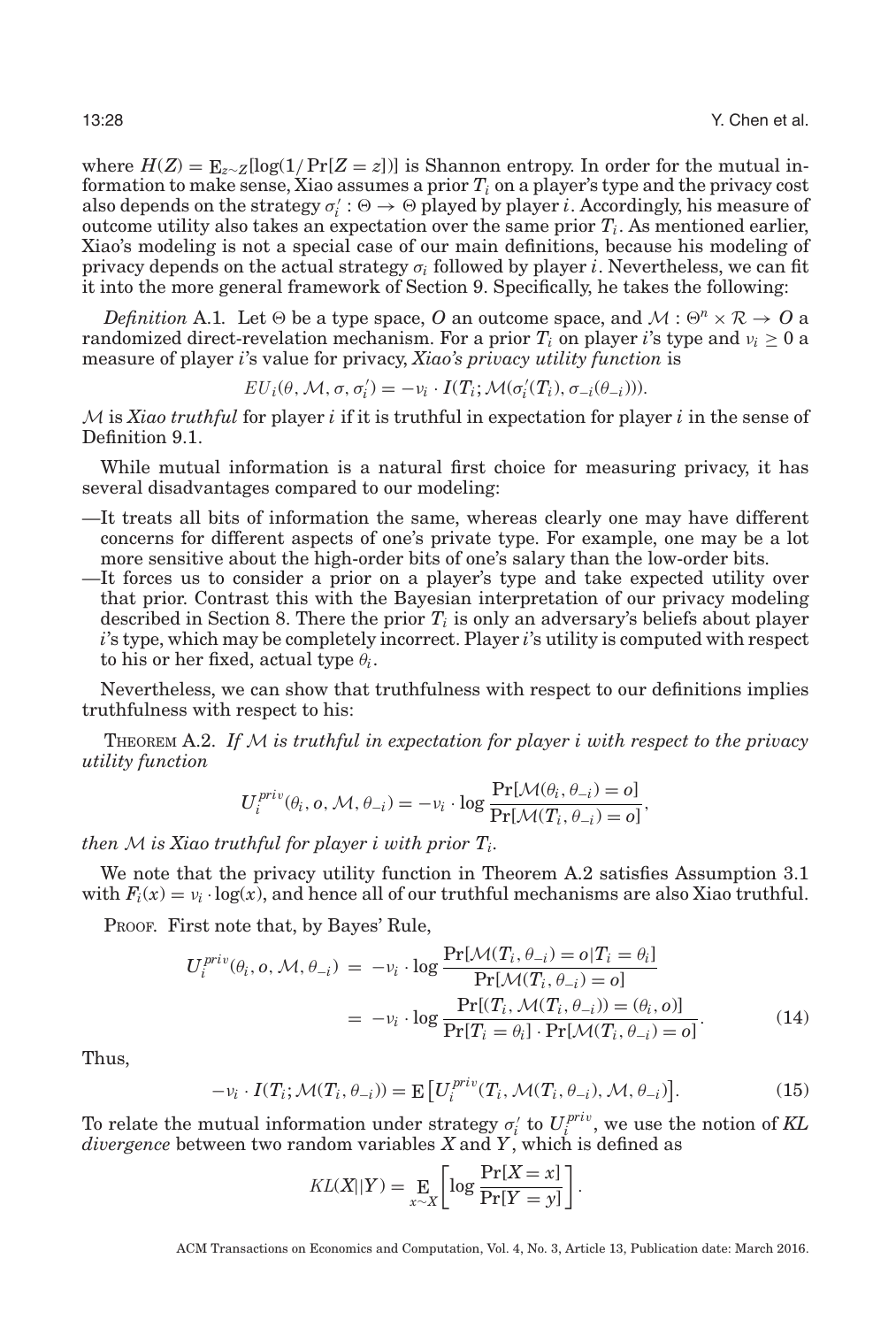where  $H(Z) = \mathbb{E}_{z \sim Z}[\log(1/\Pr[Z=z])]$  is Shannon entropy. In order for the mutual information to make sense, Xiao assumes a prior  $T_i$  on a player's type and the privacy cost also depends on the strategy  $\sigma'_i : \Theta \to \Theta$  played by player *i*. Accordingly, his measure of outcome utility also takes an expectation over the same prior  $T_i$ . As mentioned earlier, Xiao's modeling is not a special case of our main definitions, because his modeling of privacy depends on the actual strategy σ*<sup>i</sup>* followed by player *i*. Nevertheless, we can fit it into the more general framework of Section [9.](#page-21-0) Specifically, he takes the following:

*Definition* A.1. Let  $\Theta$  be a type space, O an outcome space, and  $\mathcal{M}: \Theta^n \times \mathcal{R} \to \mathcal{O}$  a randomized direct-revelation mechanism. For a prior  $T_i$  on player *i*'s type and  $v_i \geq 0$  a measure of player *i*'s value for privacy, *Xiao's privacy utility function* is

$$
EU_i(\theta, \mathcal{M}, \sigma, \sigma'_i) = -v_i \cdot I(T_i; \mathcal{M}(\sigma'_i(T_i), \sigma_{-i}(\theta_{-i}))).
$$

M is *Xiao truthful* for player *i* if it is truthful in expectation for player *i* in the sense of Definition [9.1.](#page-22-2)

While mutual information is a natural first choice for measuring privacy, it has several disadvantages compared to our modeling:

- —It treats all bits of information the same, whereas clearly one may have different concerns for different aspects of one's private type. For example, one may be a lot more sensitive about the high-order bits of one's salary than the low-order bits.
- —It forces us to consider a prior on a player's type and take expected utility over that prior. Contrast this with the Bayesian interpretation of our privacy modeling described in Section [8.](#page-19-0) There the prior  $T_i$  is only an adversary's beliefs about player *i*'s type, which may be completely incorrect. Player *i*'s utility is computed with respect to his or her fixed, actual type  $\theta_i$ .

Nevertheless, we can show that truthfulness with respect to our definitions implies truthfulness with respect to his:

<span id="page-27-0"></span>THEOREM A.2. *If* M *is truthful in expectation for player i with respect to the privacy utility function*

$$
U_i^{priv}(\theta_i, o, \mathcal{M}, \theta_{-i}) = -v_i \cdot \log \frac{\Pr[\mathcal{M}(\theta_i, \theta_{-i}) = o]}{\Pr[\mathcal{M}(T_i, \theta_{-i}) = o]},
$$

*then* M *is Xiao truthful for player i with prior Ti.*

We note that the privacy utility function in Theorem [A.2](#page-27-0) satisfies Assumption [3.1](#page-7-0) with  $F_i(x) = v_i \cdot \log(x)$ , and hence all of our truthful mechanisms are also Xiao truthful.

PROOF. First note that, by Bayes' Rule,

$$
U_i^{priv}(\theta_i, o, \mathcal{M}, \theta_{-i}) = -v_i \cdot \log \frac{\Pr[\mathcal{M}(T_i, \theta_{-i}) = o | T_i = \theta_i]}{\Pr[\mathcal{M}(T_i, \theta_{-i}) = o]}
$$

$$
= -v_i \cdot \log \frac{\Pr[(T_i, \mathcal{M}(T_i, \theta_{-i})) = (\theta_i, o)]}{\Pr[T_i = \theta_i] \cdot \Pr[\mathcal{M}(T_i, \theta_{-i}) = o]}.
$$
(14)

Thus,

$$
-\nu_i \cdot I(T_i; \mathcal{M}(T_i, \theta_{-i})) = \mathbb{E}\left[U_i^{\text{priv}}(T_i, \mathcal{M}(T_i, \theta_{-i}), \mathcal{M}, \theta_{-i})\right].
$$
\n(15)

To relate the mutual information under strategy  $\sigma_i'$  to  $U_i^{priv}$ , we use the notion of KL *divergence* between two random variables *X* and *Y*, which is defined as

$$
KL(X||Y) = \mathop{\mathbf{E}}_{x \sim X} \left[ \log \frac{\Pr[X = x]}{\Pr[Y = y]} \right].
$$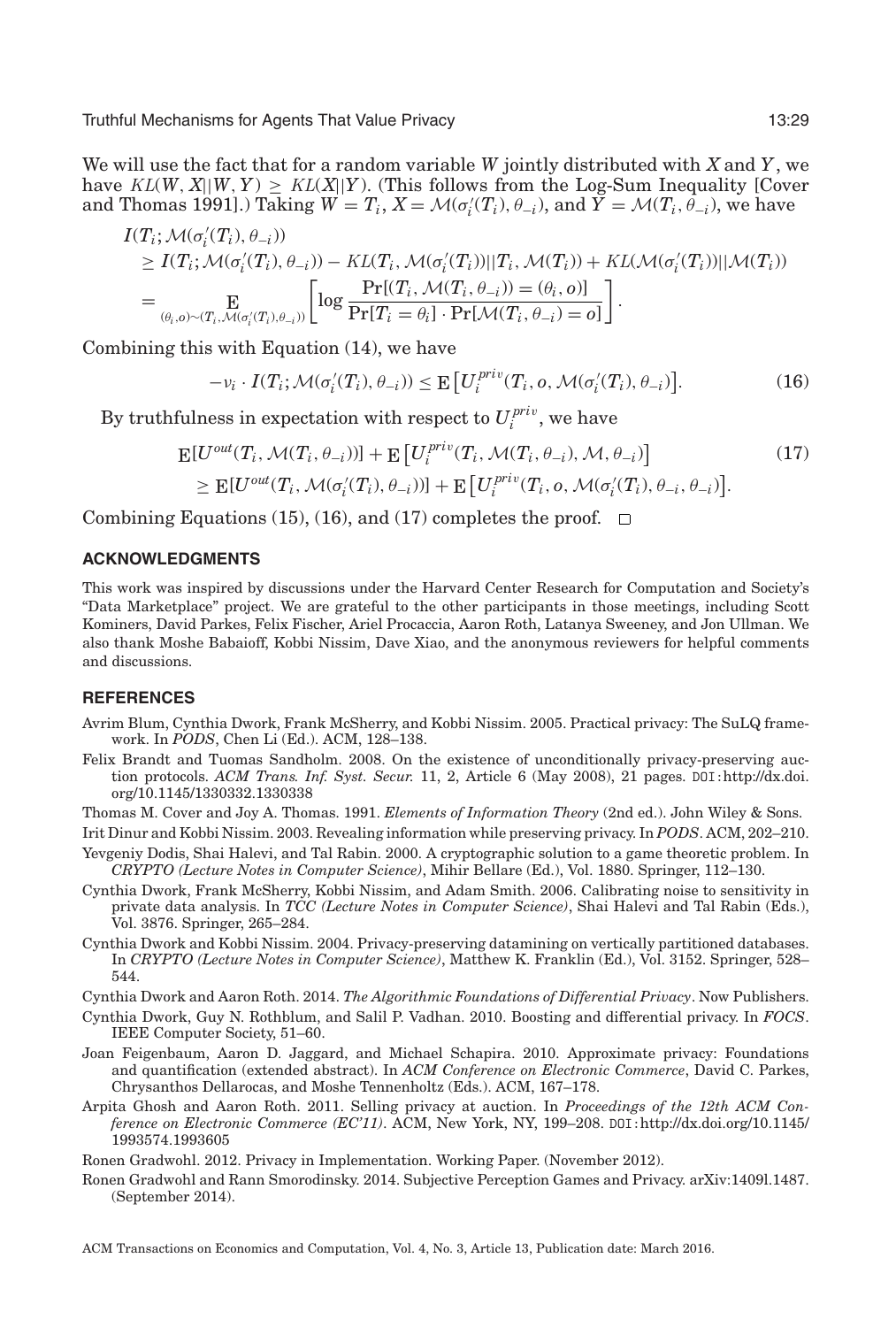We will use the fact that for a random variable *W* jointly distributed with *X* and *Y*, we have  $KL(W, X||W, Y) \geq KL(X||Y)$ . (This follows from the Log-Sum Inequality [Cover and Thomas [1991\]](#page-28-12).) Taking  $W = T_i$ ,  $X = \mathcal{M}(\sigma_i'(T_i), \theta_{-i})$ , and  $\widetilde{Y} = \mathcal{M}(T_i, \widetilde{\theta}_{-i})$ , we have

$$
I(T_i; \mathcal{M}(\sigma'_i(T_i), \theta_{-i}))
$$
  
\n
$$
\geq I(T_i; \mathcal{M}(\sigma'_i(T_i), \theta_{-i})) - KL(T_i, \mathcal{M}(\sigma'_i(T_i))||T_i, \mathcal{M}(T_i)) + KL(\mathcal{M}(\sigma'_i(T_i))||\mathcal{M}(T_i))
$$
  
\n
$$
= \underset{(\theta_i, o) \sim (T_i, \mathcal{M}(\sigma'_i(T_i), \theta_{-i}))}{\mathbb{E}} \left[ \log \frac{\Pr[(T_i, \mathcal{M}(T_i, \theta_{-i})) = (\theta_i, o)]}{\Pr[T_i = \theta_i] \cdot \Pr[\mathcal{M}(T_i, \theta_{-i}) = o]} \right].
$$

Combining this with Equation (14), we have

$$
-\nu_i \cdot I(T_i; \mathcal{M}(\sigma'_i(T_i), \theta_{-i})) \le \mathbb{E}\left[U_i^{\text{priv}}(T_i, o, \mathcal{M}(\sigma'_i(T_i), \theta_{-i})\right].\tag{16}
$$

By truthfulness in expectation with respect to  $U_i^{priv}$ , we have

$$
\mathbb{E}[U^{out}(T_i, \mathcal{M}(T_i, \theta_{-i}))] + \mathbb{E}\left[U_i^{priv}(T_i, \mathcal{M}(T_i, \theta_{-i}), \mathcal{M}, \theta_{-i})\right]
$$
\n
$$
\geq \mathbb{E}[U^{out}(T_i, \mathcal{M}(\sigma'_i(T_i), \theta_{-i}))] + \mathbb{E}\left[U_i^{priv}(T_i, o, \mathcal{M}(\sigma'_i(T_i), \theta_{-i}, \theta_{-i})\right].
$$
\n(17)

Combining Equations (15), (16), and (17) completes the proof.  $\Box$ 

# **ACKNOWLEDGMENTS**

This work was inspired by discussions under the Harvard Center Research for Computation and Society's "Data Marketplace" project. We are grateful to the other participants in those meetings, including Scott Kominers, David Parkes, Felix Fischer, Ariel Procaccia, Aaron Roth, Latanya Sweeney, and Jon Ullman. We also thank Moshe Babaioff, Kobbi Nissim, Dave Xiao, and the anonymous reviewers for helpful comments and discussions.

#### **REFERENCES**

- <span id="page-28-11"></span>Avrim Blum, Cynthia Dwork, Frank McSherry, and Kobbi Nissim. 2005. Practical privacy: The SuLQ framework. In *PODS*, Chen Li (Ed.). ACM, 128–138.
- <span id="page-28-7"></span>Felix Brandt and Tuomas Sandholm. 2008. On the existence of unconditionally privacy-preserving auction protocols. *ACM Trans. Inf. Syst. Secur.* 11, 2, Article 6 (May 2008), 21 pages. DOI:[http://dx.doi.](http://dx.doi.org/10.1145/1330332.1330338) [org/10.1145/1330332.1330338](http://dx.doi.org/10.1145/1330332.1330338)
- <span id="page-28-12"></span>Thomas M. Cover and Joy A. Thomas. 1991. *Elements of Information Theory* (2nd ed.). John Wiley & Sons.

<span id="page-28-9"></span>Irit Dinur and Kobbi Nissim. 2003. Revealing information while preserving privacy. In *PODS*. ACM, 202–210.

- <span id="page-28-6"></span>Yevgeniy Dodis, Shai Halevi, and Tal Rabin. 2000. A cryptographic solution to a game theoretic problem. In *CRYPTO (Lecture Notes in Computer Science)*, Mihir Bellare (Ed.), Vol. 1880. Springer, 112–130.
- <span id="page-28-0"></span>Cynthia Dwork, Frank McSherry, Kobbi Nissim, and Adam Smith. 2006. Calibrating noise to sensitivity in private data analysis. In *TCC (Lecture Notes in Computer Science)*, Shai Halevi and Tal Rabin (Eds.), Vol. 3876. Springer, 265–284.
- <span id="page-28-10"></span>Cynthia Dwork and Kobbi Nissim. 2004. Privacy-preserving datamining on vertically partitioned databases. In *CRYPTO (Lecture Notes in Computer Science)*, Matthew K. Franklin (Ed.), Vol. 3152. Springer, 528– 544.

<span id="page-28-5"></span>Cynthia Dwork and Aaron Roth. 2014. *The Algorithmic Foundations of Differential Privacy*. Now Publishers.

- <span id="page-28-1"></span>Cynthia Dwork, Guy N. Rothblum, and Salil P. Vadhan. 2010. Boosting and differential privacy. In *FOCS*. IEEE Computer Society, 51–60.
- <span id="page-28-8"></span>Joan Feigenbaum, Aaron D. Jaggard, and Michael Schapira. 2010. Approximate privacy: Foundations and quantification (extended abstract). In *ACM Conference on Electronic Commerce*, David C. Parkes, Chrysanthos Dellarocas, and Moshe Tennenholtz (Eds.). ACM, 167–178.
- <span id="page-28-2"></span>Arpita Ghosh and Aaron Roth. 2011. Selling privacy at auction. In *Proceedings of the 12th ACM Conference on Electronic Commerce (EC'11)*. ACM, New York, NY, 199–208. DOI:[http://dx.doi.org/10.1145/](http://dx.doi.org/10.1145/1993574.1993605) [1993574.1993605](http://dx.doi.org/10.1145/1993574.1993605)

<span id="page-28-3"></span>Ronen Gradwohl. 2012. Privacy in Implementation. Working Paper. (November 2012).

<span id="page-28-4"></span>Ronen Gradwohl and Rann Smorodinsky. 2014. Subjective Perception Games and Privacy. arXiv:1409l.1487. (September 2014).